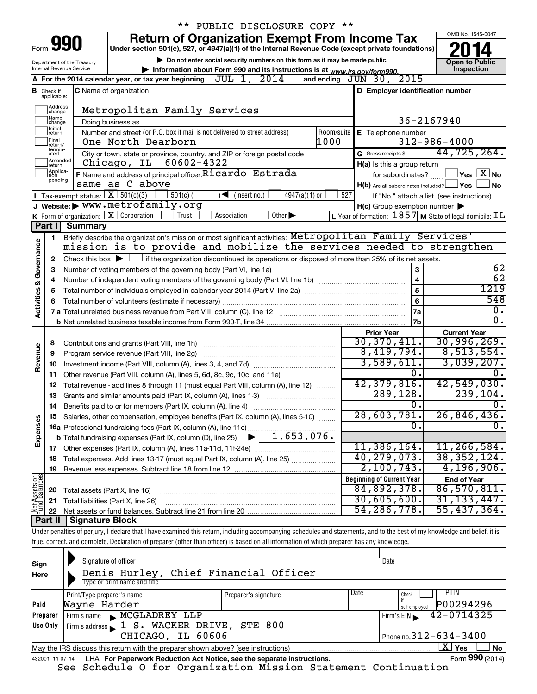| ** PUBLIC DISCLOSURE COPY **                                                                           |                                     |                                                                                                    |                                                                                                                                                                                   |                                                                    |                                            |  |  |  |  |
|--------------------------------------------------------------------------------------------------------|-------------------------------------|----------------------------------------------------------------------------------------------------|-----------------------------------------------------------------------------------------------------------------------------------------------------------------------------------|--------------------------------------------------------------------|--------------------------------------------|--|--|--|--|
|                                                                                                        |                                     |                                                                                                    | <b>Return of Organization Exempt From Income Tax</b>                                                                                                                              |                                                                    | OMB No. 1545-0047                          |  |  |  |  |
|                                                                                                        | Form 990                            | Under section 501(c), 527, or 4947(a)(1) of the Internal Revenue Code (except private foundations) |                                                                                                                                                                                   |                                                                    |                                            |  |  |  |  |
| Department of the Treasury                                                                             | <b>Open to Public</b><br>Inspection |                                                                                                    |                                                                                                                                                                                   |                                                                    |                                            |  |  |  |  |
| Internal Revenue Service<br>Information about Form 990 and its instructions is at www.irs.gov/form990. |                                     |                                                                                                    |                                                                                                                                                                                   |                                                                    |                                            |  |  |  |  |
|                                                                                                        |                                     |                                                                                                    | A For the 2014 calendar year, or tax year beginning JUL 1, 2014                                                                                                                   | 2015<br>and ending $JUN$ 30,                                       |                                            |  |  |  |  |
|                                                                                                        | <b>B</b> Check if applicable:       |                                                                                                    | <b>C</b> Name of organization                                                                                                                                                     | D Employer identification number                                   |                                            |  |  |  |  |
|                                                                                                        | Address<br>change                   |                                                                                                    | Metropolitan Family Services                                                                                                                                                      |                                                                    |                                            |  |  |  |  |
|                                                                                                        | Name<br>change                      |                                                                                                    | Doing business as                                                                                                                                                                 |                                                                    | 36-2167940                                 |  |  |  |  |
|                                                                                                        | Initial<br>return                   |                                                                                                    | Number and street (or P.O. box if mail is not delivered to street address)<br>Room/suite                                                                                          | E Telephone number                                                 |                                            |  |  |  |  |
|                                                                                                        | Final<br>return/                    |                                                                                                    | 1000<br>One North Dearborn                                                                                                                                                        |                                                                    | $312 - 986 - 4000$                         |  |  |  |  |
|                                                                                                        | termin-<br>ated                     |                                                                                                    | City or town, state or province, country, and ZIP or foreign postal code                                                                                                          | G Gross receipts \$                                                | 44,725,264.                                |  |  |  |  |
|                                                                                                        | Amended<br>Ireturn<br>Applica-      |                                                                                                    | Chicago, IL 60602-4322                                                                                                                                                            | H(a) Is this a group return                                        |                                            |  |  |  |  |
|                                                                                                        | tion<br>pending                     |                                                                                                    | F Name and address of principal officer: Ricardo Estrada                                                                                                                          | for subordinates?                                                  | $\Box$ Yes $\Box X$ No                     |  |  |  |  |
|                                                                                                        |                                     |                                                                                                    | same as C above                                                                                                                                                                   | $H(b)$ Are all subordinates included? $\Box$ Yes                   | No                                         |  |  |  |  |
|                                                                                                        |                                     | Tax-exempt status: $X \overline{3} 501(c)(3)$                                                      | $501(c)$ (<br>$\sqrt{\frac{1}{1}}$ (insert no.)<br>$4947(a)(1)$ or                                                                                                                | 527                                                                | If "No," attach a list. (see instructions) |  |  |  |  |
|                                                                                                        |                                     |                                                                                                    | J Website: > WWW.metrofamily.org                                                                                                                                                  | $H(c)$ Group exemption number $\blacktriangleright$                |                                            |  |  |  |  |
|                                                                                                        | Part I                              |                                                                                                    | <b>K</b> Form of organization: $\boxed{\textbf{X}}$ Corporation<br>Trust<br>Association<br>Other $\blacktriangleright$                                                            | L Year of formation: $1857$ M State of legal domicile: $\text{IL}$ |                                            |  |  |  |  |
|                                                                                                        |                                     | <b>Summary</b>                                                                                     |                                                                                                                                                                                   |                                                                    |                                            |  |  |  |  |
|                                                                                                        | 1                                   |                                                                                                    | Briefly describe the organization's mission or most significant activities: Metropolitan Family Services'<br>mission is to provide and mobilize the services needed to strengthen |                                                                    |                                            |  |  |  |  |
|                                                                                                        |                                     |                                                                                                    |                                                                                                                                                                                   |                                                                    |                                            |  |  |  |  |
|                                                                                                        | 2                                   |                                                                                                    | Check this box $\blacktriangleright$ $\Box$ if the organization discontinued its operations or disposed of more than 25% of its net assets.                                       |                                                                    | 62                                         |  |  |  |  |
|                                                                                                        | з                                   |                                                                                                    | Number of voting members of the governing body (Part VI, line 1a)                                                                                                                 | 3<br>$\overline{4}$                                                | $\overline{62}$                            |  |  |  |  |
|                                                                                                        | 4<br>5                              |                                                                                                    | $\overline{5}$                                                                                                                                                                    | 1219                                                               |                                            |  |  |  |  |
| Activities & Governance                                                                                |                                     |                                                                                                    |                                                                                                                                                                                   | 6                                                                  | 548                                        |  |  |  |  |
|                                                                                                        |                                     |                                                                                                    |                                                                                                                                                                                   | <b>7a</b>                                                          | $\overline{0}$ .                           |  |  |  |  |
|                                                                                                        |                                     |                                                                                                    |                                                                                                                                                                                   | <b>7b</b>                                                          | $\overline{0}$ .                           |  |  |  |  |
|                                                                                                        |                                     |                                                                                                    |                                                                                                                                                                                   | <b>Prior Year</b>                                                  | <b>Current Year</b>                        |  |  |  |  |
|                                                                                                        | 8                                   |                                                                                                    | Contributions and grants (Part VIII, line 1h)                                                                                                                                     | 30, 370, 411.                                                      | 30,996,269.                                |  |  |  |  |
|                                                                                                        | 9                                   |                                                                                                    | Program service revenue (Part VIII, line 2g)                                                                                                                                      | 8,419,794.                                                         | 8,513,554.                                 |  |  |  |  |
| Revenue                                                                                                | 10                                  |                                                                                                    |                                                                                                                                                                                   | 3,589,611.                                                         | 3,039,207.                                 |  |  |  |  |
|                                                                                                        | 11                                  |                                                                                                    | Other revenue (Part VIII, column (A), lines 5, 6d, 8c, 9c, 10c, and 11e)                                                                                                          | $\overline{0}$ .                                                   |                                            |  |  |  |  |
|                                                                                                        | 12                                  |                                                                                                    | Total revenue - add lines 8 through 11 (must equal Part VIII, column (A), line 12)                                                                                                | 42,379,816.                                                        | 42,549,030.                                |  |  |  |  |
|                                                                                                        | 13                                  |                                                                                                    | Grants and similar amounts paid (Part IX, column (A), lines 1-3) <i></i>                                                                                                          | 289, 128.                                                          | 239, 104.                                  |  |  |  |  |
|                                                                                                        |                                     |                                                                                                    |                                                                                                                                                                                   | 0.                                                                 | 0.                                         |  |  |  |  |
|                                                                                                        |                                     |                                                                                                    | Salaries, other compensation, employee benefits (Part IX, column (A), lines 5-10)                                                                                                 | 28,603,781.                                                        | 26,846,436.                                |  |  |  |  |
| Expenses                                                                                               |                                     |                                                                                                    | 16a Professional fundraising fees (Part IX, column (A), line 11e)                                                                                                                 | σ.                                                                 | $\overline{0}$ .                           |  |  |  |  |
|                                                                                                        |                                     |                                                                                                    | 1,653,076.<br><b>b</b> Total fundraising expenses (Part IX, column (D), line 25)                                                                                                  |                                                                    |                                            |  |  |  |  |
|                                                                                                        |                                     |                                                                                                    |                                                                                                                                                                                   | 11,386,164.                                                        | 11, 266, 584.                              |  |  |  |  |
|                                                                                                        | 18                                  |                                                                                                    | Total expenses. Add lines 13-17 (must equal Part IX, column (A), line 25) <i></i>                                                                                                 | 40,279,073.                                                        | 38, 352, 124.                              |  |  |  |  |
|                                                                                                        | 19                                  |                                                                                                    |                                                                                                                                                                                   | 2,100,743.                                                         | 4, 196, 906.                               |  |  |  |  |
| Net Assets or                                                                                          |                                     |                                                                                                    |                                                                                                                                                                                   | <b>Beginning of Current Year</b>                                   | <b>End of Year</b>                         |  |  |  |  |
|                                                                                                        | 20                                  | Total assets (Part X, line 16)                                                                     |                                                                                                                                                                                   | 84,892,378.                                                        | 86,570,811.                                |  |  |  |  |
|                                                                                                        | 21                                  |                                                                                                    | Total liabilities (Part X, line 26)                                                                                                                                               | 30,605,600.                                                        | 31, 133, 447.                              |  |  |  |  |
|                                                                                                        | 22                                  |                                                                                                    |                                                                                                                                                                                   | 54, 286, 778.                                                      | 55,437,364.                                |  |  |  |  |
|                                                                                                        |                                     | Part II   Signature Block                                                                          |                                                                                                                                                                                   |                                                                    |                                            |  |  |  |  |
|                                                                                                        |                                     |                                                                                                    | Under penalties of perjury, I declare that I have examined this return, including accompanying schedules and statements, and to the best of my knowledge and belief, it is        |                                                                    |                                            |  |  |  |  |

true, correct, and complete. Declaration of preparer (other than officer) is based on all information of which preparer has any knowledge.

| Sign<br>Here | Signature of officer<br>Denis Hurley, Chief Financial Officer<br>Type or print name and title                |                              | Date                                               |  |  |  |  |  |  |
|--------------|--------------------------------------------------------------------------------------------------------------|------------------------------|----------------------------------------------------|--|--|--|--|--|--|
| Paid         | Print/Type preparer's name<br>Wayne Harder                                                                   | Date<br>Preparer's signature | <b>PTIN</b><br>Check<br>P00294296<br>self-emploved |  |  |  |  |  |  |
| Preparer     | Firm's name MCGLADREY LLP                                                                                    |                              | 42-0714325<br>Firm's EIN                           |  |  |  |  |  |  |
| Use Only     | Firm's address 1 S. WACKER DRIVE, STE 800                                                                    |                              |                                                    |  |  |  |  |  |  |
|              | CHICAGO, IL 60606                                                                                            | Phone no. $312 - 634 - 3400$ |                                                    |  |  |  |  |  |  |
|              | $X \mid$<br>∣ Yes<br>No<br>May the IRS discuss this return with the preparer shown above? (see instructions) |                              |                                                    |  |  |  |  |  |  |
|              | Form 990 (2014)<br>LHA For Paperwork Reduction Act Notice, see the separate instructions.<br>432001 11-07-14 |                              |                                                    |  |  |  |  |  |  |

See Schedule O for Organization Mission Statement Continuation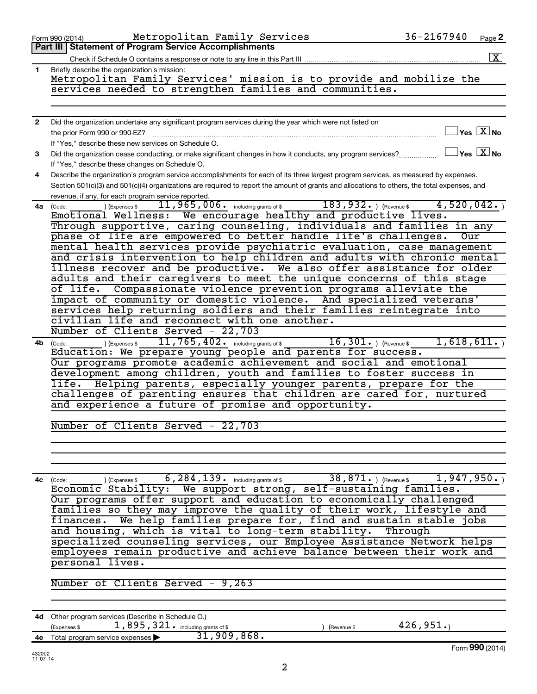|                          | Metropolitan Family Services<br>Form 990 (2014)                                                                                                                       | $36 - 2167940$ | Page 2                                     |
|--------------------------|-----------------------------------------------------------------------------------------------------------------------------------------------------------------------|----------------|--------------------------------------------|
|                          | <b>Part III Statement of Program Service Accomplishments</b>                                                                                                          |                |                                            |
|                          | Check if Schedule O contains a response or note to any line in this Part III                                                                                          |                | $\mathbf{X}$                               |
| 1                        | Briefly describe the organization's mission:                                                                                                                          |                |                                            |
|                          | Metropolitan Family Services' mission is to provide and mobilize the                                                                                                  |                |                                            |
|                          | services needed to strengthen families and communities.                                                                                                               |                |                                            |
|                          |                                                                                                                                                                       |                |                                            |
| $\mathbf{2}$             | Did the organization undertake any significant program services during the year which were not listed on                                                              |                |                                            |
|                          | the prior Form 990 or 990-EZ?                                                                                                                                         |                | $\overline{\ }$ Yes $\overline{\rm{X}}$ No |
|                          | If "Yes," describe these new services on Schedule O.                                                                                                                  |                |                                            |
| 3                        | Did the organization cease conducting, or make significant changes in how it conducts, any program services?                                                          |                | $\exists$ Yes $\boxed{\text{X}}$ No        |
|                          | If "Yes," describe these changes on Schedule O.                                                                                                                       |                |                                            |
| 4                        | Describe the organization's program service accomplishments for each of its three largest program services, as measured by expenses.                                  |                |                                            |
|                          | Section 501(c)(3) and 501(c)(4) organizations are required to report the amount of grants and allocations to others, the total expenses, and                          |                |                                            |
|                          | revenue, if any, for each program service reported.                                                                                                                   |                |                                            |
| 4a                       | $183,932.$ ) (Revenue \$<br>$11,965,006$ $\cdot$ including grants of \$<br>) (Expenses \$<br>(Code:<br>Emotional Wellness: We encourage healthy and productive lives. | 4,520,042.     |                                            |
|                          | Through supportive, caring counseling, individuals and families in any                                                                                                |                |                                            |
|                          | phase of life are empowered to better handle life's challenges.                                                                                                       | Our            |                                            |
|                          | mental health services provide psychiatric evaluation, case management                                                                                                |                |                                            |
|                          | and crisis intervention to help children and adults with chronic mental                                                                                               |                |                                            |
|                          | illness recover and be productive. We also offer assistance for older                                                                                                 |                |                                            |
|                          | adults and their caregivers to meet the unique concerns of this stage                                                                                                 |                |                                            |
|                          | Compassionate violence prevention programs alleviate the<br>of life.                                                                                                  |                |                                            |
|                          | impact of community or domestic violence. And specialized veterans'                                                                                                   |                |                                            |
|                          | services help returning soldiers and their families reintegrate into<br>civilian life and reconnect with one another.                                                 |                |                                            |
|                          | Number of Clients Served - 22,703                                                                                                                                     |                |                                            |
| 4b                       | $\overline{11}$ , $765$ , $402$ and including grants of \$<br>$\overline{16, 301 \cdot \frac{1}{1}}$ (Revenue \$<br>(Expenses \$<br>(Code:                            | 1,618,611.     |                                            |
|                          | Education: We prepare young people and parents for success.                                                                                                           |                |                                            |
|                          | Our programs promote academic achievement and social and emotional                                                                                                    |                |                                            |
|                          | development among children, youth and families to foster success in                                                                                                   |                |                                            |
|                          | life. Helping parents, especially younger parents, prepare for the                                                                                                    |                |                                            |
|                          | challenges of parenting ensures that children are cared for, nurtured                                                                                                 |                |                                            |
|                          | and experience a future of promise and opportunity.                                                                                                                   |                |                                            |
|                          | Number of Clients Served - 22,703                                                                                                                                     |                |                                            |
|                          |                                                                                                                                                                       |                |                                            |
|                          |                                                                                                                                                                       |                |                                            |
|                          |                                                                                                                                                                       |                |                                            |
|                          |                                                                                                                                                                       |                |                                            |
| 4с                       | $6$ , $284$ , $139$ $\cdot$ $\cdot$ including grants of \$ $38$ , $871$ $\cdot$ $\cdot$ $\cdot$ (Revenue \$<br>) (Expenses \$<br>(Code:                               | 1,947,950.     |                                            |
|                          | Economic Stability: We support strong, self-sustaining families.                                                                                                      |                |                                            |
|                          | Our programs offer support and education to economically challenged<br>families so they may improve the quality of their work, lifestyle and                          |                |                                            |
|                          | We help families prepare for, find and sustain stable jobs<br>finances.                                                                                               |                |                                            |
|                          | and housing, which is vital to long-term stability. Through                                                                                                           |                |                                            |
|                          | specialized counseling services, our Employee Assistance Network helps                                                                                                |                |                                            |
|                          | employees remain productive and achieve balance between their work and                                                                                                |                |                                            |
|                          | personal lives.                                                                                                                                                       |                |                                            |
|                          |                                                                                                                                                                       |                |                                            |
|                          | Number of Clients Served - 9,263                                                                                                                                      |                |                                            |
|                          |                                                                                                                                                                       |                |                                            |
|                          |                                                                                                                                                                       |                |                                            |
|                          | 4d Other program services (Describe in Schedule O.)<br>(Expenses \$<br>(Revenue \$                                                                                    | 426,951.       |                                            |
|                          | $\frac{1}{2}$ , 895, 321. including grants of \$<br>$\sim$ expenses $\blacktriangleright$ 31, 909, 868.<br>4e Total program service expenses                          |                |                                            |
|                          |                                                                                                                                                                       |                | Form 990 (2014)                            |
| 432002<br>$11 - 07 - 14$ |                                                                                                                                                                       |                |                                            |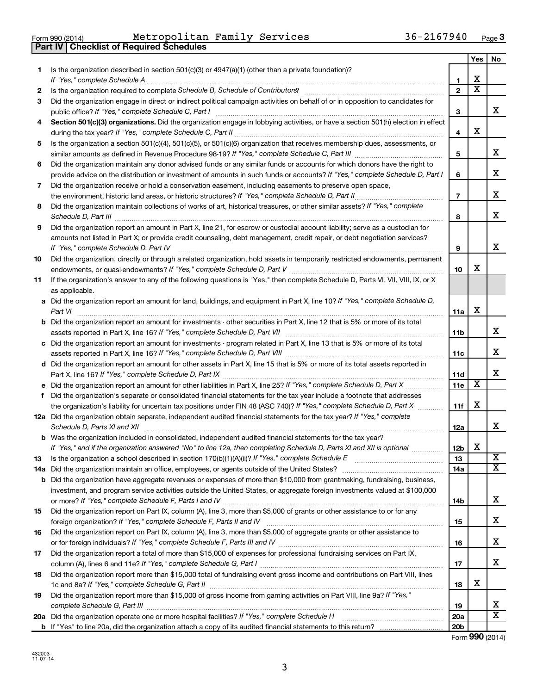| Form 990 (2014) |  |  |
|-----------------|--|--|

**Part IV Checklist of Required Schedules**

Form 990 (2014) Page Metropolitan Family Services 36-2167940

|    |                                                                                                                                                                                                                                                    |                 | Yes                     | No                      |
|----|----------------------------------------------------------------------------------------------------------------------------------------------------------------------------------------------------------------------------------------------------|-----------------|-------------------------|-------------------------|
| 1. | Is the organization described in section 501(c)(3) or 4947(a)(1) (other than a private foundation)?                                                                                                                                                |                 |                         |                         |
|    | If "Yes," complete Schedule A                                                                                                                                                                                                                      | 1               | х                       |                         |
| 2  |                                                                                                                                                                                                                                                    | $\mathfrak{p}$  | $\overline{\textbf{x}}$ |                         |
| 3  | Did the organization engage in direct or indirect political campaign activities on behalf of or in opposition to candidates for<br>public office? If "Yes," complete Schedule C, Part I                                                            | 3               |                         | x.                      |
| 4  | Section 501(c)(3) organizations. Did the organization engage in lobbying activities, or have a section 501(h) election in effect                                                                                                                   | 4               | х                       |                         |
| 5  | Is the organization a section 501(c)(4), 501(c)(5), or 501(c)(6) organization that receives membership dues, assessments, or                                                                                                                       |                 |                         |                         |
|    |                                                                                                                                                                                                                                                    | 5               |                         | х                       |
| 6  | Did the organization maintain any donor advised funds or any similar funds or accounts for which donors have the right to                                                                                                                          |                 |                         |                         |
|    | provide advice on the distribution or investment of amounts in such funds or accounts? If "Yes," complete Schedule D, Part I                                                                                                                       | 6               |                         | х                       |
| 7  | Did the organization receive or hold a conservation easement, including easements to preserve open space,                                                                                                                                          |                 |                         |                         |
|    | the environment, historic land areas, or historic structures? If "Yes," complete Schedule D, Part II.                                                                                                                                              | $\overline{7}$  |                         | х                       |
| 8  | Did the organization maintain collections of works of art, historical treasures, or other similar assets? If "Yes," complete                                                                                                                       | 8               |                         | x                       |
| 9  | Did the organization report an amount in Part X, line 21, for escrow or custodial account liability; serve as a custodian for                                                                                                                      |                 |                         |                         |
|    | amounts not listed in Part X; or provide credit counseling, debt management, credit repair, or debt negotiation services?<br>If "Yes," complete Schedule D, Part IV                                                                                | 9               |                         | x                       |
| 10 | Did the organization, directly or through a related organization, hold assets in temporarily restricted endowments, permanent                                                                                                                      |                 |                         |                         |
|    |                                                                                                                                                                                                                                                    | 10              | х                       |                         |
| 11 | If the organization's answer to any of the following questions is "Yes," then complete Schedule D, Parts VI, VII, VIII, IX, or X<br>as applicable.                                                                                                 |                 |                         |                         |
|    | a Did the organization report an amount for land, buildings, and equipment in Part X, line 10? If "Yes," complete Schedule D,                                                                                                                      |                 |                         |                         |
|    | Part VI                                                                                                                                                                                                                                            | 11a             | х                       |                         |
| b  | Did the organization report an amount for investments - other securities in Part X, line 12 that is 5% or more of its total                                                                                                                        |                 |                         |                         |
|    |                                                                                                                                                                                                                                                    | 11b             |                         | X.                      |
| с  | Did the organization report an amount for investments - program related in Part X, line 13 that is 5% or more of its total                                                                                                                         |                 |                         |                         |
|    |                                                                                                                                                                                                                                                    | 11c             |                         | х                       |
|    | d Did the organization report an amount for other assets in Part X, line 15 that is 5% or more of its total assets reported in                                                                                                                     |                 |                         |                         |
|    |                                                                                                                                                                                                                                                    | 11d             | $\overline{\text{X}}$   | х                       |
| f  | e Did the organization report an amount for other liabilities in Part X, line 25? If "Yes," complete Schedule D, Part X<br>Did the organization's separate or consolidated financial statements for the tax year include a footnote that addresses | 11e             |                         |                         |
|    | the organization's liability for uncertain tax positions under FIN 48 (ASC 740)? If "Yes," complete Schedule D, Part X                                                                                                                             | 11f             | х                       |                         |
|    | 12a Did the organization obtain separate, independent audited financial statements for the tax year? If "Yes," complete                                                                                                                            |                 |                         |                         |
|    | Schedule D, Parts XI and XII                                                                                                                                                                                                                       | 12a             |                         | x.                      |
|    | <b>b</b> Was the organization included in consolidated, independent audited financial statements for the tax year?                                                                                                                                 |                 |                         |                         |
|    | If "Yes," and if the organization answered "No" to line 12a, then completing Schedule D, Parts XI and XII is optional                                                                                                                              | 12 <sub>b</sub> | X                       |                         |
| 13 | Is the organization a school described in section $170(b)(1)(A)(ii)$ ? If "Yes," complete Schedule E                                                                                                                                               | 13              |                         | $\overline{\mathbf{X}}$ |
|    | 14a Did the organization maintain an office, employees, or agents outside of the United States?                                                                                                                                                    | 14a             |                         | $\overline{\mathbf{X}}$ |
|    | <b>b</b> Did the organization have aggregate revenues or expenses of more than \$10,000 from grantmaking, fundraising, business,                                                                                                                   |                 |                         |                         |
|    | investment, and program service activities outside the United States, or aggregate foreign investments valued at \$100,000                                                                                                                         |                 |                         |                         |
|    |                                                                                                                                                                                                                                                    | 14b             |                         | X.                      |
| 15 | Did the organization report on Part IX, column (A), line 3, more than \$5,000 of grants or other assistance to or for any                                                                                                                          |                 |                         | X.                      |
|    | Did the organization report on Part IX, column (A), line 3, more than \$5,000 of aggregate grants or other assistance to                                                                                                                           | 15              |                         |                         |
| 16 |                                                                                                                                                                                                                                                    | 16              |                         | x                       |
| 17 | Did the organization report a total of more than \$15,000 of expenses for professional fundraising services on Part IX,                                                                                                                            |                 |                         |                         |
|    |                                                                                                                                                                                                                                                    | 17              |                         | X.                      |
| 18 | Did the organization report more than \$15,000 total of fundraising event gross income and contributions on Part VIII, lines                                                                                                                       |                 |                         |                         |
|    |                                                                                                                                                                                                                                                    | 18              | х                       |                         |
| 19 | Did the organization report more than \$15,000 of gross income from gaming activities on Part VIII, line 9a? If "Yes,"                                                                                                                             |                 |                         |                         |
|    |                                                                                                                                                                                                                                                    | 19              |                         | x                       |
|    |                                                                                                                                                                                                                                                    | 20a             |                         | $\overline{\mathbf{X}}$ |
|    |                                                                                                                                                                                                                                                    | 20 <sub>b</sub> |                         |                         |

Form (2014) **990**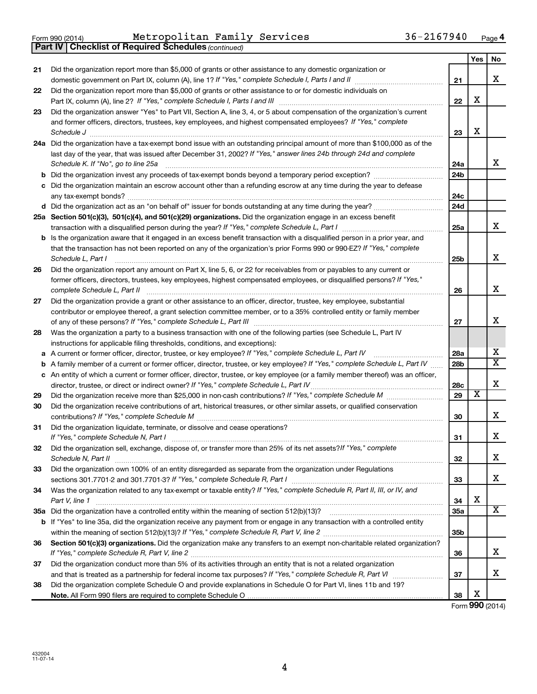|    | <b>Part IV   Checklist of Required Schedules (continued)</b>                                                                                                                                                                   |                 |                         |                         |
|----|--------------------------------------------------------------------------------------------------------------------------------------------------------------------------------------------------------------------------------|-----------------|-------------------------|-------------------------|
|    |                                                                                                                                                                                                                                |                 | Yes                     | No                      |
| 21 | Did the organization report more than \$5,000 of grants or other assistance to any domestic organization or                                                                                                                    |                 |                         |                         |
|    |                                                                                                                                                                                                                                | 21              |                         | х                       |
| 22 | Did the organization report more than \$5,000 of grants or other assistance to or for domestic individuals on                                                                                                                  |                 |                         |                         |
|    |                                                                                                                                                                                                                                | 22              | х                       |                         |
| 23 | Did the organization answer "Yes" to Part VII, Section A, line 3, 4, or 5 about compensation of the organization's current                                                                                                     |                 |                         |                         |
|    | and former officers, directors, trustees, key employees, and highest compensated employees? If "Yes," complete                                                                                                                 |                 |                         |                         |
|    | Schedule J <b>Execute Schedule J Execute Schedule J</b>                                                                                                                                                                        | 23              | х                       |                         |
|    | 24a Did the organization have a tax-exempt bond issue with an outstanding principal amount of more than \$100,000 as of the                                                                                                    |                 |                         |                         |
|    | last day of the year, that was issued after December 31, 2002? If "Yes," answer lines 24b through 24d and complete                                                                                                             |                 |                         |                         |
|    | Schedule K. If "No", go to line 25a                                                                                                                                                                                            | 24a             |                         | x                       |
|    |                                                                                                                                                                                                                                | 24 <sub>b</sub> |                         |                         |
|    | Did the organization maintain an escrow account other than a refunding escrow at any time during the year to defease                                                                                                           |                 |                         |                         |
|    |                                                                                                                                                                                                                                | 24c             |                         |                         |
|    |                                                                                                                                                                                                                                | 24 <sub>d</sub> |                         |                         |
|    | 25a Section 501(c)(3), 501(c)(4), and 501(c)(29) organizations. Did the organization engage in an excess benefit                                                                                                               |                 |                         |                         |
|    | transaction with a disqualified person during the year? If "Yes," complete Schedule L, Part I manual manual manual manual manual manual manual manual manual manual manual manual manual manual manual manual manual manual ma | 25a             |                         | х                       |
|    | Is the organization aware that it engaged in an excess benefit transaction with a disqualified person in a prior year, and                                                                                                     |                 |                         |                         |
|    | that the transaction has not been reported on any of the organization's prior Forms 990 or 990-EZ? If "Yes," complete                                                                                                          |                 |                         |                         |
|    | Schedule L, Part I                                                                                                                                                                                                             | 25b             |                         | x                       |
| 26 | Did the organization report any amount on Part X, line 5, 6, or 22 for receivables from or payables to any current or                                                                                                          |                 |                         |                         |
|    | former officers, directors, trustees, key employees, highest compensated employees, or disqualified persons? If "Yes,"                                                                                                         |                 |                         |                         |
|    | complete Schedule L, Part II                                                                                                                                                                                                   | 26              |                         | x                       |
| 27 | Did the organization provide a grant or other assistance to an officer, director, trustee, key employee, substantial                                                                                                           |                 |                         |                         |
|    | contributor or employee thereof, a grant selection committee member, or to a 35% controlled entity or family member                                                                                                            |                 |                         |                         |
|    |                                                                                                                                                                                                                                | 27              |                         | х                       |
| 28 | Was the organization a party to a business transaction with one of the following parties (see Schedule L, Part IV                                                                                                              |                 |                         |                         |
|    | instructions for applicable filing thresholds, conditions, and exceptions):                                                                                                                                                    |                 |                         |                         |
| а  | A current or former officer, director, trustee, or key employee? If "Yes," complete Schedule L, Part IV                                                                                                                        | 28a             |                         | x                       |
| b  | A family member of a current or former officer, director, trustee, or key employee? If "Yes," complete Schedule L, Part IV                                                                                                     | 28 <sub>b</sub> |                         | $\overline{\mathtt{x}}$ |
|    | c An entity of which a current or former officer, director, trustee, or key employee (or a family member thereof) was an officer,                                                                                              |                 |                         |                         |
|    | director, trustee, or direct or indirect owner? If "Yes," complete Schedule L, Part IV                                                                                                                                         | 28c             |                         | х                       |
| 29 |                                                                                                                                                                                                                                | 29              | $\overline{\texttt{x}}$ |                         |
| 30 | Did the organization receive contributions of art, historical treasures, or other similar assets, or qualified conservation                                                                                                    |                 |                         |                         |
|    |                                                                                                                                                                                                                                | 30              |                         | х                       |
| 31 | Did the organization liquidate, terminate, or dissolve and cease operations?                                                                                                                                                   |                 |                         |                         |
|    | If "Yes," complete Schedule N, Part I                                                                                                                                                                                          | 31              |                         | ▵                       |
| 32 | Did the organization sell, exchange, dispose of, or transfer more than 25% of its net assets? If "Yes," complete                                                                                                               |                 |                         |                         |
|    | Schedule N, Part II                                                                                                                                                                                                            | 32              |                         | x                       |
| 33 | Did the organization own 100% of an entity disregarded as separate from the organization under Regulations                                                                                                                     |                 |                         |                         |
|    |                                                                                                                                                                                                                                | 33              |                         | x                       |
| 34 | Was the organization related to any tax-exempt or taxable entity? If "Yes," complete Schedule R, Part II, III, or IV, and                                                                                                      |                 |                         |                         |
|    | Part V, line 1                                                                                                                                                                                                                 | 34              | х                       |                         |
|    |                                                                                                                                                                                                                                | 35a             |                         | x                       |
|    | b If "Yes" to line 35a, did the organization receive any payment from or engage in any transaction with a controlled entity                                                                                                    |                 |                         |                         |
|    |                                                                                                                                                                                                                                | 35b             |                         |                         |
| 36 | Section 501(c)(3) organizations. Did the organization make any transfers to an exempt non-charitable related organization?                                                                                                     |                 |                         |                         |
|    |                                                                                                                                                                                                                                | 36              |                         | x                       |
| 37 | Did the organization conduct more than 5% of its activities through an entity that is not a related organization                                                                                                               |                 |                         |                         |
|    |                                                                                                                                                                                                                                | 37              |                         | x                       |
| 38 | Did the organization complete Schedule O and provide explanations in Schedule O for Part VI, lines 11b and 19?                                                                                                                 |                 |                         |                         |
|    |                                                                                                                                                                                                                                | 38              | х                       |                         |

Form (2014) **990**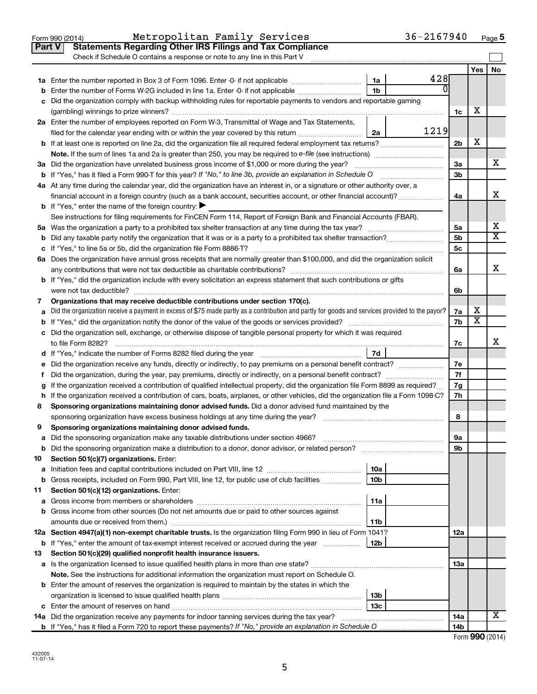|    | Metropolitan Family Services<br>Form 990 (2014)                                                                                                 |                 | 36-2167940 |          |                         | Page 5                       |
|----|-------------------------------------------------------------------------------------------------------------------------------------------------|-----------------|------------|----------|-------------------------|------------------------------|
|    | <b>Statements Regarding Other IRS Filings and Tax Compliance</b><br><b>Part V</b>                                                               |                 |            |          |                         |                              |
|    | Check if Schedule O contains a response or note to any line in this Part V                                                                      |                 |            |          |                         |                              |
|    |                                                                                                                                                 |                 |            |          | Yes                     | No                           |
|    |                                                                                                                                                 | 1a              | 428        |          |                         |                              |
|    | Enter the number of Forms W-2G included in line 1a. Enter -0- if not applicable                                                                 | 1b              |            |          |                         |                              |
|    | c Did the organization comply with backup withholding rules for reportable payments to vendors and reportable gaming                            |                 |            |          |                         |                              |
|    |                                                                                                                                                 |                 |            | 1c       | х                       |                              |
|    | 2a Enter the number of employees reported on Form W-3, Transmittal of Wage and Tax Statements,                                                  |                 |            |          |                         |                              |
|    | filed for the calendar year ending with or within the year covered by this return                                                               | 2a              | 1219       |          |                         |                              |
|    |                                                                                                                                                 |                 |            | 2b       | х                       |                              |
|    |                                                                                                                                                 |                 |            |          |                         |                              |
|    |                                                                                                                                                 |                 |            |          |                         | x                            |
|    | 3a Did the organization have unrelated business gross income of \$1,000 or more during the year?                                                |                 |            | За<br>3b |                         |                              |
|    | b If "Yes," has it filed a Form 990-T for this year? If "No," to line 3b, provide an explanation in Schedule O                                  |                 |            |          |                         |                              |
|    | 4a At any time during the calendar year, did the organization have an interest in, or a signature or other authority over, a                    |                 |            |          |                         | х                            |
|    | financial account in a foreign country (such as a bank account, securities account, or other financial account)?                                |                 |            | 4a       |                         |                              |
|    | <b>b</b> If "Yes," enter the name of the foreign country: $\blacktriangleright$                                                                 |                 |            |          |                         |                              |
|    | See instructions for filing requirements for FinCEN Form 114, Report of Foreign Bank and Financial Accounts (FBAR).                             |                 |            |          |                         |                              |
|    |                                                                                                                                                 |                 |            | 5a       |                         | х<br>$\overline{\texttt{x}}$ |
|    |                                                                                                                                                 |                 |            | 5b       |                         |                              |
|    | c If "Yes," to line 5a or 5b, did the organization file Form 8886-T?                                                                            |                 |            | 5c       |                         |                              |
|    | 6a Does the organization have annual gross receipts that are normally greater than \$100,000, and did the organization solicit                  |                 |            |          |                         |                              |
|    | any contributions that were not tax deductible as charitable contributions?                                                                     |                 |            | 6a       |                         | x                            |
|    | <b>b</b> If "Yes," did the organization include with every solicitation an express statement that such contributions or gifts                   |                 |            |          |                         |                              |
|    | were not tax deductible?                                                                                                                        |                 |            | 6b       |                         |                              |
| 7  | Organizations that may receive deductible contributions under section 170(c).                                                                   |                 |            |          |                         |                              |
| a  | Did the organization receive a payment in excess of \$75 made partly as a contribution and partly for goods and services provided to the payor? |                 |            | 7a       | x                       |                              |
|    | <b>b</b> If "Yes," did the organization notify the donor of the value of the goods or services provided?                                        |                 |            | 7b       | $\overline{\textbf{x}}$ |                              |
|    | c Did the organization sell, exchange, or otherwise dispose of tangible personal property for which it was required                             |                 |            |          |                         |                              |
|    | to file Form 8282?                                                                                                                              |                 |            | 7c       |                         | x                            |
|    | d If "Yes," indicate the number of Forms 8282 filed during the year                                                                             | 7d              |            |          |                         |                              |
|    | Did the organization receive any funds, directly or indirectly, to pay premiums on a personal benefit contract?                                 |                 |            | 7е       |                         |                              |
| Ť. |                                                                                                                                                 |                 |            | 7f       |                         |                              |
|    | If the organization received a contribution of qualified intellectual property, did the organization file Form 8899 as required?                |                 |            | 7g       |                         |                              |
|    | h If the organization received a contribution of cars, boats, airplanes, or other vehicles, did the organization file a Form 1098-C?            |                 |            | 7h       |                         |                              |
| 8  | Sponsoring organizations maintaining donor advised funds. Did a donor advised fund maintained by the                                            |                 |            |          |                         |                              |
|    | sponsoring organization have excess business holdings at any time during the year?                                                              |                 |            | 8        |                         |                              |
| 9  | Sponsoring organizations maintaining donor advised funds.                                                                                       |                 |            |          |                         |                              |
| а  | Did the sponsoring organization make any taxable distributions under section 4966?                                                              |                 |            | 9а       |                         |                              |
| b  | Did the sponsoring organization make a distribution to a donor, donor advisor, or related person?                                               |                 |            | 9b       |                         |                              |
| 10 | Section 501(c)(7) organizations. Enter:                                                                                                         |                 |            |          |                         |                              |
| а  |                                                                                                                                                 | 10a             |            |          |                         |                              |
| b  | Gross receipts, included on Form 990, Part VIII, line 12, for public use of club facilities                                                     | 10 <sub>b</sub> |            |          |                         |                              |
| 11 | Section 501(c)(12) organizations. Enter:                                                                                                        |                 |            |          |                         |                              |
| а  | Gross income from members or shareholders                                                                                                       | 11a             |            |          |                         |                              |
| b  | Gross income from other sources (Do not net amounts due or paid to other sources against                                                        |                 |            |          |                         |                              |
|    |                                                                                                                                                 | 11 <sub>b</sub> |            |          |                         |                              |
|    | 12a Section 4947(a)(1) non-exempt charitable trusts. Is the organization filing Form 990 in lieu of Form 1041?                                  |                 |            | 12a      |                         |                              |
|    | <b>b</b> If "Yes," enter the amount of tax-exempt interest received or accrued during the year                                                  | 12b             |            |          |                         |                              |
| 13 | Section 501(c)(29) qualified nonprofit health insurance issuers.                                                                                |                 |            |          |                         |                              |
| а  | Is the organization licensed to issue qualified health plans in more than one state?                                                            |                 |            | 13a      |                         |                              |
|    | Note. See the instructions for additional information the organization must report on Schedule O.                                               |                 |            |          |                         |                              |
| b  | Enter the amount of reserves the organization is required to maintain by the states in which the                                                |                 |            |          |                         |                              |
|    |                                                                                                                                                 | 13b             |            |          |                         |                              |
|    |                                                                                                                                                 | 13c             |            |          |                         |                              |
|    | <b>14a</b> Did the organization receive any payments for indoor tanning services during the tax year?                                           |                 |            | 14a      |                         | х                            |
|    | <b>b</b> If "Yes," has it filed a Form 720 to report these payments? If "No," provide an explanation in Schedule O                              |                 |            | 14b      |                         |                              |

| Form 990 (2014) |  |
|-----------------|--|
|-----------------|--|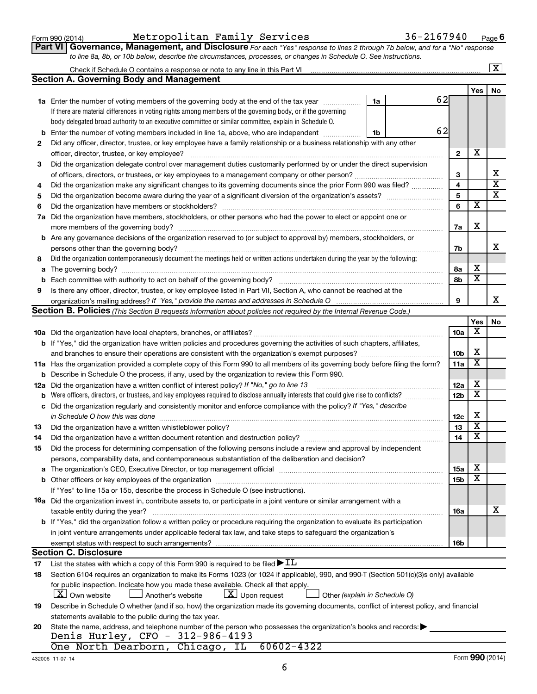| Form 990 (2014) |  |
|-----------------|--|
|-----------------|--|

### Form 990 (2014) Metropolitan Family Services  $36-2167940$  Page

**Part VI** Governance, Management, and Disclosure For each "Yes" response to lines 2 through 7b below, and for a "No" response *to line 8a, 8b, or 10b below, describe the circumstances, processes, or changes in Schedule O. See instructions.*

|    |                                                                                                                                                                                                                               |                          |                              | $\overline{\text{X}}$   |
|----|-------------------------------------------------------------------------------------------------------------------------------------------------------------------------------------------------------------------------------|--------------------------|------------------------------|-------------------------|
|    | <b>Section A. Governing Body and Management</b>                                                                                                                                                                               |                          |                              |                         |
|    |                                                                                                                                                                                                                               |                          | <b>Yes</b>                   | No                      |
|    | 62<br>1a Enter the number of voting members of the governing body at the end of the tax year<br>1a                                                                                                                            |                          |                              |                         |
|    | If there are material differences in voting rights among members of the governing body, or if the governing                                                                                                                   |                          |                              |                         |
|    | body delegated broad authority to an executive committee or similar committee, explain in Schedule O.                                                                                                                         |                          |                              |                         |
| b  | 62<br>Enter the number of voting members included in line 1a, above, who are independent<br>1b                                                                                                                                |                          |                              |                         |
| 2  | Did any officer, director, trustee, or key employee have a family relationship or a business relationship with any other                                                                                                      |                          |                              |                         |
|    | officer, director, trustee, or key employee?                                                                                                                                                                                  | $\mathbf{2}$             | X                            |                         |
| 3  | Did the organization delegate control over management duties customarily performed by or under the direct supervision                                                                                                         |                          |                              |                         |
|    | of officers, directors, or trustees, or key employees to a management company or other person?                                                                                                                                | 3                        |                              | х                       |
| 4  | Did the organization make any significant changes to its governing documents since the prior Form 990 was filed?                                                                                                              | 4                        |                              | $\overline{\text{x}}$   |
| 5  |                                                                                                                                                                                                                               | 5                        |                              | $\overline{\textbf{x}}$ |
| 6  |                                                                                                                                                                                                                               | 6                        | х                            |                         |
|    | 7a Did the organization have members, stockholders, or other persons who had the power to elect or appoint one or                                                                                                             |                          |                              |                         |
|    |                                                                                                                                                                                                                               | 7a                       | X                            |                         |
|    | <b>b</b> Are any governance decisions of the organization reserved to (or subject to approval by) members, stockholders, or                                                                                                   |                          |                              |                         |
|    | persons other than the governing body?                                                                                                                                                                                        | 7b                       |                              | х                       |
| 8  | Did the organization contemporaneously document the meetings held or written actions undertaken during the year by the following:                                                                                             |                          |                              |                         |
|    |                                                                                                                                                                                                                               | 8а                       | х                            |                         |
| b  |                                                                                                                                                                                                                               | 8b                       | $\overline{\mathbf{x}}$      |                         |
| 9  | Is there any officer, director, trustee, or key employee listed in Part VII, Section A, who cannot be reached at the                                                                                                          |                          |                              |                         |
|    | organization's mailing address? If "Yes," provide the names and addresses in Schedule O                                                                                                                                       | 9                        |                              | х                       |
|    | Section B. Policies (This Section B requests information about policies not required by the Internal Revenue Code.)                                                                                                           |                          |                              |                         |
|    |                                                                                                                                                                                                                               |                          | Yes                          | No                      |
|    |                                                                                                                                                                                                                               | 10a                      | х                            |                         |
|    | <b>b</b> If "Yes," did the organization have written policies and procedures governing the activities of such chapters, affiliates,                                                                                           |                          |                              |                         |
|    | and branches to ensure their operations are consistent with the organization's exempt purposes?                                                                                                                               | 10b                      | х                            |                         |
|    | 11a Has the organization provided a complete copy of this Form 990 to all members of its governing body before filing the form?                                                                                               | 11a                      | $\overline{\textbf{x}}$      |                         |
|    | <b>b</b> Describe in Schedule O the process, if any, used by the organization to review this Form 990.                                                                                                                        |                          |                              |                         |
|    | 12a Did the organization have a written conflict of interest policy? If "No," go to line 13                                                                                                                                   | 12a                      | х                            |                         |
|    | <b>b</b> Were officers, directors, or trustees, and key employees required to disclose annually interests that could give rise to conflicts?                                                                                  | 12b                      | $\overline{\textbf{x}}$      |                         |
|    | c Did the organization regularly and consistently monitor and enforce compliance with the policy? If "Yes," describe                                                                                                          |                          |                              |                         |
|    | in Schedule O how this was done manufactured and the state of the state of the state of the state of the state of the state of the state of the state of the state of the state of the state of the state of the state of the | 12c                      | х<br>$\overline{\textbf{x}}$ |                         |
| 13 | Did the organization have a written whistleblower policy?                                                                                                                                                                     | 13                       | X                            |                         |
| 14 |                                                                                                                                                                                                                               | 14                       |                              |                         |
| 15 | Did the process for determining compensation of the following persons include a review and approval by independent                                                                                                            |                          |                              |                         |
|    | persons, comparability data, and contemporaneous substantiation of the deliberation and decision?                                                                                                                             |                          | х                            |                         |
|    |                                                                                                                                                                                                                               | <b>15a</b><br><b>15b</b> | х                            |                         |
|    |                                                                                                                                                                                                                               |                          |                              |                         |
|    | If "Yes" to line 15a or 15b, describe the process in Schedule O (see instructions).<br>16a Did the organization invest in, contribute assets to, or participate in a joint venture or similar arrangement with a              |                          |                              |                         |
|    | taxable entity during the year?                                                                                                                                                                                               | 16a                      |                              | х                       |
|    | b If "Yes," did the organization follow a written policy or procedure requiring the organization to evaluate its participation                                                                                                |                          |                              |                         |
|    | in joint venture arrangements under applicable federal tax law, and take steps to safeguard the organization's                                                                                                                |                          |                              |                         |
|    | exempt status with respect to such arrangements?                                                                                                                                                                              | 16b                      |                              |                         |
|    | <b>Section C. Disclosure</b>                                                                                                                                                                                                  |                          |                              |                         |
| 17 | List the states with which a copy of this Form 990 is required to be filed $\blacktriangleright$ IL                                                                                                                           |                          |                              |                         |
| 18 | Section 6104 requires an organization to make its Forms 1023 (or 1024 if applicable), 990, and 990-T (Section 501(c)(3)s only) available                                                                                      |                          |                              |                         |
|    | for public inspection. Indicate how you made these available. Check all that apply.                                                                                                                                           |                          |                              |                         |
|    | $X$ Own website<br>$\lfloor x \rfloor$ Upon request<br>Another's website<br>Other (explain in Schedule O)                                                                                                                     |                          |                              |                         |
| 19 | Describe in Schedule O whether (and if so, how) the organization made its governing documents, conflict of interest policy, and financial                                                                                     |                          |                              |                         |
|    | statements available to the public during the tax year.                                                                                                                                                                       |                          |                              |                         |
| 20 | State the name, address, and telephone number of the person who possesses the organization's books and records:                                                                                                               |                          |                              |                         |
|    | Denis Hurley, CFO - 312-986-4193                                                                                                                                                                                              |                          |                              |                         |
|    | One North Dearborn, Chicago, IL<br>60602-4322                                                                                                                                                                                 |                          |                              |                         |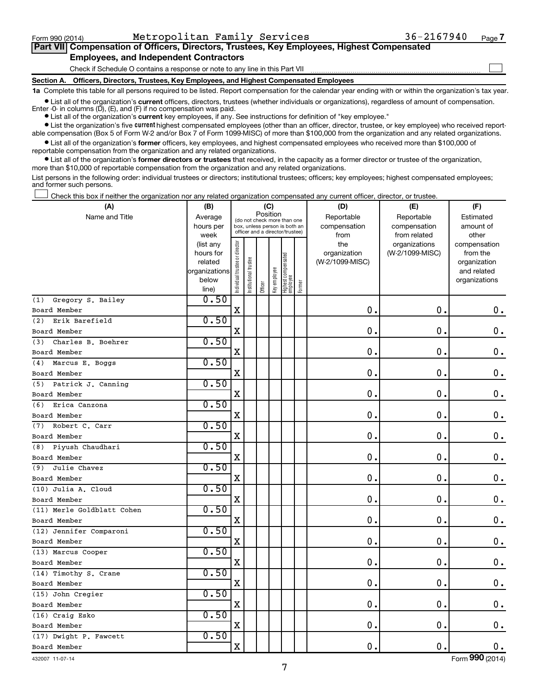Form 990 (2014) Metropolitan Family Services  $36-2167940$  Page

 $\Box$ 

| Part VII Compensation of Officers, Directors, Trustees, Key Employees, Highest Compensated |
|--------------------------------------------------------------------------------------------|
| <b>Employees, and Independent Contractors</b>                                              |

Check if Schedule O contains a response or note to any line in this Part VII

**Section A. Officers, Directors, Trustees, Key Employees, and Highest Compensated Employees**

**1a**  Complete this table for all persons required to be listed. Report compensation for the calendar year ending with or within the organization's tax year.

**•** List all of the organization's current officers, directors, trustees (whether individuals or organizations), regardless of amount of compensation. Enter -0- in columns  $(D)$ ,  $(E)$ , and  $(F)$  if no compensation was paid.

**•** List all of the organization's **current** key employees, if any. See instructions for definition of "key employee."

**•** List the organization's five current highest compensated employees (other than an officer, director, trustee, or key employee) who received reportable compensation (Box 5 of Form W-2 and/or Box 7 of Form 1099-MISC) of more than \$100,000 from the organization and any related organizations.

**•** List all of the organization's former officers, key employees, and highest compensated employees who received more than \$100,000 of reportable compensation from the organization and any related organizations.

**•** List all of the organization's former directors or trustees that received, in the capacity as a former director or trustee of the organization, more than \$10,000 of reportable compensation from the organization and any related organizations.

List persons in the following order: individual trustees or directors; institutional trustees; officers; key employees; highest compensated employees; and former such persons.

Check this box if neither the organization nor any related organization compensated any current officer, director, or trustee.  $\Box$ 

| (A)                        | (B)                    | (C)                                     |                                                                  |         |              |                                 |        | (D)                 | (E)                              | (F)                      |
|----------------------------|------------------------|-----------------------------------------|------------------------------------------------------------------|---------|--------------|---------------------------------|--------|---------------------|----------------------------------|--------------------------|
| Name and Title             | Average                | Position<br>(do not check more than one |                                                                  |         |              |                                 |        | Reportable          | Reportable                       | Estimated                |
|                            | hours per              |                                         | box, unless person is both an<br>officer and a director/trustee) |         |              |                                 |        | compensation        | compensation                     | amount of                |
|                            | week                   |                                         |                                                                  |         |              |                                 |        | from                | from related                     | other                    |
|                            | (list any<br>hours for |                                         |                                                                  |         |              |                                 |        | the<br>organization | organizations<br>(W-2/1099-MISC) | compensation<br>from the |
|                            | related                |                                         |                                                                  |         |              |                                 |        | (W-2/1099-MISC)     |                                  | organization             |
|                            | organizations          |                                         |                                                                  |         |              |                                 |        |                     |                                  | and related              |
|                            | below                  | ndividual trustee or director           | nstitutional trustee                                             |         | Key employee |                                 |        |                     |                                  | organizations            |
|                            | line)                  |                                         |                                                                  | Officer |              | Highest compensated<br>employee | Former |                     |                                  |                          |
| Gregory S. Bailey<br>(1)   | 0.50                   |                                         |                                                                  |         |              |                                 |        |                     |                                  |                          |
| Board Member               |                        | $\mathbf X$                             |                                                                  |         |              |                                 |        | 0.                  | $\mathbf 0$                      | 0.                       |
| Erik Barefield<br>(2)      | 0.50                   |                                         |                                                                  |         |              |                                 |        |                     |                                  |                          |
| Board Member               |                        | $\mathbf X$                             |                                                                  |         |              |                                 |        | 0                   | $\mathbf 0$                      | $\mathbf 0$ .            |
| Charles B. Boehrer<br>(3)  | 0.50                   |                                         |                                                                  |         |              |                                 |        |                     |                                  |                          |
| Board Member               |                        | $\mathbf X$                             |                                                                  |         |              |                                 |        | 0                   | $\mathbf 0$                      | $\mathbf 0$ .            |
| Marcus E. Boggs<br>(4)     | 0.50                   |                                         |                                                                  |         |              |                                 |        |                     |                                  |                          |
| Board Member               |                        | $\mathbf X$                             |                                                                  |         |              |                                 |        | $\mathbf 0$ .       | $\mathbf 0$                      | 0.                       |
| (5) Patrick J. Canning     | 0.50                   |                                         |                                                                  |         |              |                                 |        |                     |                                  |                          |
| Board Member               |                        | $\mathbf X$                             |                                                                  |         |              |                                 |        | 0.                  | $\mathbf 0$ .                    | $\mathbf 0$ .            |
| Erica Canzona<br>(6)       | 0.50                   |                                         |                                                                  |         |              |                                 |        |                     |                                  |                          |
| Board Member               |                        | $\mathbf X$                             |                                                                  |         |              |                                 |        | $\mathbf 0$ .       | $\mathbf 0$ .                    | 0.                       |
| Robert C. Carr<br>(7)      | 0.50                   |                                         |                                                                  |         |              |                                 |        |                     |                                  |                          |
| Board Member               |                        | X                                       |                                                                  |         |              |                                 |        | $\mathbf 0$ .       | $\mathbf 0$ .                    | $0$ .                    |
| Piyush Chaudhari<br>(8)    | 0.50                   |                                         |                                                                  |         |              |                                 |        |                     |                                  |                          |
| Board Member               |                        | $\mathbf X$                             |                                                                  |         |              |                                 |        | 0.                  | $\mathbf 0$ .                    | $\mathbf 0$ .            |
| Julie Chavez<br>(9)        | 0.50                   |                                         |                                                                  |         |              |                                 |        |                     |                                  |                          |
| Board Member               |                        | $\mathbf X$                             |                                                                  |         |              |                                 |        | 0.                  | $\mathbf 0$ .                    | $\mathbf 0$ .            |
| (10) Julia A. Cloud        | 0.50                   |                                         |                                                                  |         |              |                                 |        |                     |                                  |                          |
| Board Member               |                        | $\mathbf X$                             |                                                                  |         |              |                                 |        | 0.                  | $\mathbf 0$ .                    | $\mathbf 0$ .            |
| (11) Merle Goldblatt Cohen | 0.50                   |                                         |                                                                  |         |              |                                 |        |                     |                                  |                          |
| Board Member               |                        | $\mathbf X$                             |                                                                  |         |              |                                 |        | $\mathbf{0}$ .      | $\mathbf 0$ .                    | 0.                       |
| (12) Jennifer Comparoni    | 0.50                   |                                         |                                                                  |         |              |                                 |        |                     |                                  |                          |
| Board Member               |                        | $\mathbf X$                             |                                                                  |         |              |                                 |        | $\mathbf 0$ .       | $\mathbf 0$ .                    | 0.                       |
| (13) Marcus Cooper         | 0.50                   |                                         |                                                                  |         |              |                                 |        |                     |                                  |                          |
| Board Member               |                        | $\mathbf X$                             |                                                                  |         |              |                                 |        | 0.                  | $\mathbf 0$ .                    | $\mathbf 0$ .            |
| (14) Timothy S. Crane      | 0.50                   |                                         |                                                                  |         |              |                                 |        |                     |                                  |                          |
| Board Member               |                        | $\mathbf X$                             |                                                                  |         |              |                                 |        | 0.                  | $\mathbf 0$ .                    | 0.                       |
| (15) John Cregier          | 0.50                   |                                         |                                                                  |         |              |                                 |        |                     |                                  |                          |
| Board Member               |                        | $\mathbf X$                             |                                                                  |         |              |                                 |        | 0.                  | $\mathbf 0$ .                    | $\mathbf 0$ .            |
| (16) Craig Esko            | 0.50                   |                                         |                                                                  |         |              |                                 |        |                     |                                  |                          |
| Board Member               |                        | $\mathbf X$                             |                                                                  |         |              |                                 |        | $\mathbf 0$ .       | $\mathbf 0$ .                    | 0.                       |
| (17) Dwight P. Fawcett     | 0.50                   |                                         |                                                                  |         |              |                                 |        |                     |                                  |                          |
| Board Member               |                        | $\rm X$                                 |                                                                  |         |              |                                 |        | 0.                  | $\mathbf 0$ .                    | $\mathbf 0$ .            |

432007 11-07-14

Form (2014) **990**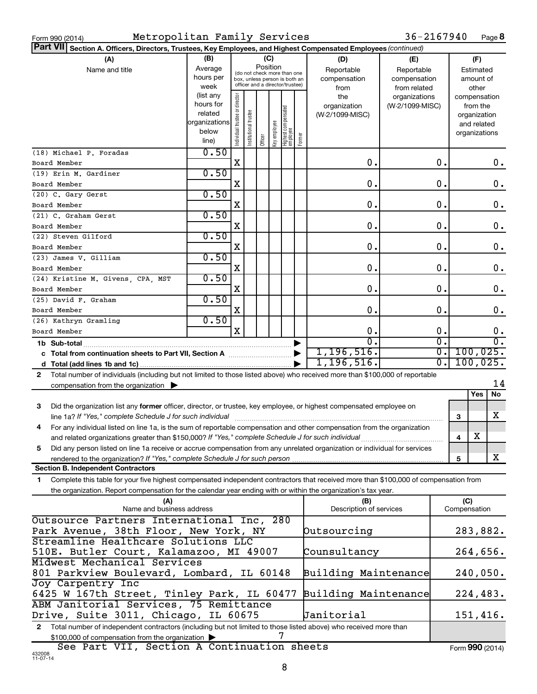| Form 990 (2014) |  |  |
|-----------------|--|--|
|                 |  |  |

36-2167940 Page 8

| Part VII Section A. Officers, Directors, Trustees, Key Employees, and Highest Compensated Employees (continued)                            |                      |                               |                       |         |              |                                 |        |                         |                 |    |              |                              |          |
|--------------------------------------------------------------------------------------------------------------------------------------------|----------------------|-------------------------------|-----------------------|---------|--------------|---------------------------------|--------|-------------------------|-----------------|----|--------------|------------------------------|----------|
| (A)                                                                                                                                        | (B)                  |                               |                       |         | (C)          |                                 |        | (D)                     | (E)             |    |              | (F)                          |          |
| Name and title                                                                                                                             | Average              |                               |                       |         | Position     | (do not check more than one     |        | Reportable              | Reportable      |    |              | Estimated                    |          |
|                                                                                                                                            | hours per            |                               |                       |         |              | box, unless person is both an   |        | compensation            | compensation    |    |              | amount of                    |          |
|                                                                                                                                            | week                 |                               |                       |         |              | officer and a director/trustee) |        | from                    | from related    |    |              | other                        |          |
|                                                                                                                                            | (list any            |                               |                       |         |              |                                 |        | the                     | organizations   |    |              | compensation                 |          |
|                                                                                                                                            | hours for<br>related |                               |                       |         |              |                                 |        | organization            | (W-2/1099-MISC) |    |              | from the                     |          |
|                                                                                                                                            | organizations        |                               |                       |         |              |                                 |        | (W-2/1099-MISC)         |                 |    |              | organization                 |          |
|                                                                                                                                            | below                |                               |                       |         |              |                                 |        |                         |                 |    |              | and related<br>organizations |          |
|                                                                                                                                            | line)                | ndividual trustee or director | Institutional trustee | Officer | Key employee | Highest compensated<br>employee | Former |                         |                 |    |              |                              |          |
| (18) Michael P. Foradas                                                                                                                    | 0.50                 |                               |                       |         |              |                                 |        |                         |                 |    |              |                              |          |
| Board Member                                                                                                                               |                      | X                             |                       |         |              |                                 |        | О.                      |                 | 0. |              |                              | 0.       |
| (19) Erin M. Gardiner                                                                                                                      | 0.50                 |                               |                       |         |              |                                 |        |                         |                 |    |              |                              |          |
| Board Member                                                                                                                               |                      | X                             |                       |         |              |                                 |        | О.                      |                 | 0. |              |                              | 0.       |
| (20) C. Gary Gerst                                                                                                                         | 0.50                 |                               |                       |         |              |                                 |        |                         |                 |    |              |                              |          |
| Board Member                                                                                                                               |                      | X                             |                       |         |              |                                 |        | О.                      |                 | 0. |              |                              | 0.       |
| (21) C. Graham Gerst                                                                                                                       | 0.50                 |                               |                       |         |              |                                 |        |                         |                 |    |              |                              |          |
| Board Member                                                                                                                               |                      | X                             |                       |         |              |                                 |        | 0.                      |                 | 0. |              |                              | 0.       |
| (22) Steven Gilford                                                                                                                        | 0.50                 |                               |                       |         |              |                                 |        |                         |                 |    |              |                              |          |
| Board Member                                                                                                                               |                      | X                             |                       |         |              |                                 |        | 0.                      |                 | 0. |              |                              | 0.       |
| (23) James V. Gilliam                                                                                                                      | 0.50                 |                               |                       |         |              |                                 |        |                         |                 |    |              |                              |          |
| Board Member                                                                                                                               |                      | X                             |                       |         |              |                                 |        | О.                      |                 | 0. |              |                              | 0.       |
| (24) Kristine M. Givens, CPA, MST                                                                                                          | 0.50                 |                               |                       |         |              |                                 |        |                         |                 |    |              |                              |          |
| Board Member                                                                                                                               |                      | X                             |                       |         |              |                                 |        | О.                      |                 | 0. |              |                              | 0.       |
| (25) David F. Graham                                                                                                                       | 0.50                 |                               |                       |         |              |                                 |        |                         |                 |    |              |                              |          |
| Board Member                                                                                                                               |                      | X                             |                       |         |              |                                 |        | О.                      |                 | 0. |              |                              | 0.       |
| (26) Kathryn Gramling                                                                                                                      | 0.50                 |                               |                       |         |              |                                 |        |                         |                 |    |              |                              |          |
| Board Member                                                                                                                               |                      | X                             |                       |         |              |                                 |        | О.                      |                 | О. |              |                              | 0.       |
| 1b Sub-total                                                                                                                               |                      |                               |                       |         |              |                                 |        | $\overline{0}$          |                 | σ. |              |                              | σ.       |
|                                                                                                                                            |                      |                               |                       |         |              |                                 |        | 1, 196, 516.            |                 | σ. |              |                              | 100,025. |
|                                                                                                                                            |                      |                               |                       |         |              |                                 |        | 1, 196, 516.            |                 | О. |              |                              | 100,025. |
| Total number of individuals (including but not limited to those listed above) who received more than \$100,000 of reportable<br>2          |                      |                               |                       |         |              |                                 |        |                         |                 |    |              |                              |          |
| compensation from the organization                                                                                                         |                      |                               |                       |         |              |                                 |        |                         |                 |    |              |                              | 14       |
|                                                                                                                                            |                      |                               |                       |         |              |                                 |        |                         |                 |    |              | Yes                          | No       |
| Did the organization list any former officer, director, or trustee, key employee, or highest compensated employee on<br>3                  |                      |                               |                       |         |              |                                 |        |                         |                 |    |              |                              | x        |
|                                                                                                                                            |                      |                               |                       |         |              |                                 |        |                         |                 |    | 3            |                              |          |
| For any individual listed on line 1a, is the sum of reportable compensation and other compensation from the organization<br>4              |                      |                               |                       |         |              |                                 |        |                         |                 |    |              | X                            |          |
| Did any person listed on line 1a receive or accrue compensation from any unrelated organization or individual for services                 |                      |                               |                       |         |              |                                 |        |                         |                 |    | 4            |                              |          |
| 5<br>rendered to the organization? If "Yes," complete Schedule J for such person.                                                          |                      |                               |                       |         |              |                                 |        |                         |                 |    | 5            |                              | X        |
| <b>Section B. Independent Contractors</b>                                                                                                  |                      |                               |                       |         |              |                                 |        |                         |                 |    |              |                              |          |
| Complete this table for your five highest compensated independent contractors that received more than \$100,000 of compensation from<br>1. |                      |                               |                       |         |              |                                 |        |                         |                 |    |              |                              |          |
| the organization. Report compensation for the calendar year ending with or within the organization's tax year.                             |                      |                               |                       |         |              |                                 |        |                         |                 |    |              |                              |          |
| (A)                                                                                                                                        |                      |                               |                       |         |              |                                 |        | (B)                     |                 |    | (C)          |                              |          |
| Name and business address                                                                                                                  |                      |                               |                       |         |              |                                 |        | Description of services |                 |    | Compensation |                              |          |
| Outsource Partners International Inc, 280                                                                                                  |                      |                               |                       |         |              |                                 |        |                         |                 |    |              |                              |          |
| Park Avenue, 38th Floor, New York, NY                                                                                                      |                      |                               |                       |         |              |                                 |        | Dutsourcing             |                 |    |              |                              | 283,882. |
| Streamline Healthcare Solutions LLC                                                                                                        |                      |                               |                       |         |              |                                 |        |                         |                 |    |              |                              |          |
| 510E. Butler Court, Kalamazoo, MI 49007<br>Counsultancy                                                                                    |                      |                               |                       |         |              |                                 |        |                         | 264,656.        |    |              |                              |          |
| Midwest Mechanical Services                                                                                                                |                      |                               |                       |         |              |                                 |        |                         |                 |    |              |                              |          |
| 801 Parkview Boulevard, Lombard, IL 60148<br>240,050.<br>Building Maintenance                                                              |                      |                               |                       |         |              |                                 |        |                         |                 |    |              |                              |          |
| Joy Carpentry Inc                                                                                                                          |                      |                               |                       |         |              |                                 |        |                         |                 |    |              |                              |          |
| 6425 W 167th Street, Tinley Park, IL 60477                                                                                                 |                      |                               |                       |         |              |                                 |        | Building Maintenance    |                 |    |              |                              | 224,483. |
| ABM Janitorial Services, 75 Remittance                                                                                                     |                      |                               |                       |         |              |                                 |        |                         |                 |    |              |                              |          |
| Drive, Suite 3011, Chicago, IL 60675                                                                                                       |                      |                               |                       |         |              |                                 |        | <b>Janitorial</b>       |                 |    |              |                              | 151,416. |
| Total number of independent contractors (including but not limited to those listed above) who received more than<br>$\mathbf{2}$           |                      |                               |                       |         |              |                                 |        |                         |                 |    |              |                              |          |
| \$100,000 of compensation from the organization                                                                                            |                      |                               |                       |         |              | 7                               |        |                         |                 |    |              |                              |          |

432008 11-07-14 See Part VII, Section A Continuation sheets Form (2014) **990**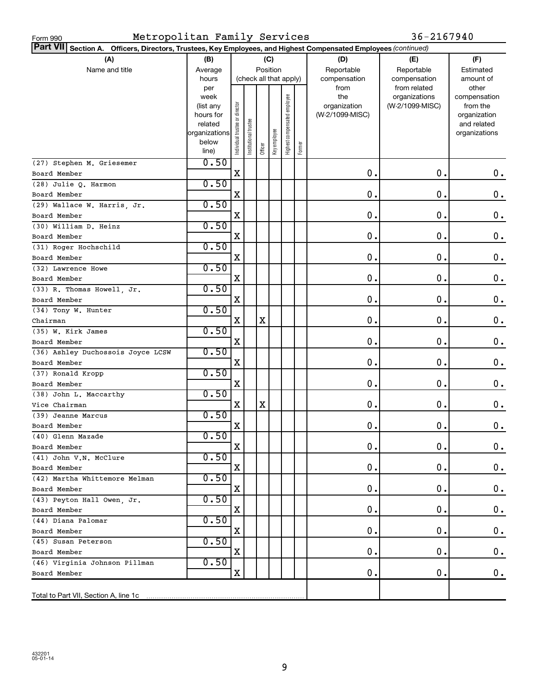| Metropolitan Family Services<br>Form 990                                                                                  |                   |                                |                        |         |              |                              |        |                     | 36-2167940                       |                          |
|---------------------------------------------------------------------------------------------------------------------------|-------------------|--------------------------------|------------------------|---------|--------------|------------------------------|--------|---------------------|----------------------------------|--------------------------|
| <b>Part VII</b><br>Section A. Officers, Directors, Trustees, Key Employees, and Highest Compensated Employees (continued) |                   |                                |                        |         |              |                              |        |                     |                                  |                          |
| (A)                                                                                                                       | (B)               |                                |                        |         | (C)          |                              |        | (D)                 | (E)                              | (F)                      |
| Name and title                                                                                                            | Average           |                                |                        |         | Position     |                              |        | Reportable          | Reportable                       | Estimated                |
|                                                                                                                           | hours             |                                | (check all that apply) |         |              |                              |        | compensation        | compensation                     | amount of                |
|                                                                                                                           | per               |                                |                        |         |              |                              |        | from                | from related                     | other                    |
|                                                                                                                           | week<br>(list any |                                |                        |         |              |                              |        | the<br>organization | organizations<br>(W-2/1099-MISC) | compensation<br>from the |
|                                                                                                                           | hours for         |                                |                        |         |              |                              |        | (W-2/1099-MISC)     |                                  | organization             |
|                                                                                                                           | related           |                                |                        |         |              |                              |        |                     |                                  | and related              |
|                                                                                                                           | organizations     |                                |                        |         |              |                              |        |                     |                                  | organizations            |
|                                                                                                                           | below             | Individual trustee or director | Institutional trustee  | Officer | Key employee | Highest compensated employee | Former |                     |                                  |                          |
|                                                                                                                           | line)<br>0.50     |                                |                        |         |              |                              |        |                     |                                  |                          |
| (27) Stephen M. Griesemer<br>Board Member                                                                                 |                   | $\mathbf X$                    |                        |         |              |                              |        | 0.                  | 0.                               | $0\cdot$                 |
| (28) Julie Q. Harmon                                                                                                      | 0.50              |                                |                        |         |              |                              |        |                     |                                  |                          |
| Board Member                                                                                                              |                   | X                              |                        |         |              |                              |        | 0.                  | $\mathbf 0$ .                    | 0.                       |
| (29) Wallace W. Harris, Jr.                                                                                               | 0.50              |                                |                        |         |              |                              |        |                     |                                  |                          |
| Board Member                                                                                                              |                   | X                              |                        |         |              |                              |        | 0.                  | 0.                               | 0.                       |
| (30) William D. Heinz                                                                                                     | 0.50              |                                |                        |         |              |                              |        |                     |                                  |                          |
| Board Member                                                                                                              |                   | X                              |                        |         |              |                              |        | 0.                  | 0.                               | 0.                       |
| (31) Roger Hochschild                                                                                                     | 0.50              |                                |                        |         |              |                              |        |                     |                                  |                          |
| Board Member                                                                                                              |                   | X                              |                        |         |              |                              |        | 0.                  | 0.                               | $\mathbf 0$ .            |
| (32) Lawrence Howe                                                                                                        | 0.50              |                                |                        |         |              |                              |        |                     |                                  |                          |
| Board Member                                                                                                              |                   | X                              |                        |         |              |                              |        | 0.                  | 0.                               | 0.                       |
| (33) R. Thomas Howell, Jr.                                                                                                | 0.50              |                                |                        |         |              |                              |        |                     |                                  |                          |
| Board Member                                                                                                              |                   | X                              |                        |         |              |                              |        | 0.                  | 0.                               | 0.                       |
| (34) Tony W. Hunter                                                                                                       | 0.50              |                                |                        |         |              |                              |        |                     |                                  |                          |
| Chairman                                                                                                                  |                   | X                              |                        | X       |              |                              |        | 0.                  | 0.                               | 0.                       |
| (35) W. Kirk James                                                                                                        | 0.50              |                                |                        |         |              |                              |        |                     |                                  |                          |
| Board Member                                                                                                              |                   | X                              |                        |         |              |                              |        | 0.                  | 0.                               | 0.                       |
| (36) Ashley Duchossois Joyce LCSW                                                                                         | 0.50              |                                |                        |         |              |                              |        |                     |                                  |                          |
| Board Member                                                                                                              |                   | X                              |                        |         |              |                              |        | 0.                  | 0.                               | 0.                       |
| (37) Ronald Kropp                                                                                                         | 0.50              |                                |                        |         |              |                              |        |                     |                                  |                          |
| Board Member                                                                                                              | 0.50              | X                              |                        |         |              |                              |        | $\mathbf 0$ .       | 0.                               | 0.                       |
| (38) John L. Maccarthy<br>Vice Chairman                                                                                   |                   | х                              |                        | X       |              |                              |        | $\mathbf 0$         | $\mathbf 0$ .                    | 0.                       |
| (39) Jeanne Marcus                                                                                                        | 0.50              |                                |                        |         |              |                              |        |                     |                                  |                          |
| Board Member                                                                                                              |                   | х                              |                        |         |              |                              |        | 0.                  | 0.                               | $\mathbf 0$ .            |
| (40) Glenn Mazade                                                                                                         | 0.50              |                                |                        |         |              |                              |        |                     |                                  |                          |
| Board Member                                                                                                              |                   | х                              |                        |         |              |                              |        | 0.                  | 0.                               | $\mathbf 0$ .            |
| (41) John V.N. McClure                                                                                                    | 0.50              |                                |                        |         |              |                              |        |                     |                                  |                          |
| Board Member                                                                                                              |                   | х                              |                        |         |              |                              |        | 0.                  | 0.                               | $0$ .                    |
| (42) Martha Whittemore Melman                                                                                             | 0.50              |                                |                        |         |              |                              |        |                     |                                  |                          |
| Board Member                                                                                                              |                   | х                              |                        |         |              |                              |        | 0.                  | 0.                               | $0$ .                    |
| (43) Peyton Hall Owen, Jr.                                                                                                | 0.50              |                                |                        |         |              |                              |        |                     |                                  |                          |
| Board Member                                                                                                              |                   | х                              |                        |         |              |                              |        | 0.                  | 0.                               | $0$ .                    |
| (44) Diana Palomar                                                                                                        | 0.50              |                                |                        |         |              |                              |        |                     |                                  |                          |
| Board Member                                                                                                              |                   | х                              |                        |         |              |                              |        | 0.                  | 0.                               | $0$ .                    |
| (45) Susan Peterson                                                                                                       | 0.50              |                                |                        |         |              |                              |        |                     |                                  |                          |
| Board Member                                                                                                              |                   | X                              |                        |         |              |                              |        | 0.                  | 0.                               | 0.                       |
| (46) Virginia Johnson Pillman                                                                                             | 0.50              |                                |                        |         |              |                              |        |                     |                                  |                          |
| Board Member                                                                                                              |                   | X                              |                        |         |              |                              |        | 0.                  | 0.                               | $0$ .                    |
|                                                                                                                           |                   |                                |                        |         |              |                              |        |                     |                                  |                          |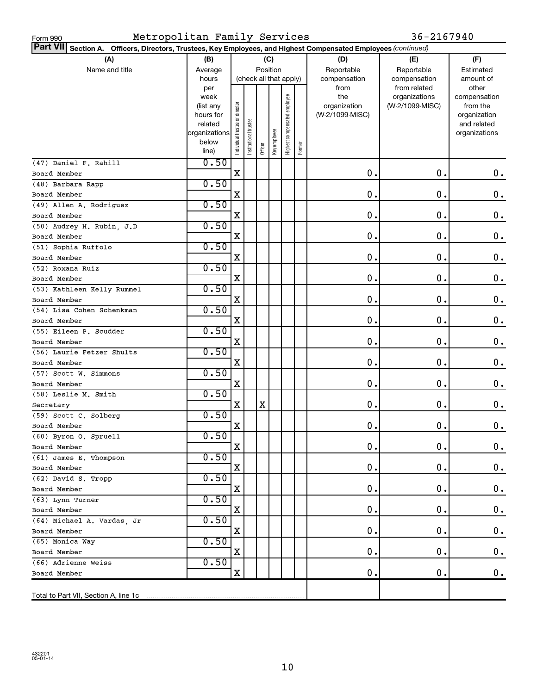| Metropolitan Family Services<br>Form 990                                                                                  |                        |                                |                        |         |              |                              |        |                                 | 36-2167940      |                          |
|---------------------------------------------------------------------------------------------------------------------------|------------------------|--------------------------------|------------------------|---------|--------------|------------------------------|--------|---------------------------------|-----------------|--------------------------|
| <b>Part VII</b><br>Section A. Officers, Directors, Trustees, Key Employees, and Highest Compensated Employees (continued) |                        |                                |                        |         |              |                              |        |                                 |                 |                          |
| (A)                                                                                                                       | (B)                    | (C)                            |                        |         |              |                              |        | (D)                             | (E)             | (F)                      |
| Name and title                                                                                                            | Average                |                                |                        |         | Position     |                              |        | Reportable                      | Reportable      | Estimated                |
|                                                                                                                           | hours                  |                                | (check all that apply) |         |              |                              |        | compensation                    | compensation    | amount of                |
|                                                                                                                           | per                    |                                |                        |         |              |                              |        | from                            | from related    | other                    |
|                                                                                                                           | week                   |                                |                        |         |              |                              |        | the                             | organizations   | compensation             |
|                                                                                                                           | (list any<br>hours for |                                |                        |         |              |                              |        | organization<br>(W-2/1099-MISC) | (W-2/1099-MISC) | from the<br>organization |
|                                                                                                                           | related                |                                |                        |         |              |                              |        |                                 |                 | and related              |
|                                                                                                                           | organizations          |                                |                        |         |              |                              |        |                                 |                 | organizations            |
|                                                                                                                           | below                  | Individual trustee or director | nstitutional trustee   |         | Key employee | Highest compensated employee |        |                                 |                 |                          |
|                                                                                                                           | line)                  |                                |                        | Officer |              |                              | Former |                                 |                 |                          |
| (47) Daniel F. Rahill                                                                                                     | 0.50                   |                                |                        |         |              |                              |        |                                 |                 |                          |
| Board Member                                                                                                              |                        | X                              |                        |         |              |                              |        | 0.                              | $\mathbf 0$ .   | 0.                       |
| (48) Barbara Rapp                                                                                                         | 0.50                   |                                |                        |         |              |                              |        |                                 |                 |                          |
| Board Member                                                                                                              |                        | X                              |                        |         |              |                              |        | 0.                              | 0.              | $\mathbf 0$ .            |
| (49) Allen A. Rodriguez                                                                                                   | 0.50                   |                                |                        |         |              |                              |        |                                 |                 |                          |
| Board Member                                                                                                              |                        | X                              |                        |         |              |                              |        | 0.                              | 0.              | 0.                       |
| (50) Audrey H. Rubin, J.D                                                                                                 | 0.50                   |                                |                        |         |              |                              |        |                                 |                 |                          |
| Board Member                                                                                                              |                        | X                              |                        |         |              |                              |        | 0.                              | 0.              | $\mathbf 0$ .            |
| (51) Sophia Ruffolo                                                                                                       | 0.50                   |                                |                        |         |              |                              |        |                                 |                 |                          |
| Board Member                                                                                                              |                        | X                              |                        |         |              |                              |        | 0.                              | 0.              | $\mathbf 0$ .            |
| (52) Roxana Ruiz                                                                                                          | 0.50                   |                                |                        |         |              |                              |        |                                 |                 |                          |
| Board Member                                                                                                              |                        | X                              |                        |         |              |                              |        | 0.                              | 0.              | $\mathbf 0$ .            |
| (53) Kathleen Kelly Rummel                                                                                                | 0.50                   |                                |                        |         |              |                              |        |                                 |                 |                          |
| Board Member                                                                                                              |                        | X                              |                        |         |              |                              |        | 0.                              | 0.              | $\mathbf 0$ .            |
| (54) Lisa Cohen Schenkman                                                                                                 | 0.50                   |                                |                        |         |              |                              |        |                                 |                 |                          |
| Board Member                                                                                                              |                        | X                              |                        |         |              |                              |        | 0.                              | 0.              | $\mathbf 0$ .            |
| (55) Eileen P. Scudder                                                                                                    | 0.50                   |                                |                        |         |              |                              |        |                                 |                 |                          |
| Board Member                                                                                                              |                        | X                              |                        |         |              |                              |        | 0.                              | 0.              | $\mathbf 0$ .            |
| (56) Laurie Fetzer Shults                                                                                                 | 0.50                   |                                |                        |         |              |                              |        |                                 |                 |                          |
| Board Member                                                                                                              |                        | X                              |                        |         |              |                              |        | 0.                              | 0.              | 0.                       |
| (57) Scott W. Simmons                                                                                                     | 0.50                   |                                |                        |         |              |                              |        |                                 |                 |                          |
| Board Member                                                                                                              |                        | X                              |                        |         |              |                              |        | 0.                              | 0.              | 0.                       |
| (58) Leslie M. Smith                                                                                                      | 0.50                   |                                |                        |         |              |                              |        |                                 |                 |                          |
| Secretary                                                                                                                 |                        | X                              |                        | х       |              |                              |        | $\mathbf 0$ .                   | $\mathbf 0$ .   | 0.                       |
| (59) Scott C. Solberg                                                                                                     | 0.50                   |                                |                        |         |              |                              |        |                                 |                 |                          |
| Board Member                                                                                                              |                        | х                              |                        |         |              |                              |        | 0.                              | 0.              | 0.                       |
| (60) Byron O. Spruell                                                                                                     | 0.50                   |                                |                        |         |              |                              |        |                                 |                 |                          |
| Board Member                                                                                                              |                        | х                              |                        |         |              |                              |        | 0.                              | 0.              | $\mathbf 0$ .            |
| (61) James E. Thompson                                                                                                    | 0.50                   |                                |                        |         |              |                              |        |                                 |                 |                          |
| Board Member                                                                                                              |                        | х                              |                        |         |              |                              |        | 0.                              | 0.              | $\mathbf 0$ .            |
| (62) David S. Tropp                                                                                                       | 0.50                   |                                |                        |         |              |                              |        |                                 |                 |                          |
| Board Member                                                                                                              |                        | х                              |                        |         |              |                              |        | 0.                              | 0.              | $\mathbf 0$ .            |
| (63) Lynn Turner                                                                                                          | 0.50                   |                                |                        |         |              |                              |        |                                 |                 |                          |
| Board Member                                                                                                              |                        | х                              |                        |         |              |                              |        | 0.                              | 0.              | $\mathbf 0$ .            |
| (64) Michael A. Vardas, Jr                                                                                                | 0.50                   |                                |                        |         |              |                              |        |                                 |                 |                          |
| Board Member                                                                                                              |                        | х                              |                        |         |              |                              |        | 0.                              | 0.              | $\mathbf 0$ .            |
| (65) Monica Way                                                                                                           | 0.50                   |                                |                        |         |              |                              |        |                                 |                 |                          |
| Board Member                                                                                                              |                        | х                              |                        |         |              |                              |        | 0.                              | 0.              | $\mathbf 0$ .            |
| (66) Adrienne Weiss                                                                                                       | 0.50                   |                                |                        |         |              |                              |        |                                 |                 |                          |
| Board Member                                                                                                              |                        | X                              |                        |         |              |                              |        | 0.                              | $\mathbf 0$ .   | 0.                       |
|                                                                                                                           |                        |                                |                        |         |              |                              |        |                                 |                 |                          |
| Total to Part VII, Section A, line 1c                                                                                     |                        |                                |                        |         |              |                              |        |                                 |                 |                          |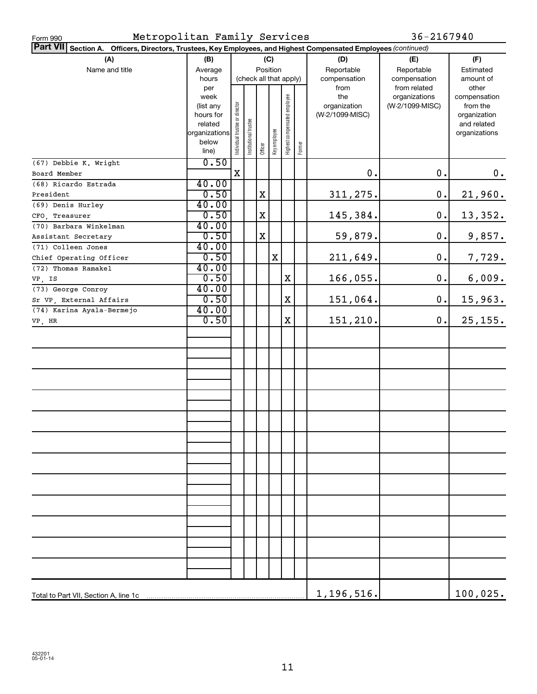| Metropolitan Family Services<br>Form 990                                                                        |               |                                |                        |                         |     |                              |        |                 | 36-2167940      |                  |  |  |
|-----------------------------------------------------------------------------------------------------------------|---------------|--------------------------------|------------------------|-------------------------|-----|------------------------------|--------|-----------------|-----------------|------------------|--|--|
| Part VII Section A. Officers, Directors, Trustees, Key Employees, and Highest Compensated Employees (continued) |               |                                |                        |                         |     |                              |        |                 |                 |                  |  |  |
| (A)                                                                                                             | (B)           |                                |                        |                         | (C) |                              |        | (D)             | (E)             |                  |  |  |
| Name and title                                                                                                  | Average       |                                |                        | Position                |     |                              |        | Reportable      | Reportable      | (F)<br>Estimated |  |  |
|                                                                                                                 | hours         |                                | (check all that apply) |                         |     |                              |        | compensation    | compensation    | amount of        |  |  |
|                                                                                                                 | per           |                                |                        |                         |     |                              |        | from            | from related    | other            |  |  |
|                                                                                                                 | week          |                                |                        |                         |     |                              |        | the             | organizations   | compensation     |  |  |
|                                                                                                                 | (list any     |                                |                        |                         |     |                              |        | organization    | (W-2/1099-MISC) | from the         |  |  |
|                                                                                                                 | hours for     |                                |                        |                         |     |                              |        | (W-2/1099-MISC) |                 | organization     |  |  |
|                                                                                                                 | related       |                                |                        |                         |     |                              |        |                 |                 | and related      |  |  |
|                                                                                                                 | organizations |                                |                        |                         |     |                              |        |                 |                 | organizations    |  |  |
|                                                                                                                 | below         | Individual trustee or director | Institutional trustee  | Officer<br>Key employee |     | Highest compensated employee | Former |                 |                 |                  |  |  |
|                                                                                                                 | line)         |                                |                        |                         |     |                              |        |                 |                 |                  |  |  |
| (67) Debbie K. Wright                                                                                           | 0.50          |                                |                        |                         |     |                              |        |                 |                 |                  |  |  |
| Board Member                                                                                                    |               | X                              |                        |                         |     |                              |        | 0.              | $\mathbf 0$ .   | 0.               |  |  |
| (68) Ricardo Estrada                                                                                            | 40.00         |                                |                        |                         |     |                              |        |                 |                 |                  |  |  |
| President                                                                                                       | 0.50          |                                |                        | $\mathbf X$             |     |                              |        | 311,275.        | $\mathbf 0$ .   | 21,960.          |  |  |
| (69) Denis Hurley                                                                                               | 40.00         |                                |                        |                         |     |                              |        |                 |                 |                  |  |  |
| CFO, Treasurer                                                                                                  | 0.50          |                                |                        | $\mathbf X$             |     |                              |        | 145,384.        | $\mathbf 0$ .   | 13,352.          |  |  |
| (70) Barbara Winkelman                                                                                          | 40.00         |                                |                        |                         |     |                              |        |                 |                 |                  |  |  |
| Assistant Secretary                                                                                             | 0.50          |                                |                        | X                       |     |                              |        | 59,879.         | $\mathbf 0$ .   | 9,857.           |  |  |
| (71) Colleen Jones                                                                                              | 40.00         |                                |                        |                         |     |                              |        |                 |                 |                  |  |  |
| Chief Operating Officer                                                                                         | 0.50          |                                |                        |                         | X   |                              |        | 211,649.        | $\mathbf 0$ .   | 7,729.           |  |  |
| (72) Thomas Ramakel                                                                                             | 40.00         |                                |                        |                         |     |                              |        |                 |                 |                  |  |  |
| VP, IS                                                                                                          | 0.50          |                                |                        |                         |     | $\mathbf X$                  |        | 166,055.        | $\mathbf 0$ .   | 6,009.           |  |  |
| (73) George Conroy                                                                                              | 40.00         |                                |                        |                         |     |                              |        |                 |                 |                  |  |  |
| Sr VP, External Affairs                                                                                         | 0.50          |                                |                        |                         |     | $\mathbf X$                  |        | 151,064.        | $\mathbf 0$ .   | 15,963.          |  |  |
| (74) Karina Ayala-Bermejo                                                                                       | 40.00         |                                |                        |                         |     |                              |        |                 |                 |                  |  |  |
| VP, HR                                                                                                          | 0.50          |                                |                        |                         |     | $\mathbf X$                  |        | 151,210.        | $\mathbf 0$ .   | 25, 155.         |  |  |
|                                                                                                                 |               |                                |                        |                         |     |                              |        |                 |                 |                  |  |  |
|                                                                                                                 |               |                                |                        |                         |     |                              |        |                 |                 |                  |  |  |
|                                                                                                                 |               |                                |                        |                         |     |                              |        |                 |                 |                  |  |  |
|                                                                                                                 |               |                                |                        |                         |     |                              |        |                 |                 |                  |  |  |
|                                                                                                                 |               |                                |                        |                         |     |                              |        |                 |                 |                  |  |  |
|                                                                                                                 |               |                                |                        |                         |     |                              |        |                 |                 |                  |  |  |
|                                                                                                                 |               |                                |                        |                         |     |                              |        |                 |                 |                  |  |  |
|                                                                                                                 |               |                                |                        |                         |     |                              |        |                 |                 |                  |  |  |
|                                                                                                                 |               |                                |                        |                         |     |                              |        |                 |                 |                  |  |  |
|                                                                                                                 |               |                                |                        |                         |     |                              |        |                 |                 |                  |  |  |
|                                                                                                                 |               |                                |                        |                         |     |                              |        |                 |                 |                  |  |  |
|                                                                                                                 |               |                                |                        |                         |     |                              |        |                 |                 |                  |  |  |
|                                                                                                                 |               |                                |                        |                         |     |                              |        |                 |                 |                  |  |  |
|                                                                                                                 |               |                                |                        |                         |     |                              |        |                 |                 |                  |  |  |
|                                                                                                                 |               |                                |                        |                         |     |                              |        |                 |                 |                  |  |  |
|                                                                                                                 |               |                                |                        |                         |     |                              |        |                 |                 |                  |  |  |
|                                                                                                                 |               |                                |                        |                         |     |                              |        |                 |                 |                  |  |  |
|                                                                                                                 |               |                                |                        |                         |     |                              |        |                 |                 |                  |  |  |
|                                                                                                                 |               |                                |                        |                         |     |                              |        |                 |                 |                  |  |  |
|                                                                                                                 |               |                                |                        |                         |     |                              |        |                 |                 |                  |  |  |
|                                                                                                                 |               |                                |                        |                         |     |                              |        |                 |                 |                  |  |  |
|                                                                                                                 |               |                                |                        |                         |     |                              |        |                 |                 |                  |  |  |
|                                                                                                                 |               |                                |                        |                         |     |                              |        |                 |                 |                  |  |  |
|                                                                                                                 |               |                                |                        |                         |     |                              |        |                 |                 |                  |  |  |
|                                                                                                                 |               |                                |                        |                         |     |                              |        |                 |                 |                  |  |  |
|                                                                                                                 |               |                                |                        |                         |     |                              |        |                 |                 |                  |  |  |
|                                                                                                                 |               |                                |                        |                         |     |                              |        | 1,196,516.      |                 | 100,025.         |  |  |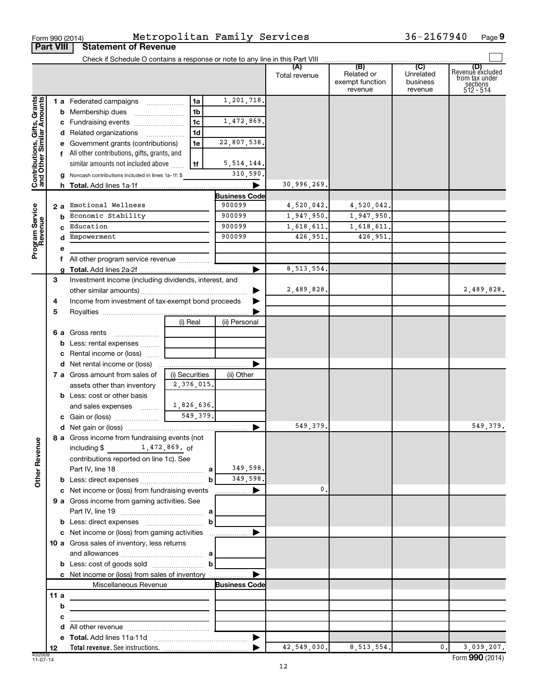|                                                           | <b>Part VIII</b> | <b>Statement of Revenue</b>                                                               |                                      |                                |               |                                          |                                  |                                                                    |
|-----------------------------------------------------------|------------------|-------------------------------------------------------------------------------------------|--------------------------------------|--------------------------------|---------------|------------------------------------------|----------------------------------|--------------------------------------------------------------------|
|                                                           |                  |                                                                                           |                                      |                                |               |                                          |                                  |                                                                    |
|                                                           |                  |                                                                                           |                                      |                                | Total revenue | Related or<br>exempt function<br>revenue | Unrelated<br>business<br>revenue | (D)<br>Revenue excluded<br>from tax under<br>sections<br>512 - 514 |
|                                                           |                  | 1 a Federated campaigns                                                                   | 1a                                   | 1,201,718.                     |               |                                          |                                  |                                                                    |
|                                                           |                  | <b>b</b> Membership dues                                                                  | 1b                                   |                                |               |                                          |                                  |                                                                    |
|                                                           |                  | c Fundraising events                                                                      | 1c                                   | 1,472,869.                     |               |                                          |                                  |                                                                    |
|                                                           |                  | d Related organizations                                                                   | 1d                                   |                                |               |                                          |                                  |                                                                    |
|                                                           |                  | Government grants (contributions)                                                         | 1e                                   | 22,807,538.                    |               |                                          |                                  |                                                                    |
|                                                           |                  | f All other contributions, gifts, grants, and                                             |                                      |                                |               |                                          |                                  |                                                                    |
|                                                           |                  | similar amounts not included above                                                        | 1f                                   | 5, 514, 144.                   |               |                                          |                                  |                                                                    |
| Contributions, Gifts, Grants<br>and Other Similar Amounts |                  | Noncash contributions included in lines 1a-1f: \$                                         |                                      | 310,590.                       |               |                                          |                                  |                                                                    |
|                                                           |                  |                                                                                           |                                      |                                | 30,996,269.   |                                          |                                  |                                                                    |
|                                                           |                  | Emotional Wellness                                                                        |                                      | <b>Business Code</b><br>900099 | 4,520,042.    | 4,520,042.                               |                                  |                                                                    |
| Program Service<br>Revenue                                | 2 a<br>b         | Economic Stability                                                                        |                                      | 900099                         | 1,947,950.    | 1,947,950.                               |                                  |                                                                    |
|                                                           | c.               | Education                                                                                 |                                      | 900099                         | 1,618,611.    | 1,618,611.                               |                                  |                                                                    |
|                                                           | d                | Empowerment                                                                               |                                      | 900099                         | 426,951.      | 426,951.                                 |                                  |                                                                    |
|                                                           | е                |                                                                                           |                                      |                                |               |                                          |                                  |                                                                    |
|                                                           | f                |                                                                                           |                                      |                                |               |                                          |                                  |                                                                    |
|                                                           |                  |                                                                                           |                                      |                                | 8, 513, 554.  |                                          |                                  |                                                                    |
|                                                           | 3                | Investment income (including dividends, interest, and                                     |                                      |                                |               |                                          |                                  |                                                                    |
|                                                           |                  |                                                                                           |                                      |                                | 2,489,828.    |                                          |                                  | 2,489,828.                                                         |
|                                                           | 4                | Income from investment of tax-exempt bond proceeds                                        |                                      |                                |               |                                          |                                  |                                                                    |
|                                                           | 5                |                                                                                           |                                      |                                |               |                                          |                                  |                                                                    |
|                                                           |                  |                                                                                           | (i) Real                             | (ii) Personal                  |               |                                          |                                  |                                                                    |
|                                                           |                  | <b>6 a</b> Gross rents                                                                    |                                      |                                |               |                                          |                                  |                                                                    |
|                                                           | b                | Less: rental expenses                                                                     |                                      |                                |               |                                          |                                  |                                                                    |
|                                                           | c                | Rental income or (loss)                                                                   |                                      |                                |               |                                          |                                  |                                                                    |
|                                                           |                  | d Net rental income or (loss)                                                             |                                      |                                |               |                                          |                                  |                                                                    |
|                                                           |                  | 7 a Gross amount from sales of                                                            | (i) Securities                       | (ii) Other                     |               |                                          |                                  |                                                                    |
|                                                           |                  | assets other than inventory                                                               | 2,376,015.                           |                                |               |                                          |                                  |                                                                    |
|                                                           |                  | <b>b</b> Less: cost or other basis<br>and sales expenses  [                               | 1,826,636.                           |                                |               |                                          |                                  |                                                                    |
|                                                           |                  |                                                                                           | 549,379.                             |                                |               |                                          |                                  |                                                                    |
|                                                           |                  |                                                                                           |                                      | ▶                              | 549,379.      |                                          |                                  | 549,379.                                                           |
|                                                           |                  | 8 a Gross income from fundraising events (not                                             |                                      |                                |               |                                          |                                  |                                                                    |
| <b>Other Revenue</b>                                      |                  | 1,472,869.of<br>including \$                                                              |                                      |                                |               |                                          |                                  |                                                                    |
|                                                           |                  | contributions reported on line 1c). See                                                   |                                      |                                |               |                                          |                                  |                                                                    |
|                                                           |                  |                                                                                           |                                      | 349,598.                       |               |                                          |                                  |                                                                    |
|                                                           |                  |                                                                                           | $\mathbf b$                          | 349,598.                       |               |                                          |                                  |                                                                    |
|                                                           |                  | c Net income or (loss) from fundraising events                                            |                                      | ▶<br>.                         | 0.            |                                          |                                  |                                                                    |
|                                                           |                  | 9 a Gross income from gaming activities. See                                              |                                      |                                |               |                                          |                                  |                                                                    |
|                                                           |                  |                                                                                           |                                      |                                |               |                                          |                                  |                                                                    |
|                                                           |                  |                                                                                           |                                      |                                |               |                                          |                                  |                                                                    |
|                                                           |                  |                                                                                           |                                      |                                |               |                                          |                                  |                                                                    |
|                                                           |                  | 10 a Gross sales of inventory, less returns                                               |                                      |                                |               |                                          |                                  |                                                                    |
|                                                           |                  | and allowances $\ldots$ , $\ldots$ , $\ldots$ , $\ldots$ , $\ldots$ , $\ldots$ , $\ldots$ |                                      |                                |               |                                          |                                  |                                                                    |
|                                                           |                  | c Net income or (loss) from sales of inventory                                            |                                      |                                |               |                                          |                                  |                                                                    |
|                                                           |                  | Miscellaneous Revenue                                                                     |                                      | <b>Business Code</b>           |               |                                          |                                  |                                                                    |
|                                                           | 11a              |                                                                                           |                                      |                                |               |                                          |                                  |                                                                    |
|                                                           | b                |                                                                                           |                                      |                                |               |                                          |                                  |                                                                    |
|                                                           | с                |                                                                                           | <u> 1980 - Jan Barbara (j. 1980)</u> |                                |               |                                          |                                  |                                                                    |
|                                                           | d                |                                                                                           |                                      |                                |               |                                          |                                  |                                                                    |
|                                                           | е                |                                                                                           |                                      |                                |               |                                          |                                  |                                                                    |
|                                                           | 12               |                                                                                           |                                      |                                | 42,549,030.   | 8, 513, 554.                             | 0.1                              | 3,039,207.                                                         |

Form 990 (2014) Metropolitan Family Services 36-2167940 Page

36-2167940 Page 9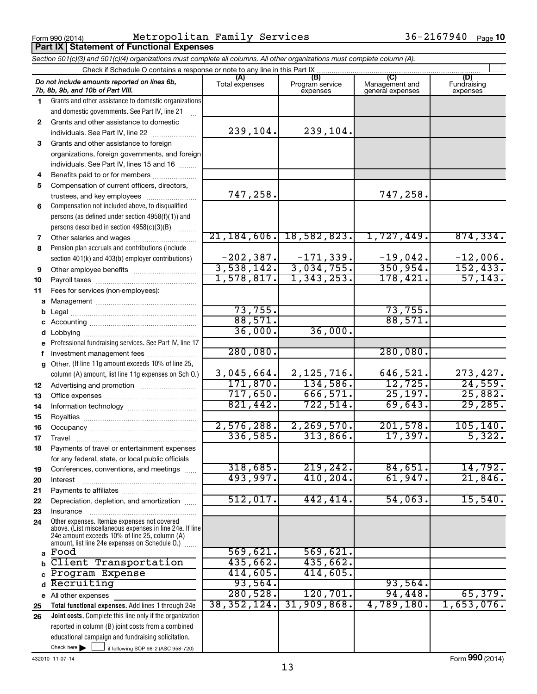**Part IX Statement of Functional Expenses** 

Form 990 (2014) Metropolitan Family Services 36-2167940 Page

*Section 501(c)(3) and 501(c)(4) organizations must complete all columns. All other organizations must complete column (A).*

|              | Check if Schedule O contains a response or note to any line in this Part IX                                                                                                                                                                                         |                       |                                    |                                    |                                |
|--------------|---------------------------------------------------------------------------------------------------------------------------------------------------------------------------------------------------------------------------------------------------------------------|-----------------------|------------------------------------|------------------------------------|--------------------------------|
|              | Do not include amounts reported on lines 6b,<br>7b, 8b, 9b, and 10b of Part VIII.                                                                                                                                                                                   | (A)<br>Total expenses | (B)<br>Program service<br>expenses | Management and<br>general expenses | (D)<br>Fundraising<br>expenses |
| 1.           | Grants and other assistance to domestic organizations                                                                                                                                                                                                               |                       |                                    |                                    |                                |
|              | and domestic governments. See Part IV, line 21                                                                                                                                                                                                                      |                       |                                    |                                    |                                |
| $\mathbf{2}$ | Grants and other assistance to domestic                                                                                                                                                                                                                             |                       |                                    |                                    |                                |
|              | individuals. See Part IV, line 22<br>and a complete the complete state of the state of the state of the state of the state of the state of the state of the state of the state of the state of the state of the state of the state of the state of the state of the | 239,104.              | 239,104.                           |                                    |                                |
| 3            | Grants and other assistance to foreign                                                                                                                                                                                                                              |                       |                                    |                                    |                                |
|              | organizations, foreign governments, and foreign                                                                                                                                                                                                                     |                       |                                    |                                    |                                |
|              | individuals. See Part IV, lines 15 and 16                                                                                                                                                                                                                           |                       |                                    |                                    |                                |
| 4            | Benefits paid to or for members                                                                                                                                                                                                                                     |                       |                                    |                                    |                                |
| 5            | Compensation of current officers, directors,                                                                                                                                                                                                                        |                       |                                    |                                    |                                |
|              | trustees, and key employees                                                                                                                                                                                                                                         | 747,258.              |                                    | 747,258.                           |                                |
| 6            | Compensation not included above, to disqualified                                                                                                                                                                                                                    |                       |                                    |                                    |                                |
|              | persons (as defined under section 4958(f)(1)) and                                                                                                                                                                                                                   |                       |                                    |                                    |                                |
|              | persons described in section 4958(c)(3)(B)                                                                                                                                                                                                                          |                       |                                    |                                    |                                |
| 7            |                                                                                                                                                                                                                                                                     | 21, 184, 606.         | 18,582,823.                        | 1,727,449.                         | 874, 334.                      |
| 8            | Pension plan accruals and contributions (include                                                                                                                                                                                                                    |                       |                                    |                                    |                                |
|              | section 401(k) and 403(b) employer contributions)                                                                                                                                                                                                                   | $-202, 387.$          | $-171, 339.$                       | $-19,042.$                         | $-12,006.$                     |
| 9            |                                                                                                                                                                                                                                                                     | 3,538,142.            | 3,034,755.                         | 350, 954.                          | 152, 433.                      |
| 10           |                                                                                                                                                                                                                                                                     | 1,578,817.            | 1, 343, 253.                       | 178,421.                           | 57, 143.                       |
| 11           | Fees for services (non-employees):                                                                                                                                                                                                                                  |                       |                                    |                                    |                                |
| a            |                                                                                                                                                                                                                                                                     |                       |                                    |                                    |                                |
|              |                                                                                                                                                                                                                                                                     | 73,755.               |                                    | 73,755.                            |                                |
|              |                                                                                                                                                                                                                                                                     | 88,571.               |                                    | 88,571.                            |                                |
| d            |                                                                                                                                                                                                                                                                     | 36,000.               | 36,000.                            |                                    |                                |
|              | Professional fundraising services. See Part IV, line 17                                                                                                                                                                                                             |                       |                                    |                                    |                                |
|              | Investment management fees                                                                                                                                                                                                                                          | 280,080.              |                                    | 280,080.                           |                                |
| a            | Other. (If line 11g amount exceeds 10% of line 25,                                                                                                                                                                                                                  |                       |                                    |                                    |                                |
|              | column (A) amount, list line 11g expenses on Sch O.)                                                                                                                                                                                                                | 3,045,664.            | 2, 125, 716.                       | 646,521.                           | 273, 427.                      |
| 12           |                                                                                                                                                                                                                                                                     | 171,870.              | 134,586.                           | 12,725.                            | 24,559.                        |
| 13           |                                                                                                                                                                                                                                                                     | 717,650.              | 666,571.                           | 25, 197.                           | 25,882.                        |
| 14           |                                                                                                                                                                                                                                                                     | 821,442.              | 722,514.                           | 69,643.                            | 29,285.                        |
| 15           |                                                                                                                                                                                                                                                                     |                       |                                    |                                    |                                |
| 16           |                                                                                                                                                                                                                                                                     | 2,576,288.            | 2, 269, 570.                       | 201,578.                           | 105, 140.                      |
| 17           | Travel                                                                                                                                                                                                                                                              | 336,585.              | 313,866.                           | 17,397.                            | 5,322.                         |
| 18           | Payments of travel or entertainment expenses                                                                                                                                                                                                                        |                       |                                    |                                    |                                |
|              | for any federal, state, or local public officials                                                                                                                                                                                                                   |                       |                                    |                                    |                                |
| 19           | Conferences, conventions, and meetings                                                                                                                                                                                                                              | 318,685.<br>493,997.  | 219, 242.<br>410,204.              | 84,651.                            | 14,792.                        |
| 20           | Interest                                                                                                                                                                                                                                                            |                       |                                    | 61,947.                            | 21,846.                        |
| 21           |                                                                                                                                                                                                                                                                     | 512,017.              | 442,414.                           | 54,063.                            | 15,540.                        |
| 22           | Depreciation, depletion, and amortization                                                                                                                                                                                                                           |                       |                                    |                                    |                                |
| 23           | Insurance<br>Other expenses. Itemize expenses not covered                                                                                                                                                                                                           |                       |                                    |                                    |                                |
| 24           | above. (List miscellaneous expenses in line 24e. If line                                                                                                                                                                                                            |                       |                                    |                                    |                                |
|              | 24e amount exceeds 10% of line 25, column (A)                                                                                                                                                                                                                       |                       |                                    |                                    |                                |
|              | amount, list line 24e expenses on Schedule O.)<br>a Food                                                                                                                                                                                                            | 569,621.              | 569,621.                           |                                    |                                |
| b            | Client Transportation                                                                                                                                                                                                                                               | 435,662.              | 435,662.                           |                                    |                                |
| c            | Program Expense                                                                                                                                                                                                                                                     | 414,605.              | 414,605.                           |                                    |                                |
| d            | Recruiting                                                                                                                                                                                                                                                          | 93,564.               |                                    | 93,564.                            |                                |
|              | e All other expenses                                                                                                                                                                                                                                                | 280,528.              | 120, 701.                          | 94,448.                            | 65,379.                        |
| 25           | Total functional expenses. Add lines 1 through 24e                                                                                                                                                                                                                  | 38, 352, 124.         | 31,909,868.                        | 4,789,180.                         | 1,653,076.                     |
| 26           | Joint costs. Complete this line only if the organization                                                                                                                                                                                                            |                       |                                    |                                    |                                |
|              | reported in column (B) joint costs from a combined                                                                                                                                                                                                                  |                       |                                    |                                    |                                |
|              | educational campaign and fundraising solicitation.                                                                                                                                                                                                                  |                       |                                    |                                    |                                |
|              | Check here $\blacktriangleright$<br>if following SOP 98-2 (ASC 958-720)                                                                                                                                                                                             |                       |                                    |                                    |                                |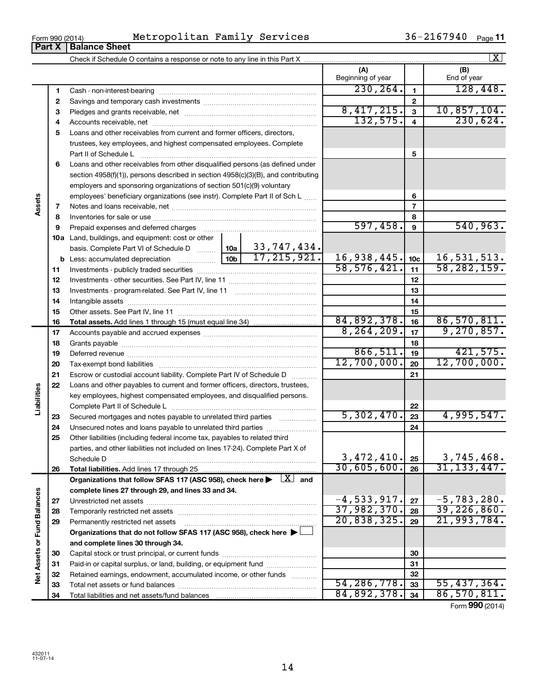**32 33 34**

|                             |          | Metropolitan Family Services<br>Form 990 (2014)                                                                                                                                                                                |                           |                         | 36-2167940 Page 11          |
|-----------------------------|----------|--------------------------------------------------------------------------------------------------------------------------------------------------------------------------------------------------------------------------------|---------------------------|-------------------------|-----------------------------|
|                             | Part X   | <b>Balance Sheet</b>                                                                                                                                                                                                           |                           |                         |                             |
|                             |          |                                                                                                                                                                                                                                |                           |                         | X                           |
|                             |          |                                                                                                                                                                                                                                | (A)<br>Beginning of year  |                         | (B)<br>End of year          |
|                             | 1        |                                                                                                                                                                                                                                | 230, 264.                 | 1                       | 128,448.                    |
|                             | 2        |                                                                                                                                                                                                                                |                           | $\mathbf{2}$            |                             |
|                             | 3        |                                                                                                                                                                                                                                | 8,417,215.                | $\overline{\mathbf{3}}$ | 10,857,104.                 |
|                             | 4        |                                                                                                                                                                                                                                | 132,575.                  | $\overline{\mathbf{4}}$ | 230,624.                    |
|                             | 5        | Loans and other receivables from current and former officers, directors,                                                                                                                                                       |                           |                         |                             |
|                             |          | trustees, key employees, and highest compensated employees. Complete                                                                                                                                                           |                           |                         |                             |
|                             |          | Part II of Schedule L                                                                                                                                                                                                          |                           | 5                       |                             |
|                             | 6        | Loans and other receivables from other disqualified persons (as defined under                                                                                                                                                  |                           |                         |                             |
|                             |          | section 4958(f)(1)), persons described in section 4958(c)(3)(B), and contributing                                                                                                                                              |                           |                         |                             |
|                             |          | employers and sponsoring organizations of section 501(c)(9) voluntary                                                                                                                                                          |                           |                         |                             |
|                             |          | employees' beneficiary organizations (see instr). Complete Part II of Sch L                                                                                                                                                    |                           | 6                       |                             |
| Assets                      | 7        |                                                                                                                                                                                                                                |                           | 7                       |                             |
|                             | 8        |                                                                                                                                                                                                                                |                           | 8                       |                             |
|                             | 9        | Prepaid expenses and deferred charges [11] [11] Prepaid expenses and deferred charges [11] [11] Martin Martin (11] (11] Arthur Martin (11] (11] Arthur Martin (11] Arthur Martin (11] Arthur Martin (11] Arthur Martin (11] Ar | 597,458.                  | 9                       | 540,963.                    |
|                             |          | <b>10a</b> Land, buildings, and equipment: cost or other                                                                                                                                                                       |                           |                         |                             |
|                             |          | basis. Complete Part VI of Schedule D    10a   33, 747, 434.                                                                                                                                                                   |                           |                         |                             |
|                             |          | 17, 215, 921.                                                                                                                                                                                                                  | 16,938,445.               | 10c                     | 16,531,513.                 |
|                             | 11       |                                                                                                                                                                                                                                | 58, 576, 421.             | 11                      | 58, 282, 159.               |
|                             | 12       |                                                                                                                                                                                                                                |                           | 12                      |                             |
|                             | 13       |                                                                                                                                                                                                                                |                           | 13                      |                             |
|                             | 14       |                                                                                                                                                                                                                                |                           | 14                      |                             |
|                             | 15       |                                                                                                                                                                                                                                |                           | 15                      |                             |
|                             | 16       |                                                                                                                                                                                                                                | 84,892,378.               | 16                      | 86,570,811.                 |
|                             | 17       |                                                                                                                                                                                                                                | 8, 264, 209.              | 17                      | 9,270,857.                  |
|                             | 18       |                                                                                                                                                                                                                                |                           | 18                      |                             |
|                             | 19       |                                                                                                                                                                                                                                | 866,511.                  | 19                      | 421,575.                    |
|                             | 20       |                                                                                                                                                                                                                                | 12,700,000.               | 20                      | 12,700,000.                 |
|                             | 21       | Escrow or custodial account liability. Complete Part IV of Schedule D                                                                                                                                                          |                           | 21                      |                             |
|                             | 22       | Loans and other payables to current and former officers, directors, trustees,                                                                                                                                                  |                           |                         |                             |
|                             |          | key employees, highest compensated employees, and disqualified persons.                                                                                                                                                        |                           |                         |                             |
| Liabilities                 |          |                                                                                                                                                                                                                                |                           | 22                      |                             |
|                             | 23       | Secured mortgages and notes payable to unrelated third parties                                                                                                                                                                 | 5,302,470.                | 23                      | 4,995,547.                  |
|                             | 24       |                                                                                                                                                                                                                                |                           | 24                      |                             |
|                             | 25       | Other liabilities (including federal income tax, payables to related third                                                                                                                                                     |                           |                         |                             |
|                             |          | parties, and other liabilities not included on lines 17-24). Complete Part X of                                                                                                                                                |                           |                         |                             |
|                             |          | Schedule D                                                                                                                                                                                                                     | 3,472,410.<br>30,605,600. | 25                      | 3,745,468.<br>31, 133, 447. |
|                             | 26       |                                                                                                                                                                                                                                |                           | 26                      |                             |
|                             |          | Organizations that follow SFAS 117 (ASC 958), check here ><br>$\lfloor x \rfloor$ and                                                                                                                                          |                           |                         |                             |
|                             |          | complete lines 27 through 29, and lines 33 and 34.                                                                                                                                                                             | $-4,533,917.$             |                         | $-5,783,280.$               |
|                             | 27       |                                                                                                                                                                                                                                | 37,982,370.               | 27<br>28                | 39, 226, 860.               |
|                             | 28<br>29 | Permanently restricted net assets                                                                                                                                                                                              | 20,838,325.               | 29                      | 21,993,784.                 |
|                             |          | Organizations that do not follow SFAS 117 (ASC 958), check here ▶                                                                                                                                                              |                           |                         |                             |
|                             |          | and complete lines 30 through 34.                                                                                                                                                                                              |                           |                         |                             |
|                             | 30       |                                                                                                                                                                                                                                |                           | 30                      |                             |
| Net Assets or Fund Balances | 31       | Paid-in or capital surplus, or land, building, or equipment fund                                                                                                                                                               |                           | 31                      |                             |
|                             | 32       | Retained earnings, endowment, accumulated income, or other funds                                                                                                                                                               |                           | 32                      |                             |
|                             |          |                                                                                                                                                                                                                                | 51 286 778                |                         | 55 137 361                  |

14

Total net assets or fund balances ~~~~~~~~~~~~~~~~~~~~~~

Total liabilities and net assets/fund balances

Form (2014) **990**

**32 33 34**

 $\begin{array}{|c|c|c|c|c|}\n 54,286,778. & 33 & 55,437,364. \\
 \hline\n 84,892,378. & 34 & 86,570,811.\n \end{array}$  $84,892,378.$   $34$  86,570,811.

| Form 990 (2014) |  |  |
|-----------------|--|--|
|                 |  |  |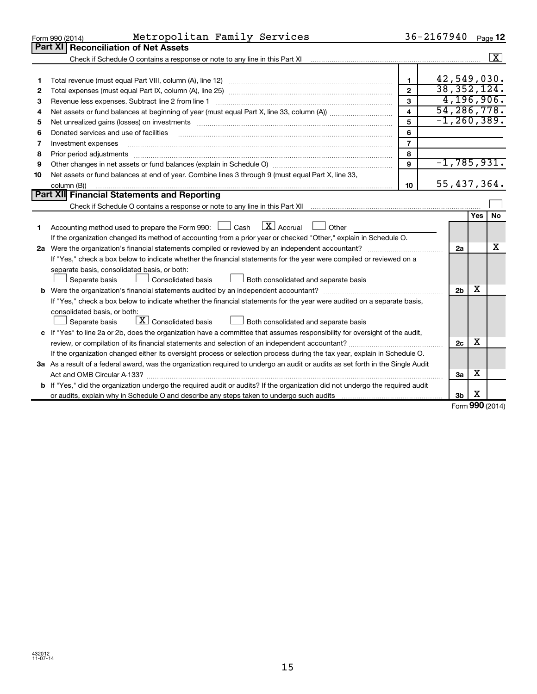|    | Metropolitan Family Services<br>Form 990 (2014)                                                                                 |                | $36 - 2167940$  |            | Page 12              |
|----|---------------------------------------------------------------------------------------------------------------------------------|----------------|-----------------|------------|----------------------|
|    | Part XI<br><b>Reconciliation of Net Assets</b>                                                                                  |                |                 |            |                      |
|    |                                                                                                                                 |                |                 |            | $\boxed{\textbf{X}}$ |
|    |                                                                                                                                 |                |                 |            |                      |
| 1  |                                                                                                                                 | $\mathbf{1}$   | 42,549,030.     |            |                      |
| 2  |                                                                                                                                 | $\mathbf{2}$   | 38, 352, 124.   |            |                      |
| З  | Revenue less expenses. Subtract line 2 from line 1                                                                              | 3              | 4, 196, 906.    |            |                      |
| 4  |                                                                                                                                 | 4              | 54, 286, 778.   |            |                      |
| 5  |                                                                                                                                 | 5              | $-1, 260, 389.$ |            |                      |
| 6  | Donated services and use of facilities                                                                                          | 6              |                 |            |                      |
| 7  | Investment expenses                                                                                                             | $\overline{7}$ |                 |            |                      |
| 8  | Prior period adjustments                                                                                                        | 8              |                 |            |                      |
| 9  |                                                                                                                                 | 9              | $-1,785,931.$   |            |                      |
| 10 | Net assets or fund balances at end of year. Combine lines 3 through 9 (must equal Part X, line 33,                              |                |                 |            |                      |
|    | column (B))                                                                                                                     | 10             | 55,437,364.     |            |                      |
|    | <b>Part XII</b> Financial Statements and Reporting                                                                              |                |                 |            |                      |
|    |                                                                                                                                 |                |                 |            |                      |
|    |                                                                                                                                 |                |                 | <b>Yes</b> | <b>No</b>            |
| 1  | Accounting method used to prepare the Form 990: $\Box$ Cash $\Box X$ Accrual<br>$\Box$ Other                                    |                |                 |            |                      |
|    | If the organization changed its method of accounting from a prior year or checked "Other," explain in Schedule O.               |                |                 |            | X                    |
|    |                                                                                                                                 |                | 2a              |            |                      |
|    | If "Yes," check a box below to indicate whether the financial statements for the year were compiled or reviewed on a            |                |                 |            |                      |
|    | separate basis, consolidated basis, or both:<br>Consolidated basis                                                              |                |                 |            |                      |
|    | Both consolidated and separate basis<br>Separate basis                                                                          |                | 2 <sub>b</sub>  | X          |                      |
|    | If "Yes," check a box below to indicate whether the financial statements for the year were audited on a separate basis,         |                |                 |            |                      |
|    | consolidated basis, or both:                                                                                                    |                |                 |            |                      |
|    | $\boxed{\textbf{X}}$ Consolidated basis<br>Separate basis<br>Both consolidated and separate basis                               |                |                 |            |                      |
|    | c If "Yes" to line 2a or 2b, does the organization have a committee that assumes responsibility for oversight of the audit,     |                |                 |            |                      |
|    |                                                                                                                                 |                | 2c              | х          |                      |
|    | If the organization changed either its oversight process or selection process during the tax year, explain in Schedule O.       |                |                 |            |                      |
|    | 3a As a result of a federal award, was the organization required to undergo an audit or audits as set forth in the Single Audit |                |                 |            |                      |
|    | Act and OMB Circular A-133?                                                                                                     |                | За              | х          |                      |
|    | b If "Yes," did the organization undergo the required audit or audits? If the organization did not undergo the required audit   |                |                 |            |                      |
|    |                                                                                                                                 |                | 3 <sub>b</sub>  | X          |                      |
|    |                                                                                                                                 |                |                 | <b>000</b> |                      |

Form (2014) **990**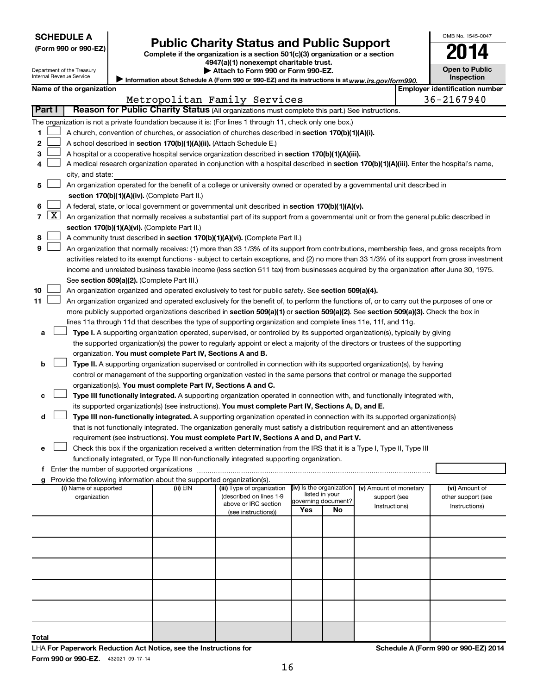|  | <b>SCHEDULE A</b> |  |
|--|-------------------|--|
|  |                   |  |

Department of the Treasury Internal Revenue Service

| (Form 990 or 990-EZ |  |  |  |  |
|---------------------|--|--|--|--|
|---------------------|--|--|--|--|

# Form 990 or 990-EZ) **Public Charity Status and Public Support**<br>
Complete if the organization is a section 501(c)(3) organization or a section<br> **2014**

**4947(a)(1) nonexempt charitable trust.**

| Attach to Form 990 or Form 990-EZ.                                                                  |
|-----------------------------------------------------------------------------------------------------|
| / Information about Schedule A (Form 990 or 990-EZ) and its instructions is at www.irs.gov/form990. |

| OMB No. 1545-0047                   |
|-------------------------------------|
| в                                   |
| <b>Open to Public</b><br>Inspection |

|  | Name of the organization |
|--|--------------------------|
|--|--------------------------|

| Name of the organization |                                                                                                                                               |                                                                                                                                                   |          |                                                       |                          |                | <b>Employer identification number</b>  |  |                                      |  |
|--------------------------|-----------------------------------------------------------------------------------------------------------------------------------------------|---------------------------------------------------------------------------------------------------------------------------------------------------|----------|-------------------------------------------------------|--------------------------|----------------|----------------------------------------|--|--------------------------------------|--|
|                          |                                                                                                                                               |                                                                                                                                                   |          | Metropolitan Family Services                          |                          |                |                                        |  | 36-2167940                           |  |
|                          | Part I                                                                                                                                        | Reason for Public Charity Status (All organizations must complete this part.) See instructions.                                                   |          |                                                       |                          |                |                                        |  |                                      |  |
|                          |                                                                                                                                               | The organization is not a private foundation because it is: (For lines 1 through 11, check only one box.)                                         |          |                                                       |                          |                |                                        |  |                                      |  |
| 1.                       |                                                                                                                                               | A church, convention of churches, or association of churches described in section 170(b)(1)(A)(i).                                                |          |                                                       |                          |                |                                        |  |                                      |  |
| 2                        |                                                                                                                                               | A school described in section 170(b)(1)(A)(ii). (Attach Schedule E.)                                                                              |          |                                                       |                          |                |                                        |  |                                      |  |
| З                        |                                                                                                                                               | A hospital or a cooperative hospital service organization described in section 170(b)(1)(A)(iii).                                                 |          |                                                       |                          |                |                                        |  |                                      |  |
| 4                        |                                                                                                                                               | A medical research organization operated in conjunction with a hospital described in section 170(b)(1)(A)(iii). Enter the hospital's name,        |          |                                                       |                          |                |                                        |  |                                      |  |
|                          | city, and state:<br>An organization operated for the benefit of a college or university owned or operated by a governmental unit described in |                                                                                                                                                   |          |                                                       |                          |                |                                        |  |                                      |  |
| 5.                       |                                                                                                                                               | section 170(b)(1)(A)(iv). (Complete Part II.)                                                                                                     |          |                                                       |                          |                |                                        |  |                                      |  |
| 6.                       |                                                                                                                                               | A federal, state, or local government or governmental unit described in section 170(b)(1)(A)(v).                                                  |          |                                                       |                          |                |                                        |  |                                      |  |
|                          |                                                                                                                                               | 7 $ X $ An organization that normally receives a substantial part of its support from a governmental unit or from the general public described in |          |                                                       |                          |                |                                        |  |                                      |  |
|                          |                                                                                                                                               | section 170(b)(1)(A)(vi). (Complete Part II.)                                                                                                     |          |                                                       |                          |                |                                        |  |                                      |  |
| 8                        |                                                                                                                                               | A community trust described in section 170(b)(1)(A)(vi). (Complete Part II.)                                                                      |          |                                                       |                          |                |                                        |  |                                      |  |
| 9                        |                                                                                                                                               | An organization that normally receives: (1) more than 33 1/3% of its support from contributions, membership fees, and gross receipts from         |          |                                                       |                          |                |                                        |  |                                      |  |
|                          |                                                                                                                                               | activities related to its exempt functions - subject to certain exceptions, and (2) no more than 33 1/3% of its support from gross investment     |          |                                                       |                          |                |                                        |  |                                      |  |
|                          |                                                                                                                                               | income and unrelated business taxable income (less section 511 tax) from businesses acquired by the organization after June 30, 1975.             |          |                                                       |                          |                |                                        |  |                                      |  |
|                          |                                                                                                                                               | See section 509(a)(2). (Complete Part III.)                                                                                                       |          |                                                       |                          |                |                                        |  |                                      |  |
| 10                       |                                                                                                                                               | An organization organized and operated exclusively to test for public safety. See section 509(a)(4).                                              |          |                                                       |                          |                |                                        |  |                                      |  |
| 11                       |                                                                                                                                               | An organization organized and operated exclusively for the benefit of, to perform the functions of, or to carry out the purposes of one or        |          |                                                       |                          |                |                                        |  |                                      |  |
|                          |                                                                                                                                               | more publicly supported organizations described in section 509(a)(1) or section 509(a)(2). See section 509(a)(3). Check the box in                |          |                                                       |                          |                |                                        |  |                                      |  |
|                          |                                                                                                                                               | lines 11a through 11d that describes the type of supporting organization and complete lines 11e, 11f, and 11g.                                    |          |                                                       |                          |                |                                        |  |                                      |  |
| а                        |                                                                                                                                               | Type I. A supporting organization operated, supervised, or controlled by its supported organization(s), typically by giving                       |          |                                                       |                          |                |                                        |  |                                      |  |
|                          |                                                                                                                                               | the supported organization(s) the power to regularly appoint or elect a majority of the directors or trustees of the supporting                   |          |                                                       |                          |                |                                        |  |                                      |  |
|                          |                                                                                                                                               | organization. You must complete Part IV, Sections A and B.                                                                                        |          |                                                       |                          |                |                                        |  |                                      |  |
| b                        |                                                                                                                                               | Type II. A supporting organization supervised or controlled in connection with its supported organization(s), by having                           |          |                                                       |                          |                |                                        |  |                                      |  |
|                          |                                                                                                                                               | control or management of the supporting organization vested in the same persons that control or manage the supported                              |          |                                                       |                          |                |                                        |  |                                      |  |
|                          |                                                                                                                                               | organization(s). You must complete Part IV, Sections A and C.                                                                                     |          |                                                       |                          |                |                                        |  |                                      |  |
| с                        |                                                                                                                                               | Type III functionally integrated. A supporting organization operated in connection with, and functionally integrated with,                        |          |                                                       |                          |                |                                        |  |                                      |  |
|                          |                                                                                                                                               | its supported organization(s) (see instructions). You must complete Part IV, Sections A, D, and E.                                                |          |                                                       |                          |                |                                        |  |                                      |  |
| d                        |                                                                                                                                               | Type III non-functionally integrated. A supporting organization operated in connection with its supported organization(s)                         |          |                                                       |                          |                |                                        |  |                                      |  |
|                          |                                                                                                                                               | that is not functionally integrated. The organization generally must satisfy a distribution requirement and an attentiveness                      |          |                                                       |                          |                |                                        |  |                                      |  |
|                          |                                                                                                                                               | requirement (see instructions). You must complete Part IV, Sections A and D, and Part V.                                                          |          |                                                       |                          |                |                                        |  |                                      |  |
| е                        |                                                                                                                                               | Check this box if the organization received a written determination from the IRS that it is a Type I, Type II, Type III                           |          |                                                       |                          |                |                                        |  |                                      |  |
|                          |                                                                                                                                               | functionally integrated, or Type III non-functionally integrated supporting organization.                                                         |          |                                                       |                          |                |                                        |  |                                      |  |
|                          |                                                                                                                                               |                                                                                                                                                   |          |                                                       |                          |                |                                        |  |                                      |  |
|                          |                                                                                                                                               | g Provide the following information about the supported organization(s).                                                                          |          |                                                       |                          |                |                                        |  |                                      |  |
|                          |                                                                                                                                               | (i) Name of supported<br>organization                                                                                                             | (ii) EIN | (iii) Type of organization<br>(described on lines 1-9 | (iv) Is the organization | listed in your | (v) Amount of monetary<br>support (see |  | (vi) Amount of<br>other support (see |  |
|                          |                                                                                                                                               |                                                                                                                                                   |          | above or IRC section                                  | governing document?      |                | Instructions)                          |  | Instructions)                        |  |
|                          |                                                                                                                                               |                                                                                                                                                   |          | (see instructions))                                   | Yes                      | No             |                                        |  |                                      |  |
|                          |                                                                                                                                               |                                                                                                                                                   |          |                                                       |                          |                |                                        |  |                                      |  |
|                          |                                                                                                                                               |                                                                                                                                                   |          |                                                       |                          |                |                                        |  |                                      |  |
|                          |                                                                                                                                               |                                                                                                                                                   |          |                                                       |                          |                |                                        |  |                                      |  |
|                          |                                                                                                                                               |                                                                                                                                                   |          |                                                       |                          |                |                                        |  |                                      |  |
|                          |                                                                                                                                               |                                                                                                                                                   |          |                                                       |                          |                |                                        |  |                                      |  |
|                          |                                                                                                                                               |                                                                                                                                                   |          |                                                       |                          |                |                                        |  |                                      |  |
|                          |                                                                                                                                               |                                                                                                                                                   |          |                                                       |                          |                |                                        |  |                                      |  |
|                          |                                                                                                                                               |                                                                                                                                                   |          |                                                       |                          |                |                                        |  |                                      |  |
|                          |                                                                                                                                               |                                                                                                                                                   |          |                                                       |                          |                |                                        |  |                                      |  |
|                          |                                                                                                                                               |                                                                                                                                                   |          |                                                       |                          |                |                                        |  |                                      |  |

**Total**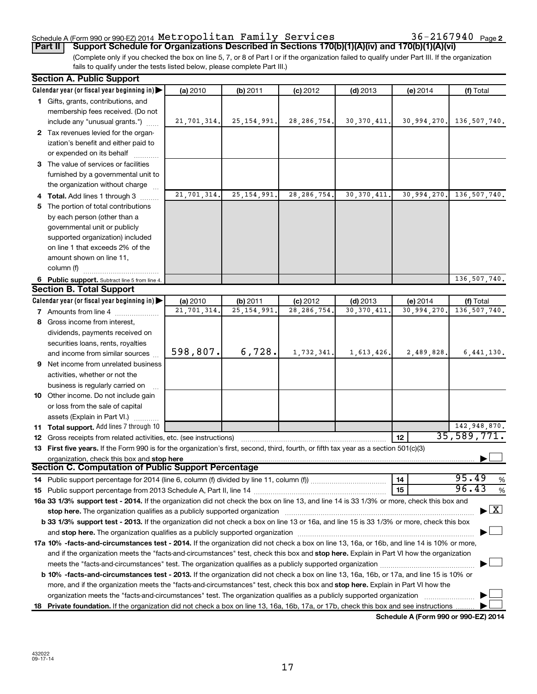### Schedule A (Form 990 or 990-EZ) 2014  ${\tt Metropolitan}$   ${\tt Family}$   ${\tt Services}$   $36-2167940$   ${\tt Page}$

(Complete only if you checked the box on line 5, 7, or 8 of Part I or if the organization failed to qualify under Part III. If the organization fails to qualify under the tests listed below, please complete Part III.) **Part II Support Schedule for Organizations Described in Sections 170(b)(1)(A)(iv) and 170(b)(1)(A)(vi)**

|    | <b>Section A. Public Support</b>                                                                                                                                                                                       |             |               |               |               |             |              |
|----|------------------------------------------------------------------------------------------------------------------------------------------------------------------------------------------------------------------------|-------------|---------------|---------------|---------------|-------------|--------------|
|    | Calendar year (or fiscal year beginning in)                                                                                                                                                                            | (a) 2010    | (b) 2011      | $(c)$ 2012    | $(d)$ 2013    | (e) 2014    | (f) Total    |
|    | 1 Gifts, grants, contributions, and                                                                                                                                                                                    |             |               |               |               |             |              |
|    | membership fees received. (Do not                                                                                                                                                                                      |             |               |               |               |             |              |
|    | include any "unusual grants.")                                                                                                                                                                                         | 21,701,314. | 25, 154, 991. | 28, 286, 754. | 30, 370, 411. | 30,994,270. | 136,507,740. |
|    | 2 Tax revenues levied for the organ-                                                                                                                                                                                   |             |               |               |               |             |              |
|    | ization's benefit and either paid to                                                                                                                                                                                   |             |               |               |               |             |              |
|    | or expended on its behalf                                                                                                                                                                                              |             |               |               |               |             |              |
|    | 3 The value of services or facilities                                                                                                                                                                                  |             |               |               |               |             |              |
|    | furnished by a governmental unit to                                                                                                                                                                                    |             |               |               |               |             |              |
|    | the organization without charge                                                                                                                                                                                        |             |               |               |               |             |              |
|    | 4 Total. Add lines 1 through 3                                                                                                                                                                                         | 21,701,314. | 25, 154, 991  | 28, 286, 754. | 30, 370, 411. | 30,994,270. | 136,507,740. |
| 5. | The portion of total contributions                                                                                                                                                                                     |             |               |               |               |             |              |
|    | by each person (other than a                                                                                                                                                                                           |             |               |               |               |             |              |
|    | governmental unit or publicly                                                                                                                                                                                          |             |               |               |               |             |              |
|    | supported organization) included                                                                                                                                                                                       |             |               |               |               |             |              |
|    | on line 1 that exceeds 2% of the                                                                                                                                                                                       |             |               |               |               |             |              |
|    | amount shown on line 11,                                                                                                                                                                                               |             |               |               |               |             |              |
|    | column (f)                                                                                                                                                                                                             |             |               |               |               |             |              |
|    | 6 Public support. Subtract line 5 from line 4.                                                                                                                                                                         |             |               |               |               |             | 136,507,740. |
|    | <b>Section B. Total Support</b>                                                                                                                                                                                        |             |               |               |               |             |              |
|    | Calendar year (or fiscal year beginning in)                                                                                                                                                                            | (a) 2010    | (b) 2011      | $(c)$ 2012    | $(d)$ 2013    | (e) 2014    | (f) Total    |
|    | <b>7</b> Amounts from line 4                                                                                                                                                                                           | 21,701,314  | 25, 154, 991  | 28, 286, 754  | 30, 370, 411  | 30,994,270  | 136,507,740. |
| 8  | Gross income from interest,                                                                                                                                                                                            |             |               |               |               |             |              |
|    | dividends, payments received on                                                                                                                                                                                        |             |               |               |               |             |              |
|    | securities loans, rents, royalties                                                                                                                                                                                     |             |               |               |               |             |              |
|    | and income from similar sources                                                                                                                                                                                        | 598,807.    | 6,728.        | 1,732,341.    | 1,613,426.    | 2,489,828.  | 6,441,130.   |
|    | <b>9</b> Net income from unrelated business                                                                                                                                                                            |             |               |               |               |             |              |
|    | activities, whether or not the                                                                                                                                                                                         |             |               |               |               |             |              |
|    |                                                                                                                                                                                                                        |             |               |               |               |             |              |
|    | business is regularly carried on<br>10 Other income. Do not include gain                                                                                                                                               |             |               |               |               |             |              |
|    |                                                                                                                                                                                                                        |             |               |               |               |             |              |
|    | or loss from the sale of capital                                                                                                                                                                                       |             |               |               |               |             |              |
|    | assets (Explain in Part VI.)                                                                                                                                                                                           |             |               |               |               |             | 142,948,870. |
|    | 11 Total support. Add lines 7 through 10                                                                                                                                                                               |             |               |               |               | 12          | 35,589,771.  |
|    | 12 Gross receipts from related activities, etc. (see instructions)                                                                                                                                                     |             |               |               |               |             |              |
|    | 13 First five years. If the Form 990 is for the organization's first, second, third, fourth, or fifth tax year as a section 501(c)(3)                                                                                  |             |               |               |               |             |              |
|    | organization, check this box and stop here<br><b>Section C. Computation of Public Support Percentage</b>                                                                                                               |             |               |               |               |             |              |
|    |                                                                                                                                                                                                                        |             |               |               |               | 14          | 95.49<br>%   |
|    |                                                                                                                                                                                                                        |             |               |               |               | 15          | 96.43<br>%   |
|    | 16a 33 1/3% support test - 2014. If the organization did not check the box on line 13, and line 14 is 33 1/3% or more, check this box and                                                                              |             |               |               |               |             |              |
|    |                                                                                                                                                                                                                        |             |               |               |               |             | $\mathbf{X}$ |
|    | stop here. The organization qualifies as a publicly supported organization<br>b 33 1/3% support test - 2013. If the organization did not check a box on line 13 or 16a, and line 15 is 33 1/3% or more, check this box |             |               |               |               |             |              |
|    |                                                                                                                                                                                                                        |             |               |               |               |             |              |
|    | and stop here. The organization qualifies as a publicly supported organization manufaction and stop here. The organization                                                                                             |             |               |               |               |             |              |
|    | 17a 10% -facts-and-circumstances test - 2014. If the organization did not check a box on line 13, 16a, or 16b, and line 14 is 10% or more,                                                                             |             |               |               |               |             |              |
|    | and if the organization meets the "facts-and-circumstances" test, check this box and stop here. Explain in Part VI how the organization                                                                                |             |               |               |               |             |              |
|    |                                                                                                                                                                                                                        |             |               |               |               |             |              |
|    | <b>b 10%</b> -facts-and-circumstances test - 2013. If the organization did not check a box on line 13, 16a, 16b, or 17a, and line 15 is 10% or                                                                         |             |               |               |               |             |              |
|    | more, and if the organization meets the "facts-and-circumstances" test, check this box and <b>stop here.</b> Explain in Part VI how the                                                                                |             |               |               |               |             |              |
|    | organization meets the "facts-and-circumstances" test. The organization qualifies as a publicly supported organization                                                                                                 |             |               |               |               |             |              |
| 18 | Private foundation. If the organization did not check a box on line 13, 16a, 16b, 17a, or 17b, check this box and see instructions                                                                                     |             |               |               |               |             | 000.5200     |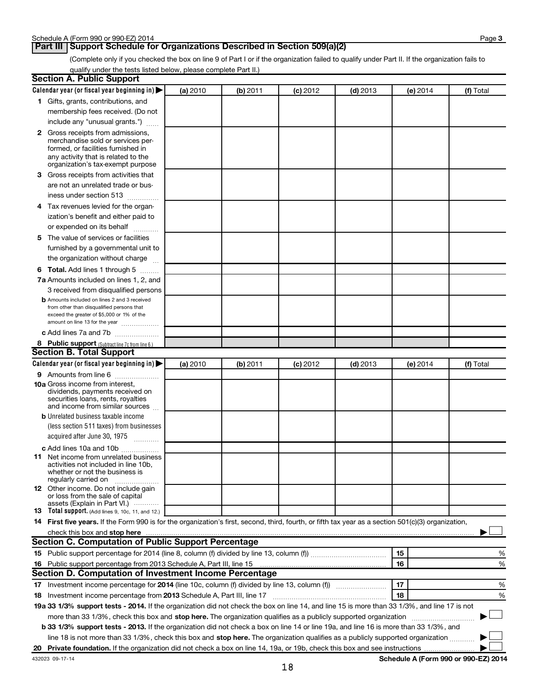**Page 3** 

(Complete only if you checked the box on line 9 of Part I or if the organization failed to qualify under Part II. If the organization fails to qualify under the tests listed below, please complete Part II.)

| <b>Section A. Public Support</b>                                                                                                                                                                                               |          |          |            |            |          |                                      |
|--------------------------------------------------------------------------------------------------------------------------------------------------------------------------------------------------------------------------------|----------|----------|------------|------------|----------|--------------------------------------|
| Calendar year (or fiscal year beginning in)                                                                                                                                                                                    | (a) 2010 | (b) 2011 | $(c)$ 2012 | $(d)$ 2013 | (e) 2014 | (f) Total                            |
| 1 Gifts, grants, contributions, and                                                                                                                                                                                            |          |          |            |            |          |                                      |
| membership fees received. (Do not                                                                                                                                                                                              |          |          |            |            |          |                                      |
| include any "unusual grants.")                                                                                                                                                                                                 |          |          |            |            |          |                                      |
| 2 Gross receipts from admissions,<br>merchandise sold or services per-<br>formed, or facilities furnished in<br>any activity that is related to the<br>organization's tax-exempt purpose                                       |          |          |            |            |          |                                      |
| 3 Gross receipts from activities that                                                                                                                                                                                          |          |          |            |            |          |                                      |
| are not an unrelated trade or bus-                                                                                                                                                                                             |          |          |            |            |          |                                      |
| iness under section 513                                                                                                                                                                                                        |          |          |            |            |          |                                      |
| 4 Tax revenues levied for the organ-                                                                                                                                                                                           |          |          |            |            |          |                                      |
| ization's benefit and either paid to                                                                                                                                                                                           |          |          |            |            |          |                                      |
| or expended on its behalf                                                                                                                                                                                                      |          |          |            |            |          |                                      |
| 5 The value of services or facilities                                                                                                                                                                                          |          |          |            |            |          |                                      |
| furnished by a governmental unit to                                                                                                                                                                                            |          |          |            |            |          |                                      |
| the organization without charge                                                                                                                                                                                                |          |          |            |            |          |                                      |
| 6 Total. Add lines 1 through 5                                                                                                                                                                                                 |          |          |            |            |          |                                      |
| 7a Amounts included on lines 1, 2, and                                                                                                                                                                                         |          |          |            |            |          |                                      |
| 3 received from disqualified persons                                                                                                                                                                                           |          |          |            |            |          |                                      |
| <b>b</b> Amounts included on lines 2 and 3 received<br>from other than disqualified persons that<br>exceed the greater of \$5,000 or 1% of the<br>amount on line 13 for the year                                               |          |          |            |            |          |                                      |
| c Add lines 7a and 7b                                                                                                                                                                                                          |          |          |            |            |          |                                      |
| 8 Public support (Subtract line 7c from line 6.)                                                                                                                                                                               |          |          |            |            |          |                                      |
| <b>Section B. Total Support</b>                                                                                                                                                                                                |          |          |            |            |          |                                      |
| Calendar year (or fiscal year beginning in)                                                                                                                                                                                    | (a) 2010 | (b) 2011 | $(c)$ 2012 | $(d)$ 2013 | (e) 2014 | (f) Total                            |
| 9 Amounts from line 6                                                                                                                                                                                                          |          |          |            |            |          |                                      |
| <b>10a</b> Gross income from interest,<br>dividends, payments received on<br>securities loans, rents, royalties<br>and income from similar sources                                                                             |          |          |            |            |          |                                      |
| <b>b</b> Unrelated business taxable income                                                                                                                                                                                     |          |          |            |            |          |                                      |
| (less section 511 taxes) from businesses                                                                                                                                                                                       |          |          |            |            |          |                                      |
| acquired after June 30, 1975<br>$\overline{\phantom{a}}$                                                                                                                                                                       |          |          |            |            |          |                                      |
| c Add lines 10a and 10b                                                                                                                                                                                                        |          |          |            |            |          |                                      |
| <b>11</b> Net income from unrelated business<br>activities not included in line 10b.<br>whether or not the business is<br>regularly carried on                                                                                 |          |          |            |            |          |                                      |
| 12 Other income. Do not include gain<br>or loss from the sale of capital<br>assets (Explain in Part VI.)                                                                                                                       |          |          |            |            |          |                                      |
| <b>13</b> Total support. (Add lines 9, 10c, 11, and 12.)                                                                                                                                                                       |          |          |            |            |          |                                      |
| 14 First five years. If the Form 990 is for the organization's first, second, third, fourth, or fifth tax year as a section 501(c)(3) organization,                                                                            |          |          |            |            |          |                                      |
| check this box and stop here with the continuum control of the state of the state of the state of the state of the state of the state of the state of the state of the state of the state of the state of the state of the sta |          |          |            |            |          |                                      |
| Section C. Computation of Public Support Percentage                                                                                                                                                                            |          |          |            |            |          |                                      |
|                                                                                                                                                                                                                                |          |          |            |            | 15       | %                                    |
|                                                                                                                                                                                                                                |          |          |            |            | 16       | %                                    |
| Section D. Computation of Investment Income Percentage                                                                                                                                                                         |          |          |            |            |          |                                      |
|                                                                                                                                                                                                                                |          |          |            |            | 17       | $\%$                                 |
| 18 Investment income percentage from 2013 Schedule A, Part III, line 17                                                                                                                                                        |          |          |            |            | 18       | %                                    |
| 19a 33 1/3% support tests - 2014. If the organization did not check the box on line 14, and line 15 is more than 33 1/3%, and line 17 is not                                                                                   |          |          |            |            |          |                                      |
| more than 33 1/3%, check this box and stop here. The organization qualifies as a publicly supported organization                                                                                                               |          |          |            |            |          |                                      |
| b 33 1/3% support tests - 2013. If the organization did not check a box on line 14 or line 19a, and line 16 is more than 33 1/3%, and                                                                                          |          |          |            |            |          |                                      |
| line 18 is not more than 33 1/3%, check this box and stop here. The organization qualifies as a publicly supported organization                                                                                                |          |          |            |            |          |                                      |
|                                                                                                                                                                                                                                |          |          |            |            |          |                                      |
| 432023 09-17-14                                                                                                                                                                                                                |          |          |            |            |          | Schedule A (Form 990 or 990-EZ) 2014 |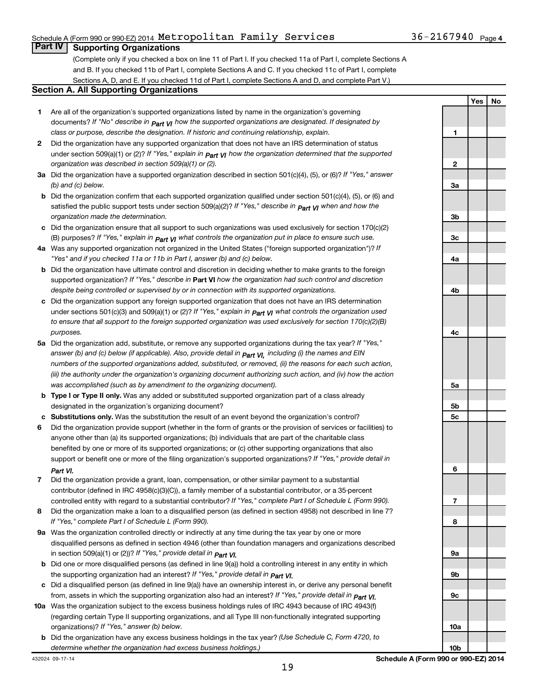### Schedule A (Form 990 or 990-EZ) 2014  ${\tt Metropolitan}$   ${\tt Family}$   ${\tt Services}$   $36-2167940$   ${\tt Page}$

### **Part IV Supporting Organizations**

(Complete only if you checked a box on line 11 of Part I. If you checked 11a of Part I, complete Sections A and B. If you checked 11b of Part I, complete Sections A and C. If you checked 11c of Part I, complete Sections A, D, and E. If you checked 11d of Part I, complete Sections A and D, and complete Part V.)

### **Section A. All Supporting Organizations**

- **1** Are all of the organization's supported organizations listed by name in the organization's governing documents? If "No" describe in  $_{\mathsf{Part}}$   $_{\mathsf{V}}$  how the supported organizations are designated. If designated by *class or purpose, describe the designation. If historic and continuing relationship, explain.*
- **2** Did the organization have any supported organization that does not have an IRS determination of status under section 509(a)(1) or (2)? If "Yes," explain in  $_{\sf Part}$   $_{\sf VI}$  how the organization determined that the supported *organization was described in section 509(a)(1) or (2).*
- **3a** Did the organization have a supported organization described in section 501(c)(4), (5), or (6)? If "Yes," answer *(b) and (c) below.*
- **b** Did the organization confirm that each supported organization qualified under section 501(c)(4), (5), or (6) and satisfied the public support tests under section 509(a)(2)? If "Yes," describe in  $_{\rm Part}$   $_{\rm VI}$  when and how the *organization made the determination.*
- **c** Did the organization ensure that all support to such organizations was used exclusively for section 170(c)(2) (B) purposes? If "Yes," explain in  $_{\mathsf{Part}}$   $_{\mathsf{V}}$  what controls the organization put in place to ensure such use.
- **4 a** *If* Was any supported organization not organized in the United States ("foreign supported organization")? *"Yes" and if you checked 11a or 11b in Part I, answer (b) and (c) below.*
- **b** Did the organization have ultimate control and discretion in deciding whether to make grants to the foreign supported organization? If "Yes," describe in Part VI how the organization had such control and discretion *despite being controlled or supervised by or in connection with its supported organizations.*
- **c** Did the organization support any foreign supported organization that does not have an IRS determination under sections 501(c)(3) and 509(a)(1) or (2)? If "Yes," ex*plain in*  $_{\sf Part}$  *v*J what controls the organization used *to ensure that all support to the foreign supported organization was used exclusively for section 170(c)(2)(B) purposes.*
- **5a** Did the organization add, substitute, or remove any supported organizations during the tax year? If "Yes," answer (b) and (c) below (if applicable). Also, provide detail in  $_{\mathsf{Part}}$   $_{\mathsf{V{\mathsf{I}}}}$ , including (i) the names and EIN *numbers of the supported organizations added, substituted, or removed, (ii) the reasons for each such action, (iii) the authority under the organization's organizing document authorizing such action, and (iv) how the action was accomplished (such as by amendment to the organizing document).*
- **b** Type I or Type II only. Was any added or substituted supported organization part of a class already designated in the organization's organizing document?
- **c Substitutions only.**  Was the substitution the result of an event beyond the organization's control?
- **6** Did the organization provide support (whether in the form of grants or the provision of services or facilities) to support or benefit one or more of the filing organization's supported organizations? If "Yes," provide detail in anyone other than (a) its supported organizations; (b) individuals that are part of the charitable class benefited by one or more of its supported organizations; or (c) other supporting organizations that also *Part VI.*
- **7** Did the organization provide a grant, loan, compensation, or other similar payment to a substantial controlled entity with regard to a substantial contributor? If "Yes," complete Part I of Schedule L (Form 990). contributor (defined in IRC 4958(c)(3)(C)), a family member of a substantial contributor, or a 35-percent
- **8** Did the organization make a loan to a disqualified person (as defined in section 4958) not described in line 7? *If "Yes," complete Part I of Schedule L (Form 990).*
- **9 a** Was the organization controlled directly or indirectly at any time during the tax year by one or more *If "Yes," provide detail in*  in section 509(a)(1) or (2))? *Part VI.* disqualified persons as defined in section 4946 (other than foundation managers and organizations described
- **b** Did one or more disqualified persons (as defined in line 9(a)) hold a controlling interest in any entity in which  *If "Yes," provide detail in*  the supporting organization had an interest? *Part VI.*
- **c** Did a disqualified person (as defined in line 9(a)) have an ownership interest in, or derive any personal benefit from, assets in which the supporting organization also had an interest? If "Yes," *provide detail in Part VI.*
- **10 a** Was the organization subject to the excess business holdings rules of IRC 4943 because of IRC 4943(f)  *If "Yes," answer (b) below.* organizations)? (regarding certain Type II supporting organizations, and all Type III non-functionally integrated supporting
- **b** Did the organization have any excess business holdings in the tax year? (Use Schedule C, Form 4720, to *determine whether the organization had excess business holdings.)*

**Yes No 1 2 3a 3b 3c 4a 4b 4c 5a 5b 5c 6 7 8 9a 9b 9c 10a 10b**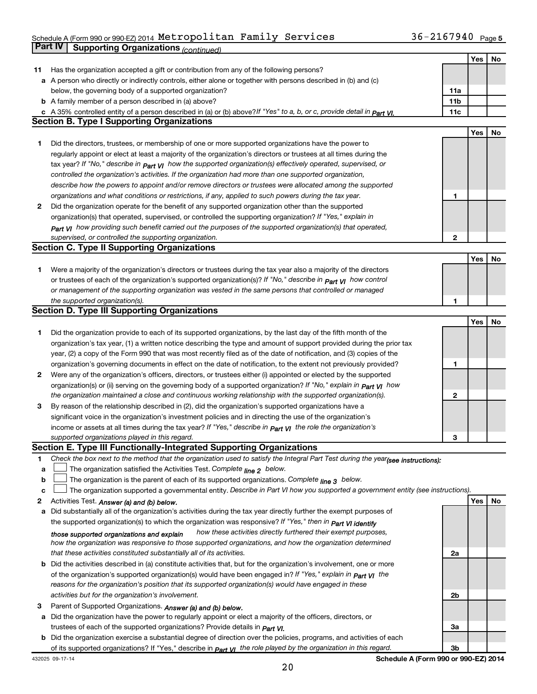#### Schedule A (Form 990 or 990-EZ) 2014 Metropolitan Family Services  $\mathcal{S} = 36-216$  /940  $_{\text{Page}}$ **Part IV Supporting Organizations** *(continued)* Metropolitan Family Services 36-2167940

|    |                                                                                                                                  |     | Yes | No |
|----|----------------------------------------------------------------------------------------------------------------------------------|-----|-----|----|
| 11 | Has the organization accepted a gift or contribution from any of the following persons?                                          |     |     |    |
|    | a A person who directly or indirectly controls, either alone or together with persons described in (b) and (c)                   |     |     |    |
|    | below, the governing body of a supported organization?                                                                           | 11a |     |    |
|    | <b>b</b> A family member of a person described in (a) above?                                                                     | 11b |     |    |
|    | c A 35% controlled entity of a person described in (a) or (b) above? If "Yes" to a, b, or c, provide detail in part VI.          | 11c |     |    |
|    | <b>Section B. Type I Supporting Organizations</b>                                                                                |     |     |    |
|    |                                                                                                                                  |     | Yes | No |
| 1  | Did the directors, trustees, or membership of one or more supported organizations have the power to                              |     |     |    |
|    | regularly appoint or elect at least a majority of the organization's directors or trustees at all times during the               |     |     |    |
|    | tax year? If "No," describe in $p_{art}$ VI how the supported organization(s) effectively operated, supervised, or               |     |     |    |
|    | controlled the organization's activities. If the organization had more than one supported organization,                          |     |     |    |
|    | describe how the powers to appoint and/or remove directors or trustees were allocated among the supported                        |     |     |    |
|    | organizations and what conditions or restrictions, if any, applied to such powers during the tax year.                           | 1   |     |    |
| 2  | Did the organization operate for the benefit of any supported organization other than the supported                              |     |     |    |
|    | organization(s) that operated, supervised, or controlled the supporting organization? If "Yes," explain in                       |     |     |    |
|    | $_{Part}$ v <sub>I</sub> how providing such benefit carried out the purposes of the supported organization(s) that operated,     |     |     |    |
|    | supervised, or controlled the supporting organization.                                                                           | 2   |     |    |
|    | <b>Section C. Type II Supporting Organizations</b>                                                                               |     |     |    |
|    |                                                                                                                                  |     | Yes | No |
| 1  | Were a majority of the organization's directors or trustees during the tax year also a majority of the directors                 |     |     |    |
|    | or trustees of each of the organization's supported organization(s)? If "No," describe in $_{Part}$ $_{VI}$ how control          |     |     |    |
|    | or management of the supporting organization was vested in the same persons that controlled or managed                           |     |     |    |
|    | the supported organization(s).                                                                                                   | 1   |     |    |
|    | <b>Section D. Type III Supporting Organizations</b>                                                                              |     |     |    |
|    |                                                                                                                                  |     | Yes | No |
|    |                                                                                                                                  |     |     |    |
| 1  | Did the organization provide to each of its supported organizations, by the last day of the fifth month of the                   |     |     |    |
|    | organization's tax year, (1) a written notice describing the type and amount of support provided during the prior tax            |     |     |    |
|    | year, (2) a copy of the Form 990 that was most recently filed as of the date of notification, and (3) copies of the              |     |     |    |
|    | organization's governing documents in effect on the date of notification, to the extent not previously provided?                 | 1   |     |    |
| 2  | Were any of the organization's officers, directors, or trustees either (i) appointed or elected by the supported                 |     |     |    |
|    | organization(s) or (ii) serving on the governing body of a supported organization? If "No," explain in part VI how               |     |     |    |
|    | the organization maintained a close and continuous working relationship with the supported organization(s).                      | 2   |     |    |
| 3  | By reason of the relationship described in (2), did the organization's supported organizations have a                            |     |     |    |
|    | significant voice in the organization's investment policies and in directing the use of the organization's                       |     |     |    |
|    | income or assets at all times during the tax year? If "Yes," describe in $P_{\text{art } VI}$ the role the organization's        |     |     |    |
|    | supported organizations played in this regard.                                                                                   | З   |     |    |
|    | Section E. Type III Functionally-Integrated Supporting Organizations                                                             |     |     |    |
| 1  | Check the box next to the method that the organization used to satisfy the Integral Part Test during the year(see instructions): |     |     |    |
| a  | The organization satisfied the Activities Test. Complete line 2 below.                                                           |     |     |    |
| b  | The organization is the parent of each of its supported organizations. Complete $_{\text{line 3}}$ below.                        |     |     |    |
| c  | The organization supported a governmental entity. Describe in Part VI how you supported a government entity (see instructions).  |     |     |    |
| 2  | Activities Test. Answer (a) and (b) below.                                                                                       |     | Yes | No |
| a  | Did substantially all of the organization's activities during the tax year directly further the exempt purposes of               |     |     |    |
|    | the supported organization(s) to which the organization was responsive? If "Yes," then in Part VI identify                       |     |     |    |
|    | how these activities directly furthered their exempt purposes,<br>those supported organizations and explain                      |     |     |    |
|    | how the organization was responsive to those supported organizations, and how the organization determined                        |     |     |    |
|    | that these activities constituted substantially all of its activities.                                                           | 2a  |     |    |
|    | b Did the activities described in (a) constitute activities that, but for the organization's involvement, one or more            |     |     |    |
|    | of the organization's supported organization(s) would have been engaged in? If "Yes," explain in <b>Part VI</b> the              |     |     |    |
|    | reasons for the organization's position that its supported organization(s) would have engaged in these                           |     |     |    |
|    | activities but for the organization's involvement.                                                                               | 2b  |     |    |
| З  | Parent of Supported Organizations. Answer (a) and (b) below.                                                                     |     |     |    |
| а  | Did the organization have the power to regularly appoint or elect a majority of the officers, directors, or                      |     |     |    |
|    | trustees of each of the supported organizations? Provide details in <i>Part VI.</i>                                              | За  |     |    |
|    | <b>b</b> Did the organization exercise a substantial degree of direction over the policies, programs, and activities of each     |     |     |    |
|    | of its supported organizations? If "Yes," describe in $P_{\text{art}}$ VI the role played by the organization in this regard.    | Зb  |     |    |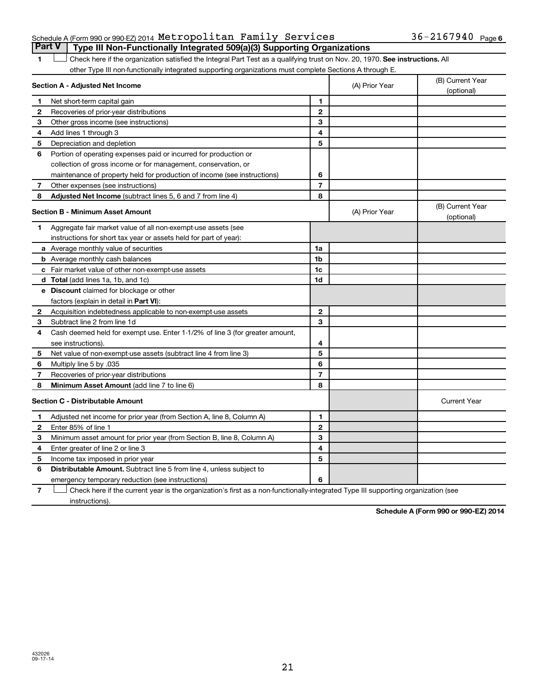### Schedule A (Form 990 or 990-EZ) 2014  ${\tt Metropolitan}$   ${\tt Family}$   ${\tt Services}$   $36-2167940$   ${\tt Page}$ **Part V Type III Non-Functionally Integrated 509(a)(3) Supporting Organizations**

1 **Letter on Reck here if the organization satisfied the Integral Part Test as a qualifying trust on Nov. 20, 1970. See instructions. All** other Type III non-functionally integrated supporting organizations must complete Sections A through E.

| Section A - Adjusted Net Income                                              |                                                                                                                                                                                                                                                                                                                                                     | (A) Prior Year | (B) Current Year<br>(optional) |
|------------------------------------------------------------------------------|-----------------------------------------------------------------------------------------------------------------------------------------------------------------------------------------------------------------------------------------------------------------------------------------------------------------------------------------------------|----------------|--------------------------------|
|                                                                              | 1                                                                                                                                                                                                                                                                                                                                                   |                |                                |
| Recoveries of prior-year distributions                                       | $\mathbf{2}$                                                                                                                                                                                                                                                                                                                                        |                |                                |
| Other gross income (see instructions)                                        | 3                                                                                                                                                                                                                                                                                                                                                   |                |                                |
| Add lines 1 through 3                                                        | 4                                                                                                                                                                                                                                                                                                                                                   |                |                                |
| Depreciation and depletion                                                   | 5                                                                                                                                                                                                                                                                                                                                                   |                |                                |
| Portion of operating expenses paid or incurred for production or             |                                                                                                                                                                                                                                                                                                                                                     |                |                                |
| collection of gross income or for management, conservation, or               |                                                                                                                                                                                                                                                                                                                                                     |                |                                |
| maintenance of property held for production of income (see instructions)     | 6                                                                                                                                                                                                                                                                                                                                                   |                |                                |
| Other expenses (see instructions)                                            | $\overline{7}$                                                                                                                                                                                                                                                                                                                                      |                |                                |
| <b>Adjusted Net Income</b> (subtract lines 5, 6 and 7 from line 4)           | 8                                                                                                                                                                                                                                                                                                                                                   |                |                                |
|                                                                              |                                                                                                                                                                                                                                                                                                                                                     | (A) Prior Year | (B) Current Year<br>(optional) |
| Aggregate fair market value of all non-exempt-use assets (see                |                                                                                                                                                                                                                                                                                                                                                     |                |                                |
| instructions for short tax year or assets held for part of year):            |                                                                                                                                                                                                                                                                                                                                                     |                |                                |
|                                                                              | 1a                                                                                                                                                                                                                                                                                                                                                  |                |                                |
|                                                                              | 1 <sub>b</sub>                                                                                                                                                                                                                                                                                                                                      |                |                                |
|                                                                              | 1c                                                                                                                                                                                                                                                                                                                                                  |                |                                |
|                                                                              | 1d                                                                                                                                                                                                                                                                                                                                                  |                |                                |
|                                                                              |                                                                                                                                                                                                                                                                                                                                                     |                |                                |
| factors (explain in detail in <b>Part VI</b> ):                              |                                                                                                                                                                                                                                                                                                                                                     |                |                                |
| Acquisition indebtedness applicable to non-exempt-use assets                 | $\mathbf{2}$                                                                                                                                                                                                                                                                                                                                        |                |                                |
| Subtract line 2 from line 1d                                                 | 3                                                                                                                                                                                                                                                                                                                                                   |                |                                |
| Cash deemed held for exempt use. Enter 1-1/2% of line 3 (for greater amount, |                                                                                                                                                                                                                                                                                                                                                     |                |                                |
| see instructions).                                                           | 4                                                                                                                                                                                                                                                                                                                                                   |                |                                |
| Net value of non-exempt-use assets (subtract line 4 from line 3)             | 5                                                                                                                                                                                                                                                                                                                                                   |                |                                |
| Multiply line 5 by .035                                                      | 6                                                                                                                                                                                                                                                                                                                                                   |                |                                |
| Recoveries of prior-year distributions                                       | $\overline{7}$                                                                                                                                                                                                                                                                                                                                      |                |                                |
| <b>Minimum Asset Amount</b> (add line 7 to line 6)                           | 8                                                                                                                                                                                                                                                                                                                                                   |                |                                |
|                                                                              |                                                                                                                                                                                                                                                                                                                                                     |                | <b>Current Year</b>            |
| Adjusted net income for prior year (from Section A, line 8, Column A)        | 1                                                                                                                                                                                                                                                                                                                                                   |                |                                |
| Enter 85% of line 1                                                          | $\mathbf{2}$                                                                                                                                                                                                                                                                                                                                        |                |                                |
| Minimum asset amount for prior year (from Section B, line 8, Column A)       | 3                                                                                                                                                                                                                                                                                                                                                   |                |                                |
| Enter greater of line 2 or line 3                                            | 4                                                                                                                                                                                                                                                                                                                                                   |                |                                |
| Income tax imposed in prior year                                             | 5                                                                                                                                                                                                                                                                                                                                                   |                |                                |
| Distributable Amount. Subtract line 5 from line 4, unless subject to         |                                                                                                                                                                                                                                                                                                                                                     |                |                                |
| emergency temporary reduction (see instructions)                             | 6                                                                                                                                                                                                                                                                                                                                                   |                |                                |
|                                                                              | Net short-term capital gain<br><b>Section B - Minimum Asset Amount</b><br>a Average monthly value of securities<br><b>b</b> Average monthly cash balances<br>c Fair market value of other non-exempt-use assets<br><b>d</b> Total (add lines 1a, 1b, and 1c)<br>e Discount claimed for blockage or other<br><b>Section C - Distributable Amount</b> |                |                                |

**7** Check here if the current year is the organization's first as a non-functionally-integrated Type III supporting organization (see † instructions).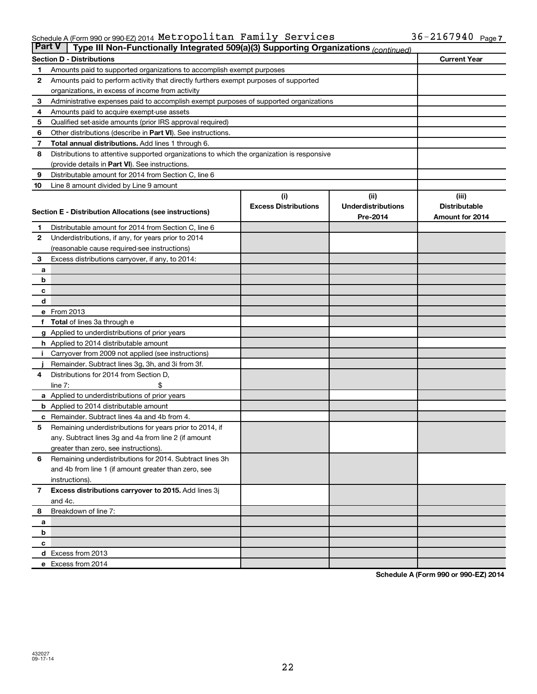#### Schedule A (Form 990 or 990-EZ) 2014 Metropolitan Family Services  $\mathcal{S} = 36-216$  /940  $_{\text{Page}}$ Metropolitan Family Services 36-2167940

| <b>Part V</b><br>Type III Non-Functionally Integrated 509(a)(3) Supporting Organizations (continued) |                                                                                            |                             |                           |                      |  |  |
|------------------------------------------------------------------------------------------------------|--------------------------------------------------------------------------------------------|-----------------------------|---------------------------|----------------------|--|--|
|                                                                                                      | <b>Section D - Distributions</b>                                                           |                             |                           | <b>Current Year</b>  |  |  |
| 1                                                                                                    | Amounts paid to supported organizations to accomplish exempt purposes                      |                             |                           |                      |  |  |
| 2                                                                                                    | Amounts paid to perform activity that directly furthers exempt purposes of supported       |                             |                           |                      |  |  |
|                                                                                                      | organizations, in excess of income from activity                                           |                             |                           |                      |  |  |
| 3                                                                                                    | Administrative expenses paid to accomplish exempt purposes of supported organizations      |                             |                           |                      |  |  |
| 4                                                                                                    | Amounts paid to acquire exempt-use assets                                                  |                             |                           |                      |  |  |
| 5                                                                                                    | Qualified set-aside amounts (prior IRS approval required)                                  |                             |                           |                      |  |  |
| 6                                                                                                    | Other distributions (describe in Part VI). See instructions.                               |                             |                           |                      |  |  |
| 7                                                                                                    | Total annual distributions. Add lines 1 through 6.                                         |                             |                           |                      |  |  |
| 8                                                                                                    | Distributions to attentive supported organizations to which the organization is responsive |                             |                           |                      |  |  |
|                                                                                                      | (provide details in Part VI). See instructions.                                            |                             |                           |                      |  |  |
| 9                                                                                                    | Distributable amount for 2014 from Section C, line 6                                       |                             |                           |                      |  |  |
| 10                                                                                                   | Line 8 amount divided by Line 9 amount                                                     |                             |                           |                      |  |  |
|                                                                                                      |                                                                                            | (i)                         | (i)                       | (iii)                |  |  |
|                                                                                                      | Section E - Distribution Allocations (see instructions)                                    | <b>Excess Distributions</b> | <b>Underdistributions</b> | <b>Distributable</b> |  |  |
|                                                                                                      |                                                                                            |                             | Pre-2014                  | Amount for 2014      |  |  |
| 1                                                                                                    | Distributable amount for 2014 from Section C, line 6                                       |                             |                           |                      |  |  |
| $\mathbf{2}$                                                                                         | Underdistributions, if any, for years prior to 2014                                        |                             |                           |                      |  |  |
|                                                                                                      | (reasonable cause required-see instructions)                                               |                             |                           |                      |  |  |
| 3                                                                                                    | Excess distributions carryover, if any, to 2014:                                           |                             |                           |                      |  |  |
| a                                                                                                    |                                                                                            |                             |                           |                      |  |  |
| b                                                                                                    |                                                                                            |                             |                           |                      |  |  |
| с                                                                                                    |                                                                                            |                             |                           |                      |  |  |
| d                                                                                                    | e From 2013                                                                                |                             |                           |                      |  |  |
|                                                                                                      |                                                                                            |                             |                           |                      |  |  |
|                                                                                                      | <b>Total</b> of lines 3a through e<br>g Applied to underdistributions of prior years       |                             |                           |                      |  |  |
|                                                                                                      | <b>h</b> Applied to 2014 distributable amount                                              |                             |                           |                      |  |  |
|                                                                                                      | Carryover from 2009 not applied (see instructions)                                         |                             |                           |                      |  |  |
|                                                                                                      | Remainder. Subtract lines 3g, 3h, and 3i from 3f.                                          |                             |                           |                      |  |  |
| 4                                                                                                    | Distributions for 2014 from Section D,                                                     |                             |                           |                      |  |  |
|                                                                                                      | $line 7$ :                                                                                 |                             |                           |                      |  |  |
|                                                                                                      | a Applied to underdistributions of prior years                                             |                             |                           |                      |  |  |
|                                                                                                      | <b>b</b> Applied to 2014 distributable amount                                              |                             |                           |                      |  |  |
| с                                                                                                    | Remainder. Subtract lines 4a and 4b from 4.                                                |                             |                           |                      |  |  |
| 5                                                                                                    | Remaining underdistributions for years prior to 2014, if                                   |                             |                           |                      |  |  |
|                                                                                                      | any. Subtract lines 3g and 4a from line 2 (if amount                                       |                             |                           |                      |  |  |
|                                                                                                      | greater than zero, see instructions).                                                      |                             |                           |                      |  |  |
| 6                                                                                                    | Remaining underdistributions for 2014. Subtract lines 3h                                   |                             |                           |                      |  |  |
|                                                                                                      | and 4b from line 1 (if amount greater than zero, see                                       |                             |                           |                      |  |  |
|                                                                                                      | instructions).                                                                             |                             |                           |                      |  |  |
| $\overline{7}$                                                                                       | Excess distributions carryover to 2015. Add lines 3j                                       |                             |                           |                      |  |  |
|                                                                                                      | and 4c.                                                                                    |                             |                           |                      |  |  |
| 8                                                                                                    | Breakdown of line 7:                                                                       |                             |                           |                      |  |  |
| a                                                                                                    |                                                                                            |                             |                           |                      |  |  |
| b                                                                                                    |                                                                                            |                             |                           |                      |  |  |
| с                                                                                                    |                                                                                            |                             |                           |                      |  |  |
|                                                                                                      | d Excess from 2013                                                                         |                             |                           |                      |  |  |
|                                                                                                      | e Excess from 2014                                                                         |                             |                           |                      |  |  |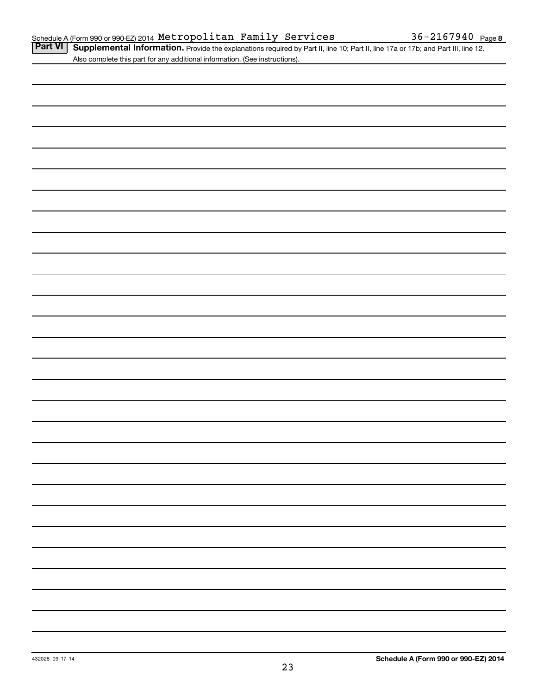Part VI | Supplemental Information. Provide the explanations required by Part II, line 10; Part II, line 17a or 17b; and Part III, line 12. Also complete this part for any additional information. (See instructions).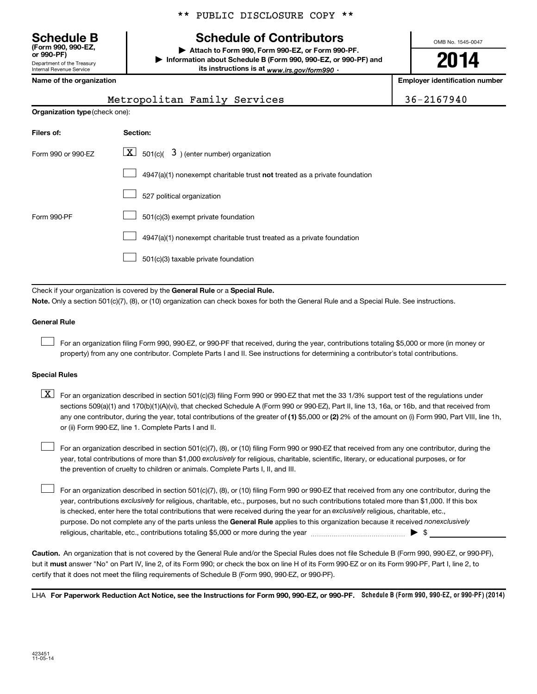Department of the Treasury Internal Revenue Service **(Form 990, 990-EZ,**

|  |  | ** PUBLIC DISCLOSURE COPY ** |  |  |
|--|--|------------------------------|--|--|
|--|--|------------------------------|--|--|

### **Schedule B Schedule of Contributors**

**or 990-PF) | Attach to Form 990, Form 990-EZ, or Form 990-PF. | Information about Schedule B (Form 990, 990-EZ, or 990-PF) and** its instructions is at <sub>www.irs.gov/form990  $\cdot$ </sub>

OMB No. 1545-0047

## **2014**

**Name of the organization Employer identification number**

| O.<br>.,<br>-7 |  |
|----------------|--|
|----------------|--|

| Metropolitan Family Services |  | $136 - 2167940$ |
|------------------------------|--|-----------------|

| Organization type (check one): |                                                                           |  |  |  |  |  |  |
|--------------------------------|---------------------------------------------------------------------------|--|--|--|--|--|--|
| Filers of:                     | <b>Section:</b>                                                           |  |  |  |  |  |  |
| Form 990 or 990-EZ             | $\boxed{\mathbf{X}}$ 501(c)( 3) (enter number) organization               |  |  |  |  |  |  |
|                                | 4947(a)(1) nonexempt charitable trust not treated as a private foundation |  |  |  |  |  |  |
|                                | 527 political organization                                                |  |  |  |  |  |  |
| Form 990-PF                    | 501(c)(3) exempt private foundation                                       |  |  |  |  |  |  |
|                                | 4947(a)(1) nonexempt charitable trust treated as a private foundation     |  |  |  |  |  |  |
|                                | 501(c)(3) taxable private foundation                                      |  |  |  |  |  |  |

Check if your organization is covered by the General Rule or a Special Rule.

**Note.**  Only a section 501(c)(7), (8), or (10) organization can check boxes for both the General Rule and a Special Rule. See instructions.

### **General Rule**

 $\Box$ 

For an organization filing Form 990, 990-EZ, or 990-PF that received, during the year, contributions totaling \$5,000 or more (in money or property) from any one contributor. Complete Parts I and II. See instructions for determining a contributor's total contributions.

### **Special Rules**

any one contributor, during the year, total contributions of the greater of **(1)** \$5,000 or **(2)** 2% of the amount on (i) Form 990, Part VIII, line 1h,  $\boxed{\text{X}}$  For an organization described in section 501(c)(3) filing Form 990 or 990-EZ that met the 33 1/3% support test of the regulations under sections 509(a)(1) and 170(b)(1)(A)(vi), that checked Schedule A (Form 990 or 990-EZ), Part II, line 13, 16a, or 16b, and that received from or (ii) Form 990-EZ, line 1. Complete Parts I and II.

year, total contributions of more than \$1,000 *exclusively* for religious, charitable, scientific, literary, or educational purposes, or for For an organization described in section 501(c)(7), (8), or (10) filing Form 990 or 990-EZ that received from any one contributor, during the the prevention of cruelty to children or animals. Complete Parts I, II, and III.  $\Box$ 

purpose. Do not complete any of the parts unless the General Rule applies to this organization because it received nonexclusively year, contributions exclusively for religious, charitable, etc., purposes, but no such contributions totaled more than \$1,000. If this box is checked, enter here the total contributions that were received during the year for an exclusively religious, charitable, etc., For an organization described in section 501(c)(7), (8), or (10) filing Form 990 or 990-EZ that received from any one contributor, during the religious, charitable, etc., contributions totaling \$5,000 or more during the year  $\ldots$  $\ldots$  $\ldots$  $\ldots$  $\ldots$  $\ldots$  $\Box$ 

**Caution.** An organization that is not covered by the General Rule and/or the Special Rules does not file Schedule B (Form 990, 990-EZ, or 990-PF),  **must** but it answer "No" on Part IV, line 2, of its Form 990; or check the box on line H of its Form 990-EZ or on its Form 990-PF, Part I, line 2, to certify that it does not meet the filing requirements of Schedule B (Form 990, 990-EZ, or 990-PF).

LHA For Paperwork Reduction Act Notice, see the Instructions for Form 990, 990-EZ, or 990-PF. Schedule B (Form 990, 990-EZ, or 990-PF) (2014)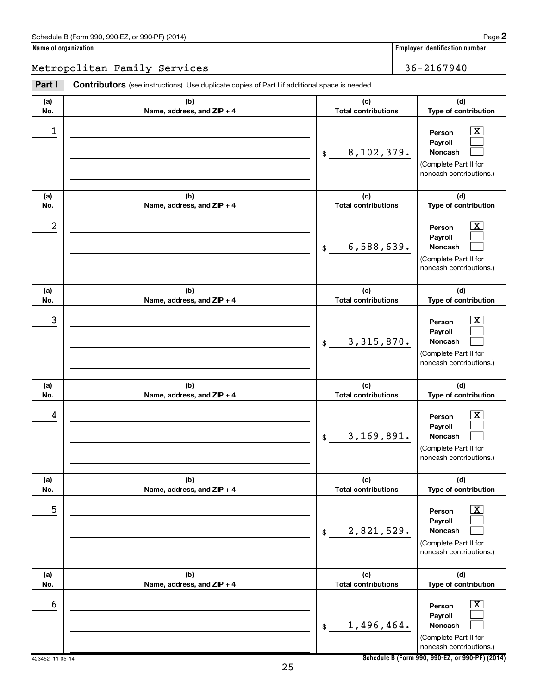### Metropolitan Family Services 2016/10 2016 202167940

| Part I     | <b>Contributors</b> (see instructions). Use duplicate copies of Part I if additional space is needed. |                                   |                                                                                                          |
|------------|-------------------------------------------------------------------------------------------------------|-----------------------------------|----------------------------------------------------------------------------------------------------------|
| (a)<br>No. | (b)<br>Name, address, and ZIP + 4                                                                     | (c)<br><b>Total contributions</b> | (d)<br>Type of contribution                                                                              |
| 1          |                                                                                                       | 8,102,379.<br>\$                  | $\mathbf{X}$<br>Person<br>Payroll<br>Noncash<br>(Complete Part II for<br>noncash contributions.)         |
| (a)<br>No. | (b)<br>Name, address, and ZIP + 4                                                                     | (c)<br><b>Total contributions</b> | (d)<br>Type of contribution                                                                              |
| 2          |                                                                                                       | 6,588,639.<br>\$                  | $\boxed{\textbf{X}}$<br>Person<br>Payroll<br>Noncash<br>(Complete Part II for<br>noncash contributions.) |
| (a)<br>No. | (b)<br>Name, address, and ZIP + 4                                                                     | (c)<br><b>Total contributions</b> | (d)<br>Type of contribution                                                                              |
| 3          |                                                                                                       | 3,315,870.<br>\$                  | $\mathbf{X}$<br>Person<br>Payroll<br>Noncash<br>(Complete Part II for<br>noncash contributions.)         |
| (a)<br>No. | (b)<br>Name, address, and ZIP + 4                                                                     | (c)<br><b>Total contributions</b> | (d)<br>Type of contribution                                                                              |
| 4          |                                                                                                       | 3,169,891.<br>\$                  | $\mathbf{X}$<br>Person<br>Payroll<br>Noncash<br>(Complete Part II for<br>noncash contributions.)         |
| (a)<br>No. | (b)<br>Name, address, and ZIP + 4                                                                     | (c)<br><b>Total contributions</b> | (d)<br>Type of contribution                                                                              |
| 5          |                                                                                                       | 2,821,529.<br>\$                  | $\boxed{\textbf{X}}$<br>Person<br>Payroll<br>Noncash<br>(Complete Part II for<br>noncash contributions.) |
| (a)<br>No. | (b)<br>Name, address, and ZIP + 4                                                                     | (c)<br><b>Total contributions</b> | (d)<br>Type of contribution                                                                              |
| 6          |                                                                                                       | 1,496,464.<br>\$                  | $\boxed{\textbf{X}}$<br>Person<br>Payroll<br>Noncash<br>(Complete Part II for<br>noncash contributions.) |

**Schedule B (Form 990, 990-EZ, or 990-PF) (2014)**

**2**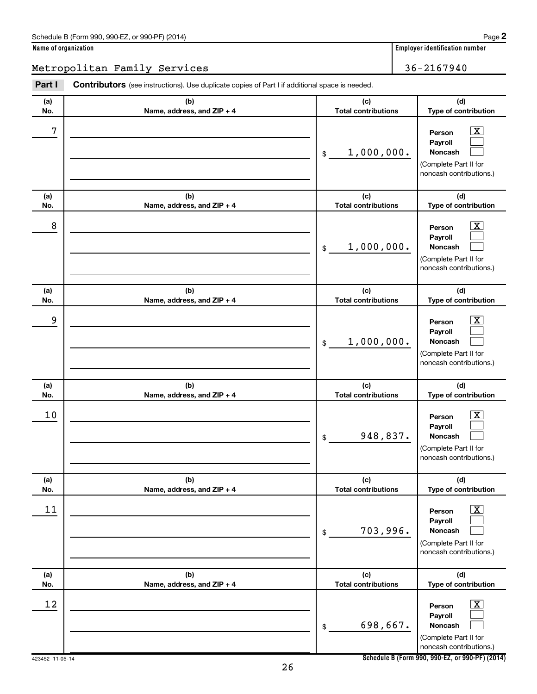| Name of organization |  |
|----------------------|--|
|----------------------|--|

### Metropolitan Family Services 36-2167940

| Part I     | <b>Contributors</b> (see instructions). Use duplicate copies of Part I if additional space is needed. |                                              |                                                                                                                                  |
|------------|-------------------------------------------------------------------------------------------------------|----------------------------------------------|----------------------------------------------------------------------------------------------------------------------------------|
| (a)        | (b)                                                                                                   | (c)                                          | (d)                                                                                                                              |
| No.        | Name, address, and ZIP + 4                                                                            | <b>Total contributions</b>                   | Type of contribution                                                                                                             |
| 7          |                                                                                                       | 1,000,000.<br>$\$$                           | $\boxed{\textbf{X}}$<br>Person<br>Payroll<br>Noncash<br>(Complete Part II for<br>noncash contributions.)                         |
| (a)        | (b)                                                                                                   | (c)                                          | (d)<br>Type of contribution                                                                                                      |
| No.        | Name, address, and ZIP + 4                                                                            | <b>Total contributions</b>                   |                                                                                                                                  |
| 8          |                                                                                                       | 1,000,000.<br>\$                             | $\overline{\mathbf{X}}$<br>Person<br>Payroll<br>Noncash<br>(Complete Part II for<br>noncash contributions.)                      |
| (a)<br>No. | (b)<br>Name, address, and ZIP + 4                                                                     | (c)<br><b>Total contributions</b>            | (d)<br>Type of contribution                                                                                                      |
| 9          |                                                                                                       | 1,000,000.<br>\$                             | $\overline{\mathbf{X}}$<br>Person<br>Payroll<br>Noncash<br>(Complete Part II for<br>noncash contributions.)                      |
| (a)        | (b)                                                                                                   | (c)                                          | (d)                                                                                                                              |
| No.<br>10  | Name, address, and ZIP + 4                                                                            | <b>Total contributions</b><br>948,837.<br>\$ | Type of contribution<br>$\boxed{\textbf{X}}$<br>Person<br>Payroll<br>Noncash<br>(Complete Part II for<br>noncash contributions.) |
| (a)<br>No. | (b)<br>Name, address, and ZIP + 4                                                                     | (c)<br><b>Total contributions</b>            | (d)<br>Type of contribution                                                                                                      |
| 11         |                                                                                                       | 703,996.<br>$\$$                             | $\boxed{\mathbf{X}}$<br>Person<br>Payroll<br>Noncash<br>(Complete Part II for<br>noncash contributions.)                         |
| (a)<br>No. | (b)<br>Name, address, and ZIP + 4                                                                     | (c)<br><b>Total contributions</b>            | (d)<br>Type of contribution                                                                                                      |
| 12         |                                                                                                       | 698,667.<br>$\$$                             | $\overline{\mathbf{X}}$<br>Person<br>Payroll<br>Noncash<br>(Complete Part II for<br>noncash contributions.)                      |

**Schedule B (Form 990, 990-EZ, or 990-PF) (2014)**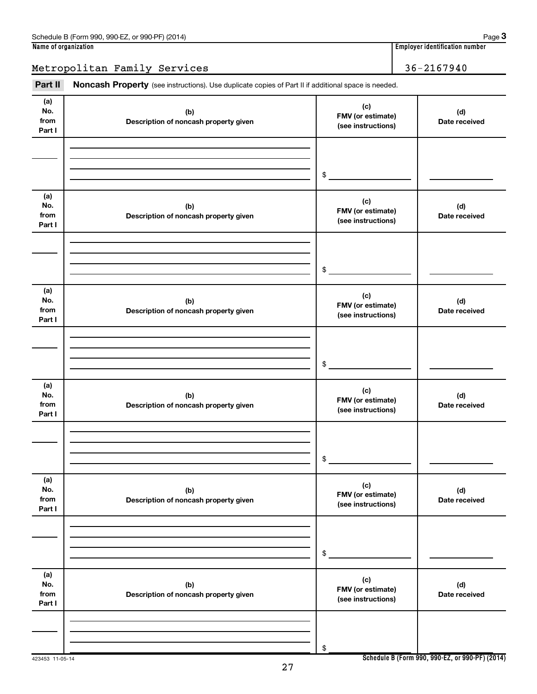Metropolitan Family Services 36-2167940

Part II Noncash Property (see instructions). Use duplicate copies of Part II if additional space is needed.

| (a)<br>No.<br>from<br>Part I | (b)<br>Description of noncash property given | (c)<br>FMV (or estimate)<br>(see instructions) | (d)<br>Date received |
|------------------------------|----------------------------------------------|------------------------------------------------|----------------------|
|                              |                                              |                                                |                      |
|                              |                                              | \$                                             |                      |
| (a)<br>No.<br>from<br>Part I | (b)<br>Description of noncash property given | (c)<br>FMV (or estimate)<br>(see instructions) | (d)<br>Date received |
|                              |                                              |                                                |                      |
|                              |                                              | \$                                             |                      |
| (a)<br>No.<br>from<br>Part I | (b)<br>Description of noncash property given | (c)<br>FMV (or estimate)<br>(see instructions) | (d)<br>Date received |
|                              |                                              |                                                |                      |
|                              |                                              | \$                                             |                      |
| (a)<br>No.<br>from<br>Part I | (b)<br>Description of noncash property given | (c)<br>FMV (or estimate)<br>(see instructions) | (d)<br>Date received |
|                              |                                              |                                                |                      |
|                              |                                              | \$                                             |                      |
| (a)<br>No.<br>from<br>Part I | (b)<br>Description of noncash property given | (c)<br>FMV (or estimate)<br>(see instructions) | (d)<br>Date received |
|                              |                                              |                                                |                      |
|                              |                                              | \$                                             |                      |
| (a)<br>No.<br>from<br>Part I | (b)<br>Description of noncash property given | (c)<br>FMV (or estimate)<br>(see instructions) | (d)<br>Date received |
|                              |                                              |                                                |                      |
|                              |                                              | \$                                             |                      |

27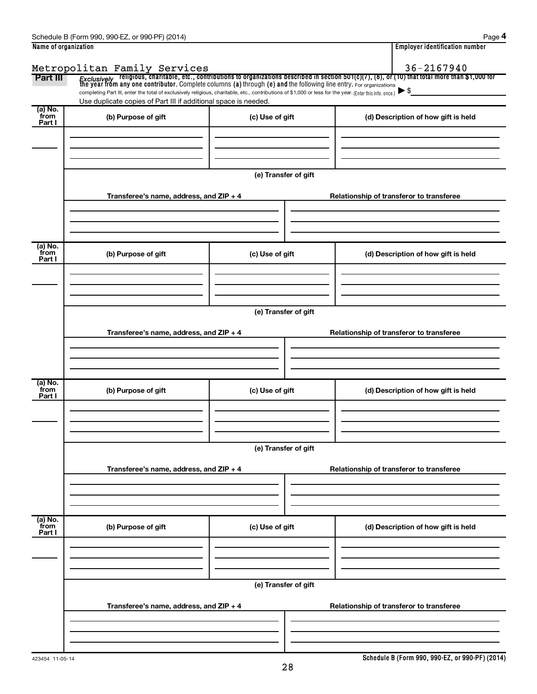| Name of organization |                                                                                                                                                                                                                                    |                      |  | <b>Employer identification number</b>    |  |  |  |  |  |
|----------------------|------------------------------------------------------------------------------------------------------------------------------------------------------------------------------------------------------------------------------------|----------------------|--|------------------------------------------|--|--|--|--|--|
|                      | Metropolitan Family Services                                                                                                                                                                                                       |                      |  | 36-2167940                               |  |  |  |  |  |
| Part III             | Exclusively religious, charitable, etc., contributions to organizations described in section 501(c)(7), (8), or (10) that total more than \$1,000 for<br>the year from any one contributor. Complete columns (a) through (e) and t |                      |  |                                          |  |  |  |  |  |
|                      | completing Part III, enter the total of exclusively religious, charitable, etc., contributions of \$1,000 or less for the year. (Enter this info. once.)                                                                           |                      |  | $\blacktriangleright$ \$                 |  |  |  |  |  |
| (a) No.              | Use duplicate copies of Part III if additional space is needed.                                                                                                                                                                    |                      |  |                                          |  |  |  |  |  |
| from<br>Part I       | (b) Purpose of gift                                                                                                                                                                                                                | (c) Use of gift      |  | (d) Description of how gift is held      |  |  |  |  |  |
|                      |                                                                                                                                                                                                                                    |                      |  |                                          |  |  |  |  |  |
|                      |                                                                                                                                                                                                                                    |                      |  |                                          |  |  |  |  |  |
|                      |                                                                                                                                                                                                                                    |                      |  |                                          |  |  |  |  |  |
|                      |                                                                                                                                                                                                                                    | (e) Transfer of gift |  |                                          |  |  |  |  |  |
|                      | Transferee's name, address, and ZIP + 4                                                                                                                                                                                            |                      |  | Relationship of transferor to transferee |  |  |  |  |  |
|                      |                                                                                                                                                                                                                                    |                      |  |                                          |  |  |  |  |  |
|                      |                                                                                                                                                                                                                                    |                      |  |                                          |  |  |  |  |  |
|                      |                                                                                                                                                                                                                                    |                      |  |                                          |  |  |  |  |  |
| (a) No.<br>from      | (b) Purpose of gift                                                                                                                                                                                                                | (c) Use of gift      |  | (d) Description of how gift is held      |  |  |  |  |  |
| Part I               |                                                                                                                                                                                                                                    |                      |  |                                          |  |  |  |  |  |
|                      |                                                                                                                                                                                                                                    |                      |  |                                          |  |  |  |  |  |
|                      |                                                                                                                                                                                                                                    |                      |  |                                          |  |  |  |  |  |
|                      | (e) Transfer of gift                                                                                                                                                                                                               |                      |  |                                          |  |  |  |  |  |
|                      |                                                                                                                                                                                                                                    |                      |  |                                          |  |  |  |  |  |
|                      | Transferee's name, address, and ZIP + 4                                                                                                                                                                                            |                      |  | Relationship of transferor to transferee |  |  |  |  |  |
|                      |                                                                                                                                                                                                                                    |                      |  |                                          |  |  |  |  |  |
|                      |                                                                                                                                                                                                                                    |                      |  |                                          |  |  |  |  |  |
| (a) No.              |                                                                                                                                                                                                                                    |                      |  |                                          |  |  |  |  |  |
| from<br>Part I       | (b) Purpose of gift                                                                                                                                                                                                                | (c) Use of gift      |  | (d) Description of how gift is held      |  |  |  |  |  |
|                      |                                                                                                                                                                                                                                    |                      |  |                                          |  |  |  |  |  |
|                      |                                                                                                                                                                                                                                    |                      |  |                                          |  |  |  |  |  |
|                      |                                                                                                                                                                                                                                    |                      |  |                                          |  |  |  |  |  |
|                      | (e) Transfer of gift                                                                                                                                                                                                               |                      |  |                                          |  |  |  |  |  |
|                      | Transferee's name, address, and ZIP + 4                                                                                                                                                                                            |                      |  | Relationship of transferor to transferee |  |  |  |  |  |
|                      |                                                                                                                                                                                                                                    |                      |  |                                          |  |  |  |  |  |
|                      |                                                                                                                                                                                                                                    |                      |  |                                          |  |  |  |  |  |
|                      |                                                                                                                                                                                                                                    |                      |  |                                          |  |  |  |  |  |
| (a) No.<br>from      | (b) Purpose of gift                                                                                                                                                                                                                | (c) Use of gift      |  | (d) Description of how gift is held      |  |  |  |  |  |
| Part I               |                                                                                                                                                                                                                                    |                      |  |                                          |  |  |  |  |  |
|                      |                                                                                                                                                                                                                                    |                      |  |                                          |  |  |  |  |  |
|                      |                                                                                                                                                                                                                                    |                      |  |                                          |  |  |  |  |  |
|                      |                                                                                                                                                                                                                                    | (e) Transfer of gift |  |                                          |  |  |  |  |  |
|                      |                                                                                                                                                                                                                                    |                      |  |                                          |  |  |  |  |  |
|                      | Transferee's name, address, and ZIP + 4                                                                                                                                                                                            |                      |  | Relationship of transferor to transferee |  |  |  |  |  |
|                      |                                                                                                                                                                                                                                    |                      |  |                                          |  |  |  |  |  |
|                      |                                                                                                                                                                                                                                    |                      |  |                                          |  |  |  |  |  |
|                      |                                                                                                                                                                                                                                    |                      |  |                                          |  |  |  |  |  |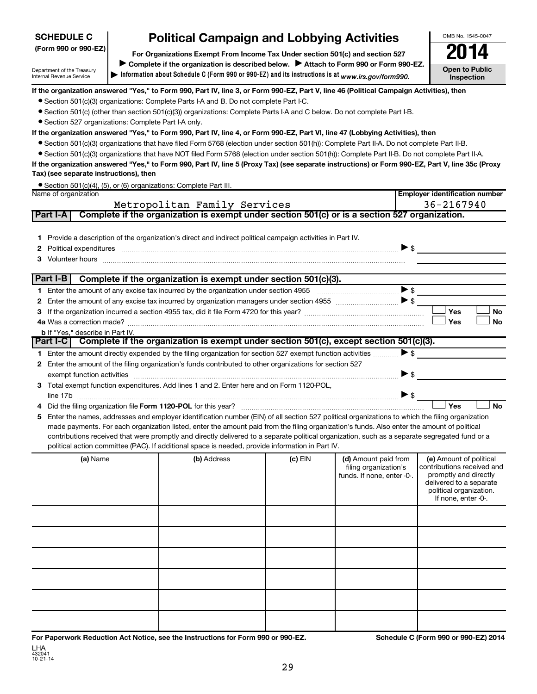### OMB No. 1545-0047 Department of the Treasury Internal Revenue Service **Information about Schedule C (Form 990 or 990-EZ) and its instructions is at |**  *www.irs.gov/form990.* **(Form 990 or 990-EZ) For Organizations Exempt From Income Tax Under section 501(c) and section 527 Open to Public Inspection** Complete if the organization is described below. > Attach to Form 990 or Form 990-EZ. **If the organization answered "Yes," to Form 990, Part IV, line 3, or Form 990-EZ, Part V, line 46 (Political Campaign Activities), then If the organization answered "Yes," to Form 990, Part IV, line 4, or Form 990-EZ, Part VI, line 47 (Lobbying Activities), then If the organization answered "Yes," to Form 990, Part IV, line 5 (Proxy Tax) (see separate instructions) or Form 990-EZ, Part V, line 35c (Proxy Tax) (see separate instructions), then Employer identification number 1** Provide a description of the organization's direct and indirect political campaign activities in Part IV. **2** Political expenditures ~~~~~~~~~~~~~~~~~~~~~~~~~~~~~~~~~~~~~~~~~~~~ \$ **3** Volunteer hours was allowed and the control of the control of the control of the control of the control of the control of the control of the control of the control of the control of the control of the control of the co **1 2** Enter the amount of any excise tax incurred by organization managers under section 4955 **3** If the organization incurred a section 4955 tax, did it file Form 4720 for this year? ~~~~~~~~~~~~~~~~~~~ **4 a** Was a correction made? ~~~~~~~~~~~~~~~~~~~~~~~~~~~~~~~~~~~~~~~~~~~~~~~  $\Box$  Yes  $\Box$  No **b** If "Yes," describe in Part IV.  $\Box$  Yes  $\Box$  No **1** Enter the amount directly expended by the filing organization for section 527 exempt function activities *………* ▶ \$ **2** Enter the amount of the filing organization's funds contributed to other organizations for section 527 **3** Total exempt function expenditures. Add lines 1 and 2. Enter here and on Form 1120-POL, **4** Did the filing organization file **Form 1120-POL** for this year? No **5** Enter the names, addresses and employer identification number (EIN) of all section 527 political organizations to which the filing organization **(a)** Name **Address Containery (c)** EIN **(d)** Amount paid from **(e)** • Section 501(c)(3) organizations: Complete Parts I-A and B. Do not complete Part I-C. • Section 501(c) (other than section 501(c)(3)) organizations: Complete Parts I-A and C below. Do not complete Part I-B. • Section 527 organizations: Complete Part I-A only. • Section 501(c)(3) organizations that have filed Form 5768 (election under section 501(h)): Complete Part II-A. Do not complete Part II-B. • Section 501(c)(3) organizations that have NOT filed Form 5768 (election under section 501(h)): Complete Part II-B. Do not complete Part II-A. • Section 501(c)(4), (5), or (6) organizations: Complete Part III. Name of organization Enter the amount of any excise tax incurred by the organization under section 4955  $\ldots$  $\ldots$  $\ldots$  $\ldots$  $\ldots$  $\ldots$ ~~~~~~~~~~ \$ J exempt function activities ~~~~~~~~~~~~~~~~~~~~~~~~~~~~~~~~~~~~~~~~~~ \$ line 17b ~~~~~~~~~~~~~~~~~~~~~~~~~~~~~~~~~~~~~~~~~~~~~~~~~~~ \$ made payments. For each organization listed, enter the amount paid from the filing organization's funds. Also enter the amount of political contributions received that were promptly and directly delivered to a separate political organization, such as a separate segregated fund or a political action committee (PAC). If additional space is needed, provide information in Part IV. filing organization's funds. If none, enter -0-. (e) Amount of political contributions received and promptly and directly delivered to a separate political organization. If none, enter -0-. **SCHEDULE C Part I-A Complete if the organization is exempt under section 501(c) or is a section 527 organization. Part I-B Complete if the organization is exempt under section 501(c)(3). Part I-C Complete if the organization is exempt under section 501(c), except section 501(c)(3). Political Campaign and Lobbying Activities**  $\triangleright$  s  $\blacktriangleright$  \$  $\blacktriangleright$  \$  $\blacktriangleright$  \$  $\blacktriangleright$  s  $|$  Yes Metropolitan Family Services and the services of the 36-2167940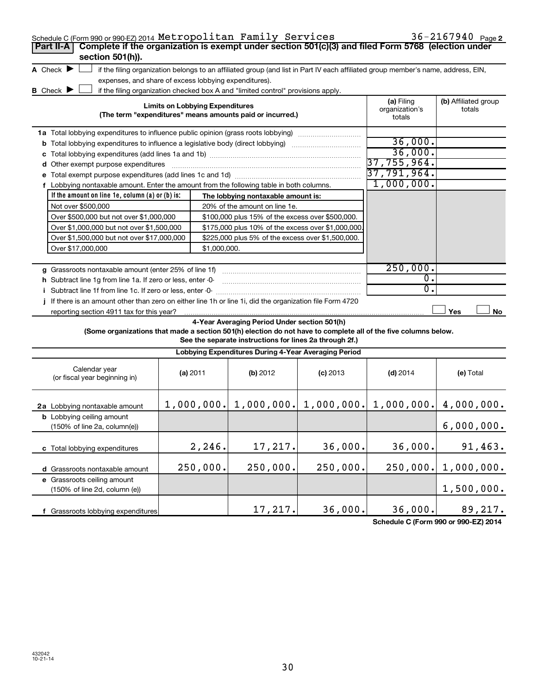| Schedule C (Form 990 or 990 EZ) 2014 Metropolitan Family Services                                                                                                                                                              |  |                                        |                                                                                  |            |                                                     | $36 - 2167940$ Page 2          |  |  |  |
|--------------------------------------------------------------------------------------------------------------------------------------------------------------------------------------------------------------------------------|--|----------------------------------------|----------------------------------------------------------------------------------|------------|-----------------------------------------------------|--------------------------------|--|--|--|
| Complete if the organization is exempt under section 501(c)(3) and filed Form 5768 (election under<br>Part II-A                                                                                                                |  |                                        |                                                                                  |            |                                                     |                                |  |  |  |
| section 501(h)).                                                                                                                                                                                                               |  |                                        |                                                                                  |            |                                                     |                                |  |  |  |
| A Check $\blacktriangleright$<br>if the filing organization belongs to an affiliated group (and list in Part IV each affiliated group member's name, address, EIN,                                                             |  |                                        |                                                                                  |            |                                                     |                                |  |  |  |
| expenses, and share of excess lobbying expenditures).                                                                                                                                                                          |  |                                        |                                                                                  |            |                                                     |                                |  |  |  |
| B Check $\blacktriangleright$                                                                                                                                                                                                  |  |                                        | if the filing organization checked box A and "limited control" provisions apply. |            |                                                     |                                |  |  |  |
|                                                                                                                                                                                                                                |  | <b>Limits on Lobbying Expenditures</b> |                                                                                  |            | (a) Filing<br>organization's                        | (b) Affiliated group<br>totals |  |  |  |
|                                                                                                                                                                                                                                |  |                                        | (The term "expenditures" means amounts paid or incurred.)                        |            | totals                                              |                                |  |  |  |
| 1a Total lobbying expenditures to influence public opinion (grass roots lobbying)                                                                                                                                              |  |                                        |                                                                                  |            |                                                     |                                |  |  |  |
| <b>b</b> Total lobbying expenditures to influence a legislative body (direct lobbying) <i>manumumumum</i>                                                                                                                      |  |                                        |                                                                                  |            | 36,000.                                             |                                |  |  |  |
|                                                                                                                                                                                                                                |  |                                        |                                                                                  |            | 36,000.                                             |                                |  |  |  |
| d Other exempt purpose expenditures [11] matter contracts and produced by Other exempt purpose expenditures [11] matter contracts and other exempt purpose expenditures [11] matter contracts and other contracts and other co |  |                                        |                                                                                  |            | 37,755,964.                                         |                                |  |  |  |
|                                                                                                                                                                                                                                |  |                                        |                                                                                  |            | 37,791,964.                                         |                                |  |  |  |
| f Lobbying nontaxable amount. Enter the amount from the following table in both columns.                                                                                                                                       |  |                                        |                                                                                  |            | 1,000,000.                                          |                                |  |  |  |
| If the amount on line 1e, column $(a)$ or $(b)$ is:                                                                                                                                                                            |  |                                        | The lobbying nontaxable amount is:                                               |            |                                                     |                                |  |  |  |
| Not over \$500,000                                                                                                                                                                                                             |  |                                        | 20% of the amount on line 1e.                                                    |            |                                                     |                                |  |  |  |
| Over \$500,000 but not over \$1,000,000                                                                                                                                                                                        |  |                                        | \$100,000 plus 15% of the excess over \$500,000.                                 |            |                                                     |                                |  |  |  |
| Over \$1,000,000 but not over \$1,500,000                                                                                                                                                                                      |  |                                        | \$175,000 plus 10% of the excess over \$1,000,000                                |            |                                                     |                                |  |  |  |
| Over \$1,500,000 but not over \$17,000,000                                                                                                                                                                                     |  |                                        | \$225,000 plus 5% of the excess over \$1,500,000.                                |            |                                                     |                                |  |  |  |
| Over \$17,000,000                                                                                                                                                                                                              |  | \$1,000,000.                           |                                                                                  |            |                                                     |                                |  |  |  |
|                                                                                                                                                                                                                                |  |                                        |                                                                                  |            | 250,000.                                            |                                |  |  |  |
|                                                                                                                                                                                                                                |  |                                        |                                                                                  |            | $\mathbf{0}$ .                                      |                                |  |  |  |
| h Subtract line 1g from line 1a. If zero or less, enter -0-                                                                                                                                                                    |  |                                        |                                                                                  |            | 0.                                                  |                                |  |  |  |
| If there is an amount other than zero on either line 1h or line 1i, did the organization file Form 4720                                                                                                                        |  |                                        |                                                                                  |            |                                                     |                                |  |  |  |
| reporting section 4911 tax for this year?                                                                                                                                                                                      |  |                                        |                                                                                  |            |                                                     | Yes<br>No                      |  |  |  |
|                                                                                                                                                                                                                                |  |                                        | 4-Year Averaging Period Under section 501(h)                                     |            |                                                     |                                |  |  |  |
| (Some organizations that made a section 501(h) election do not have to complete all of the five columns below.                                                                                                                 |  |                                        |                                                                                  |            |                                                     |                                |  |  |  |
|                                                                                                                                                                                                                                |  |                                        | See the separate instructions for lines 2a through 2f.)                          |            |                                                     |                                |  |  |  |
|                                                                                                                                                                                                                                |  |                                        | Lobbying Expenditures During 4-Year Averaging Period                             |            |                                                     |                                |  |  |  |
| Calendar year                                                                                                                                                                                                                  |  |                                        |                                                                                  |            |                                                     |                                |  |  |  |
| (or fiscal year beginning in)                                                                                                                                                                                                  |  | (a) 2011                               | (b) 2012                                                                         | $(c)$ 2013 | $(d)$ 2014                                          | (e) Total                      |  |  |  |
|                                                                                                                                                                                                                                |  |                                        |                                                                                  |            |                                                     |                                |  |  |  |
|                                                                                                                                                                                                                                |  |                                        |                                                                                  |            | $1,000,000.$ $1,000,000.$ $1,000,000.$ $1,000,000.$ | 4,000,000.                     |  |  |  |
| 2a Lobbying nontaxable amount                                                                                                                                                                                                  |  |                                        |                                                                                  |            |                                                     |                                |  |  |  |
| <b>b</b> Lobbying ceiling amount<br>(150% of line 2a, column(e))                                                                                                                                                               |  |                                        |                                                                                  |            |                                                     | 6,000,000.                     |  |  |  |
|                                                                                                                                                                                                                                |  |                                        |                                                                                  |            |                                                     |                                |  |  |  |
| c Total lobbying expenditures                                                                                                                                                                                                  |  | 2,246.                                 | 17,217.                                                                          | 36,000.    | 36,000.                                             | 91,463.                        |  |  |  |
|                                                                                                                                                                                                                                |  |                                        |                                                                                  |            |                                                     |                                |  |  |  |
| d Grassroots nontaxable amount                                                                                                                                                                                                 |  | 250,000.                               | 250,000.                                                                         | 250,000.   | 250,000.                                            | 1,000,000.                     |  |  |  |
| e Grassroots ceiling amount                                                                                                                                                                                                    |  |                                        |                                                                                  |            |                                                     |                                |  |  |  |
| (150% of line 2d, column (e))                                                                                                                                                                                                  |  |                                        |                                                                                  |            |                                                     | 1,500,000.                     |  |  |  |
|                                                                                                                                                                                                                                |  |                                        |                                                                                  |            |                                                     |                                |  |  |  |
| f Grassroots lobbying expenditures                                                                                                                                                                                             |  |                                        | 17,217.                                                                          | 36,000.    | 36,000.                                             | 89,217.                        |  |  |  |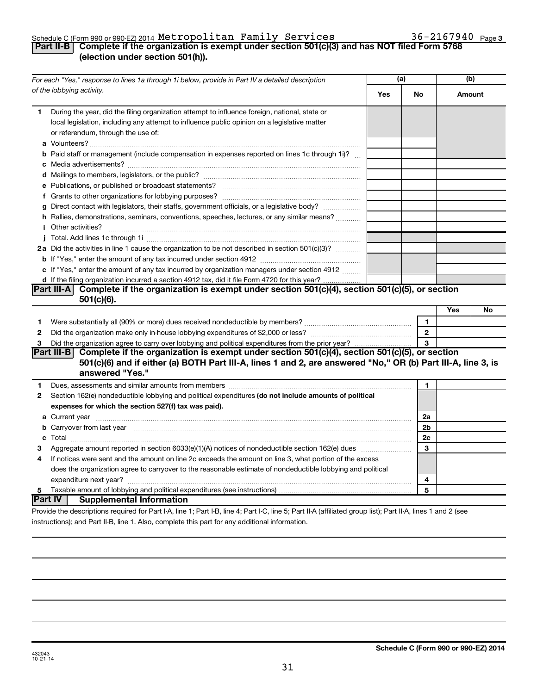### Schedule C (Form 990 or 990-EZ) 2014  ${\tt Metropolitan}$   ${\tt Family}$   ${\tt Services}$   $36-2167940$   ${\tt Page}$

### **Part II-B Complete if the organization is exempt under section 501(c)(3) and has NOT filed Form 5768 (election under section 501(h)).**

|              | For each "Yes," response to lines 1a through 1i below, provide in Part IV a detailed description                                                                                                                                    | (a) |                | (b)    |    |
|--------------|-------------------------------------------------------------------------------------------------------------------------------------------------------------------------------------------------------------------------------------|-----|----------------|--------|----|
|              | of the lobbying activity.                                                                                                                                                                                                           | Yes | No             | Amount |    |
| 1            | During the year, did the filing organization attempt to influence foreign, national, state or<br>local legislation, including any attempt to influence public opinion on a legislative matter<br>or referendum, through the use of: |     |                |        |    |
|              | <b>b</b> Paid staff or management (include compensation in expenses reported on lines 1c through 1i)?                                                                                                                               |     |                |        |    |
|              |                                                                                                                                                                                                                                     |     |                |        |    |
|              |                                                                                                                                                                                                                                     |     |                |        |    |
|              |                                                                                                                                                                                                                                     |     |                |        |    |
|              |                                                                                                                                                                                                                                     |     |                |        |    |
|              | g Direct contact with legislators, their staffs, government officials, or a legislative body?                                                                                                                                       |     |                |        |    |
|              | h Rallies, demonstrations, seminars, conventions, speeches, lectures, or any similar means?                                                                                                                                         |     |                |        |    |
|              | <i>i</i> Other activities?                                                                                                                                                                                                          |     |                |        |    |
|              |                                                                                                                                                                                                                                     |     |                |        |    |
|              | 2a Did the activities in line 1 cause the organization to be not described in section 501(c)(3)?                                                                                                                                    |     |                |        |    |
|              |                                                                                                                                                                                                                                     |     |                |        |    |
|              | c If "Yes," enter the amount of any tax incurred by organization managers under section 4912                                                                                                                                        |     |                |        |    |
|              | d If the filing organization incurred a section 4912 tax, did it file Form 4720 for this year?                                                                                                                                      |     |                |        |    |
|              | Part III-A Complete if the organization is exempt under section 501(c)(4), section 501(c)(5), or section                                                                                                                            |     |                |        |    |
|              | $501(c)(6)$ .                                                                                                                                                                                                                       |     |                |        |    |
|              |                                                                                                                                                                                                                                     |     |                | Yes    | No |
| 1            |                                                                                                                                                                                                                                     |     | 1              |        |    |
| $\mathbf{2}$ |                                                                                                                                                                                                                                     |     | $\overline{2}$ |        |    |
| 3            |                                                                                                                                                                                                                                     |     | 3              |        |    |
|              | Part III-B Complete if the organization is exempt under section 501(c)(4), section 501(c)(5), or section                                                                                                                            |     |                |        |    |
|              | 501(c)(6) and if either (a) BOTH Part III-A, lines 1 and 2, are answered "No," OR (b) Part III-A, line 3, is                                                                                                                        |     |                |        |    |
|              | answered "Yes."                                                                                                                                                                                                                     |     |                |        |    |
| 1            |                                                                                                                                                                                                                                     |     | 1              |        |    |
| 2            | Section 162(e) nondeductible lobbying and political expenditures (do not include amounts of political                                                                                                                               |     |                |        |    |
|              | expenses for which the section 527(f) tax was paid).                                                                                                                                                                                |     |                |        |    |
|              |                                                                                                                                                                                                                                     |     | 2a             |        |    |
|              | b Carryover from last year manufactured and content to content the content of the content of the content of the content of the content of the content of the content of the content of the content of the content of the conte      |     | 2 <sub>b</sub> |        |    |
|              |                                                                                                                                                                                                                                     |     | 2c             |        |    |
| 3            | Aggregate amount reported in section 6033(e)(1)(A) notices of nondeductible section 162(e) dues                                                                                                                                     |     | 3              |        |    |
| 4            | If notices were sent and the amount on line 2c exceeds the amount on line 3, what portion of the excess                                                                                                                             |     |                |        |    |
|              | does the organization agree to carryover to the reasonable estimate of nondeductible lobbying and political                                                                                                                         |     |                |        |    |
|              |                                                                                                                                                                                                                                     |     | 4              |        |    |
| 5            |                                                                                                                                                                                                                                     |     | 5              |        |    |
|              | <b>Part IV   Supplemental Information</b>                                                                                                                                                                                           |     |                |        |    |
|              | Brougle the descriptions required for Part LA, line 1: Part LR, line 4: Part LC, line 5: Part II.A (affiliated aroun list): Part II.A. lines 1 and 2 (see                                                                           |     |                |        |    |

Provide the descriptions required for Part I-A, line 1; Part I-B, line 4; Part I-C, line 5; Part II-A (affiliated group list); Part II-A, lines 1 and 2 (see instructions); and Part II-B, line 1. Also, complete this part for any additional information.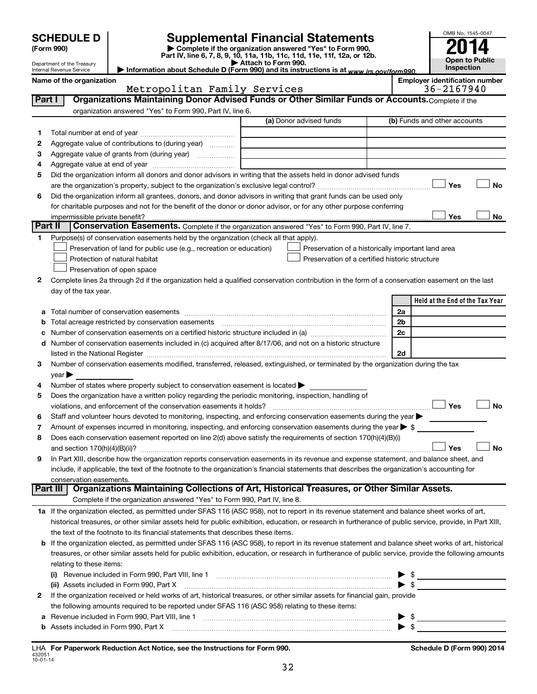|           |                                                      |                                                                                                        |                                                                                                                                                           |                          | OMB No. 1545-0047                                   |
|-----------|------------------------------------------------------|--------------------------------------------------------------------------------------------------------|-----------------------------------------------------------------------------------------------------------------------------------------------------------|--------------------------|-----------------------------------------------------|
|           | <b>SCHEDULE D</b>                                    |                                                                                                        | <b>Supplemental Financial Statements</b>                                                                                                                  |                          |                                                     |
|           | (Form 990)                                           |                                                                                                        | Complete if the organization answered "Yes" to Form 990,<br>Part IV, line 6, 7, 8, 9, 10, 11a, 11b, 11c, 11d, 11e, 11f, 12a, or 12b.                      |                          |                                                     |
|           | Department of the Treasury                           |                                                                                                        | Attach to Form 990.                                                                                                                                       |                          | <b>Open to Public</b><br>Inspection                 |
|           | Internal Revenue Service<br>Name of the organization |                                                                                                        | Information about Schedule D (Form 990) and its instructions is at www.irs.gov/form990.                                                                   |                          |                                                     |
|           |                                                      | Metropolitan Family Services                                                                           |                                                                                                                                                           |                          | <b>Employer identification number</b><br>36-2167940 |
| Part I    |                                                      |                                                                                                        | Organizations Maintaining Donor Advised Funds or Other Similar Funds or Accounts. Complete if the                                                         |                          |                                                     |
|           |                                                      | organization answered "Yes" to Form 990, Part IV, line 6.                                              |                                                                                                                                                           |                          |                                                     |
|           |                                                      |                                                                                                        | (a) Donor advised funds                                                                                                                                   |                          | (b) Funds and other accounts                        |
| 1         |                                                      |                                                                                                        |                                                                                                                                                           |                          |                                                     |
| 2         |                                                      | Aggregate value of contributions to (during year)                                                      |                                                                                                                                                           |                          |                                                     |
| З         |                                                      | Aggregate value of grants from (during year)                                                           |                                                                                                                                                           |                          |                                                     |
| 4<br>5    |                                                      |                                                                                                        | Did the organization inform all donors and donor advisors in writing that the assets held in donor advised funds                                          |                          |                                                     |
|           |                                                      |                                                                                                        |                                                                                                                                                           |                          | Yes<br><b>No</b>                                    |
| 6         |                                                      |                                                                                                        | Did the organization inform all grantees, donors, and donor advisors in writing that grant funds can be used only                                         |                          |                                                     |
|           |                                                      |                                                                                                        | for charitable purposes and not for the benefit of the donor or donor advisor, or for any other purpose conferring                                        |                          |                                                     |
|           | impermissible private benefit?                       |                                                                                                        |                                                                                                                                                           |                          | Yes<br>No                                           |
| ∣ Part II |                                                      |                                                                                                        | <b>Conservation Easements.</b> Complete if the organization answered "Yes" to Form 990, Part IV, line 7.                                                  |                          |                                                     |
| 1.        |                                                      | Purpose(s) of conservation easements held by the organization (check all that apply).                  |                                                                                                                                                           |                          |                                                     |
|           |                                                      | Preservation of land for public use (e.g., recreation or education)                                    | Preservation of a historically important land area                                                                                                        |                          |                                                     |
|           |                                                      | Protection of natural habitat                                                                          | Preservation of a certified historic structure                                                                                                            |                          |                                                     |
|           |                                                      | Preservation of open space                                                                             |                                                                                                                                                           |                          |                                                     |
| 2         |                                                      |                                                                                                        | Complete lines 2a through 2d if the organization held a qualified conservation contribution in the form of a conservation easement on the last            |                          |                                                     |
|           | day of the tax year.                                 |                                                                                                        |                                                                                                                                                           |                          |                                                     |
|           |                                                      |                                                                                                        |                                                                                                                                                           |                          | Held at the End of the Tax Year                     |
| а         |                                                      |                                                                                                        |                                                                                                                                                           | 2a                       |                                                     |
| b         |                                                      | Total acreage restricted by conservation easements                                                     |                                                                                                                                                           | 2b                       |                                                     |
| с         |                                                      |                                                                                                        |                                                                                                                                                           | 2c                       |                                                     |
| d         |                                                      |                                                                                                        | Number of conservation easements included in (c) acquired after 8/17/06, and not on a historic structure                                                  |                          |                                                     |
| 3         |                                                      |                                                                                                        | Number of conservation easements modified, transferred, released, extinguished, or terminated by the organization during the tax                          | 2d                       |                                                     |
|           | year                                                 |                                                                                                        |                                                                                                                                                           |                          |                                                     |
| 4         |                                                      | Number of states where property subject to conservation easement is located >                          |                                                                                                                                                           |                          |                                                     |
| 5         |                                                      | Does the organization have a written policy regarding the periodic monitoring, inspection, handling of |                                                                                                                                                           |                          |                                                     |
|           |                                                      | violations, and enforcement of the conservation easements it holds?                                    |                                                                                                                                                           |                          | Yes<br><b>No</b>                                    |
| 6         |                                                      |                                                                                                        | Staff and volunteer hours devoted to monitoring, inspecting, and enforcing conservation easements during the year                                         |                          |                                                     |
| 7         |                                                      |                                                                                                        | Amount of expenses incurred in monitoring, inspecting, and enforcing conservation easements during the year $\triangleright$ \$                           |                          |                                                     |
| 8         |                                                      |                                                                                                        | Does each conservation easement reported on line 2(d) above satisfy the requirements of section 170(h)(4)(B)(i)                                           |                          |                                                     |
|           |                                                      |                                                                                                        |                                                                                                                                                           |                          | Yes<br>No                                           |
| 9         |                                                      |                                                                                                        | In Part XIII, describe how the organization reports conservation easements in its revenue and expense statement, and balance sheet, and                   |                          |                                                     |
|           |                                                      |                                                                                                        | include, if applicable, the text of the footnote to the organization's financial statements that describes the organization's accounting for              |                          |                                                     |
|           | conservation easements.                              |                                                                                                        | Organizations Maintaining Collections of Art, Historical Treasures, or Other Similar Assets.                                                              |                          |                                                     |
|           | Part III                                             | Complete if the organization answered "Yes" to Form 990, Part IV, line 8.                              |                                                                                                                                                           |                          |                                                     |
|           |                                                      |                                                                                                        | 1a If the organization elected, as permitted under SFAS 116 (ASC 958), not to report in its revenue statement and balance sheet works of art,             |                          |                                                     |
|           |                                                      |                                                                                                        | historical treasures, or other similar assets held for public exhibition, education, or research in furtherance of public service, provide, in Part XIII, |                          |                                                     |
|           |                                                      | the text of the footnote to its financial statements that describes these items.                       |                                                                                                                                                           |                          |                                                     |
| b         |                                                      |                                                                                                        | If the organization elected, as permitted under SFAS 116 (ASC 958), to report in its revenue statement and balance sheet works of art, historical         |                          |                                                     |
|           |                                                      |                                                                                                        | treasures, or other similar assets held for public exhibition, education, or research in furtherance of public service, provide the following amounts     |                          |                                                     |
|           | relating to these items:                             |                                                                                                        |                                                                                                                                                           |                          |                                                     |
|           | (i)                                                  |                                                                                                        |                                                                                                                                                           |                          | $\frac{1}{2}$                                       |
|           |                                                      |                                                                                                        | (ii) Assets included in Form 990, Part X [11] [2000] [2010] Assets included in Form 990, Part X [11] [11] [200                                            |                          | $\blacktriangleright$ \$                            |
| 2         |                                                      |                                                                                                        | If the organization received or held works of art, historical treasures, or other similar assets for financial gain, provide                              |                          |                                                     |
|           |                                                      | the following amounts required to be reported under SFAS 116 (ASC 958) relating to these items:        |                                                                                                                                                           |                          |                                                     |
| а         |                                                      |                                                                                                        | Revenue included in Form 990, Part VIII, line 1 [2000] [2000] [2000] [3000] [3000] [3000] [3000] [3000] [3000                                             | $\blacktriangleright$ \$ |                                                     |

|  |  |  |  |  |  | the contract of the contract of the contract of the contract of the contract of the contract of the contract of |  |
|--|--|--|--|--|--|-----------------------------------------------------------------------------------------------------------------|--|
|  |  |  |  |  |  |                                                                                                                 |  |
|  |  |  |  |  |  |                                                                                                                 |  |

**b** Assets included in Form 990, Part X ~~~~~~~~~~~~~~~~~~~~~~~~~~~~~~~~~~~ | \$

432051 10-01-14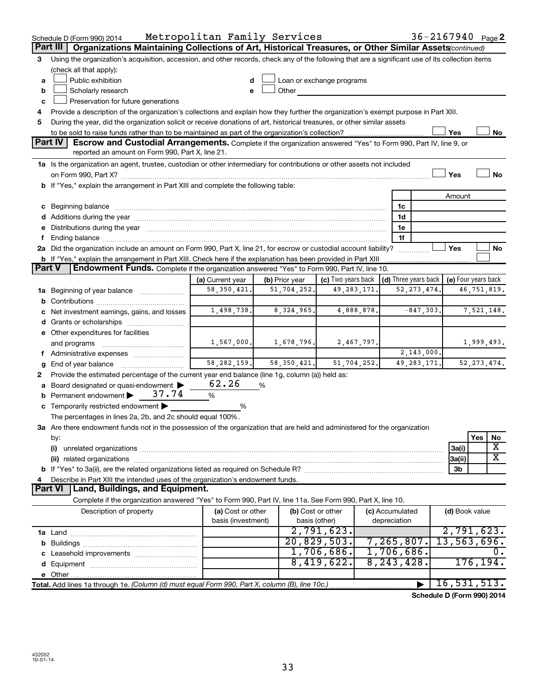|   | Schedule D (Form 990) 2014                                                                                                                                                                                                     | Metropolitan Family Services            |                |                                    |                                 | $36 - 2167940$ Page 2 |
|---|--------------------------------------------------------------------------------------------------------------------------------------------------------------------------------------------------------------------------------|-----------------------------------------|----------------|------------------------------------|---------------------------------|-----------------------|
|   | Organizations Maintaining Collections of Art, Historical Treasures, or Other Similar Assets (continued)<br>Part III                                                                                                            |                                         |                |                                    |                                 |                       |
| 3 | Using the organization's acquisition, accession, and other records, check any of the following that are a significant use of its collection items                                                                              |                                         |                |                                    |                                 |                       |
|   | (check all that apply):                                                                                                                                                                                                        |                                         |                |                                    |                                 |                       |
| a | Public exhibition                                                                                                                                                                                                              |                                         |                | Loan or exchange programs          |                                 |                       |
| b | Scholarly research                                                                                                                                                                                                             |                                         | Other          |                                    |                                 |                       |
| c | Preservation for future generations                                                                                                                                                                                            |                                         |                |                                    |                                 |                       |
| 4 | Provide a description of the organization's collections and explain how they further the organization's exempt purpose in Part XIII.                                                                                           |                                         |                |                                    |                                 |                       |
| 5 | During the year, did the organization solicit or receive donations of art, historical treasures, or other similar assets                                                                                                       |                                         |                |                                    |                                 | Yes<br>No             |
|   | <b>Part IV</b><br><b>Escrow and Custodial Arrangements.</b> Complete if the organization answered "Yes" to Form 990, Part IV, line 9, or                                                                                       |                                         |                |                                    |                                 |                       |
|   | reported an amount on Form 990, Part X, line 21.                                                                                                                                                                               |                                         |                |                                    |                                 |                       |
|   | 1a Is the organization an agent, trustee, custodian or other intermediary for contributions or other assets not included                                                                                                       |                                         |                |                                    |                                 |                       |
|   |                                                                                                                                                                                                                                |                                         |                |                                    |                                 | Yes<br>No             |
|   | b If "Yes," explain the arrangement in Part XIII and complete the following table:                                                                                                                                             |                                         |                |                                    |                                 |                       |
|   |                                                                                                                                                                                                                                |                                         |                |                                    |                                 | Amount                |
|   | c Beginning balance measurements and the contract of the contract of the contract of the contract of the contract of the contract of the contract of the contract of the contract of the contract of the contract of the contr |                                         |                |                                    | 1c                              |                       |
|   |                                                                                                                                                                                                                                |                                         |                |                                    | 1d                              |                       |
|   | e Distributions during the year manufactured and continuum and contact the control of the Distributions during the year                                                                                                        |                                         |                |                                    | 1e                              |                       |
|   |                                                                                                                                                                                                                                |                                         |                |                                    | 1f                              |                       |
|   | 2a Did the organization include an amount on Form 990, Part X, line 21, for escrow or custodial account liability?                                                                                                             |                                         |                |                                    |                                 | Yes<br>No             |
|   | b If "Yes," explain the arrangement in Part XIII. Check here if the explanation has been provided in Part XIII                                                                                                                 |                                         |                |                                    |                                 |                       |
|   | Endowment Funds. Complete if the organization answered "Yes" to Form 990, Part IV, line 10.<br><b>Part V</b>                                                                                                                   |                                         |                |                                    |                                 |                       |
|   |                                                                                                                                                                                                                                | (a) Current year                        | (b) Prior year | (c) Two years back                 | (d) Three years back            | (e) Four years back   |
|   | 1a Beginning of year balance                                                                                                                                                                                                   | 58, 350, 421.                           | 51,704,252.    | 49, 283, 171.                      | 52, 273, 474                    | 46,751,819.           |
|   |                                                                                                                                                                                                                                |                                         |                |                                    |                                 |                       |
|   | c Net investment earnings, gains, and losses                                                                                                                                                                                   | 1,498,738.                              | 8, 324, 965.   | 4,888,878.                         | $-847,303.$                     | 7,521,148.            |
|   |                                                                                                                                                                                                                                |                                         |                |                                    |                                 |                       |
|   | e Other expenditures for facilities                                                                                                                                                                                            |                                         |                |                                    |                                 |                       |
|   | and programs                                                                                                                                                                                                                   | 1,567,000.                              | 1,678,796.     | 2,467,797.                         | 2, 143, 000.                    | 1,999,493.            |
|   | f Administrative expenses                                                                                                                                                                                                      | 58, 282, 159.                           | 58, 350, 421.  | 51,704,252.                        | 49, 283, 171.                   | 52, 273, 474.         |
| 2 | <b>g</b> End of year balance $\ldots$<br>Provide the estimated percentage of the current year end balance (line 1g, column (a)) held as:                                                                                       |                                         |                |                                    |                                 |                       |
|   | a Board designated or quasi-endowment >                                                                                                                                                                                        | 62.26                                   | %              |                                    |                                 |                       |
|   | <b>b</b> Permanent endowment $\triangleright$ 37.74                                                                                                                                                                            | %                                       |                |                                    |                                 |                       |
|   | c Temporarily restricted endowment $\blacktriangleright$                                                                                                                                                                       | %                                       |                |                                    |                                 |                       |
|   | The percentages in lines 2a, 2b, and 2c should equal 100%.                                                                                                                                                                     |                                         |                |                                    |                                 |                       |
|   | 3a Are there endowment funds not in the possession of the organization that are held and administered for the organization                                                                                                     |                                         |                |                                    |                                 |                       |
|   | by:                                                                                                                                                                                                                            |                                         |                |                                    |                                 | Yes<br>No             |
|   | (i)                                                                                                                                                                                                                            |                                         |                |                                    |                                 | X<br>3a(i)            |
|   |                                                                                                                                                                                                                                |                                         |                |                                    |                                 | х<br>3a(ii)           |
|   |                                                                                                                                                                                                                                |                                         |                |                                    |                                 | 3b                    |
| 4 | Describe in Part XIII the intended uses of the organization's endowment funds.                                                                                                                                                 |                                         |                |                                    |                                 |                       |
|   | Land, Buildings, and Equipment.<br><b>Part VI</b>                                                                                                                                                                              |                                         |                |                                    |                                 |                       |
|   | Complete if the organization answered "Yes" to Form 990, Part IV, line 11a. See Form 990, Part X, line 10.                                                                                                                     |                                         |                |                                    |                                 |                       |
|   | Description of property                                                                                                                                                                                                        | (a) Cost or other<br>basis (investment) |                | (b) Cost or other<br>basis (other) | (c) Accumulated<br>depreciation | (d) Book value        |
|   |                                                                                                                                                                                                                                |                                         |                | 2,791,623.                         |                                 | 2,791,623.            |
|   |                                                                                                                                                                                                                                |                                         |                | 20,829,503.                        | 7, 265, 807.                    | 13,563,696.           |
|   |                                                                                                                                                                                                                                |                                         |                | 1,706,686.                         | 1,706,686.                      | Ο.                    |
|   |                                                                                                                                                                                                                                |                                         |                | 8,419,622.                         | 8, 243, 428.                    | 176, 194.             |
|   |                                                                                                                                                                                                                                |                                         |                |                                    |                                 |                       |
|   | Total. Add lines 1a through 1e. (Column (d) must equal Form 990, Part X, column (B), line 10c.)                                                                                                                                |                                         |                |                                    |                                 | 16, 531, 513.         |

**Schedule D (Form 990) 2014**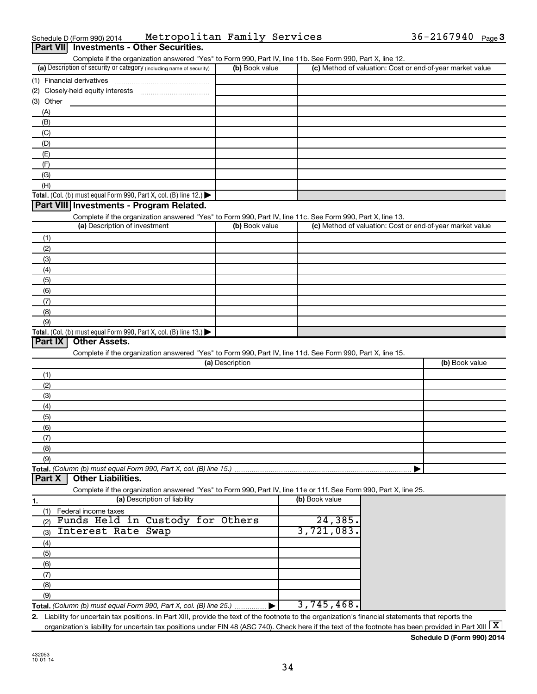| Schedule D (Form 990) 2014                      | Metropolitan Family Services |  | $36 - 2167940$ Page 3 |  |
|-------------------------------------------------|------------------------------|--|-----------------------|--|
| <b>Part VII</b> Investments - Other Securities. |                              |  |                       |  |

| (a) Description of security or category (including name of security)                                                                        | (b) Book value        |                | (c) Method of valuation: Cost or end-of-year market value |
|---------------------------------------------------------------------------------------------------------------------------------------------|-----------------------|----------------|-----------------------------------------------------------|
| (1) Financial derivatives                                                                                                                   |                       |                |                                                           |
| (2)                                                                                                                                         |                       |                |                                                           |
| Other<br>(3)                                                                                                                                |                       |                |                                                           |
| (A)                                                                                                                                         |                       |                |                                                           |
| (B)                                                                                                                                         |                       |                |                                                           |
| (C)                                                                                                                                         |                       |                |                                                           |
| (D)                                                                                                                                         |                       |                |                                                           |
| (E)                                                                                                                                         |                       |                |                                                           |
| (F)                                                                                                                                         |                       |                |                                                           |
| (G)                                                                                                                                         |                       |                |                                                           |
| (H)                                                                                                                                         |                       |                |                                                           |
| Total. (Col. (b) must equal Form 990, Part X, col. (B) line 12.) $\blacktriangleright$                                                      |                       |                |                                                           |
| Part VIII Investments - Program Related.                                                                                                    |                       |                |                                                           |
|                                                                                                                                             |                       |                |                                                           |
| Complete if the organization answered "Yes" to Form 990, Part IV, line 11c. See Form 990, Part X, line 13.<br>(a) Description of investment | (b) Book value        |                | (c) Method of valuation: Cost or end-of-year market value |
|                                                                                                                                             |                       |                |                                                           |
| (1)                                                                                                                                         |                       |                |                                                           |
| (2)                                                                                                                                         |                       |                |                                                           |
| (3)                                                                                                                                         |                       |                |                                                           |
| (4)                                                                                                                                         |                       |                |                                                           |
| (5)                                                                                                                                         |                       |                |                                                           |
| (6)                                                                                                                                         |                       |                |                                                           |
| (7)                                                                                                                                         |                       |                |                                                           |
| (8)                                                                                                                                         |                       |                |                                                           |
|                                                                                                                                             |                       |                |                                                           |
| (9)                                                                                                                                         |                       |                |                                                           |
| <b>Other Assets.</b>                                                                                                                        |                       |                |                                                           |
| Complete if the organization answered "Yes" to Form 990, Part IV, line 11d. See Form 990, Part X, line 15.                                  | (a) Description       |                | (b) Book value                                            |
| Total. (Col. (b) must equal Form 990, Part X, col. (B) line 13.)<br>Part IX<br>(1)                                                          |                       |                |                                                           |
| (2)                                                                                                                                         |                       |                |                                                           |
| (3)                                                                                                                                         |                       |                |                                                           |
| (4)                                                                                                                                         |                       |                |                                                           |
| (5)                                                                                                                                         |                       |                |                                                           |
| (6)                                                                                                                                         |                       |                |                                                           |
| (7)                                                                                                                                         |                       |                |                                                           |
| (8)                                                                                                                                         |                       |                |                                                           |
| (9)                                                                                                                                         |                       |                |                                                           |
|                                                                                                                                             |                       |                |                                                           |
| <b>Other Liabilities.</b>                                                                                                                   |                       |                |                                                           |
| Complete if the organization answered "Yes" to Form 990, Part IV, line 11e or 11f. See Form 990, Part X, line 25.                           |                       |                |                                                           |
| (a) Description of liability                                                                                                                |                       | (b) Book value |                                                           |
| Federal income taxes<br>(1)                                                                                                                 |                       |                |                                                           |
| Funds Held in Custody for Others<br>(2)                                                                                                     |                       | 24,385.        |                                                           |
| Interest Rate Swap<br>(3)                                                                                                                   |                       | 3,721,083.     |                                                           |
|                                                                                                                                             |                       |                |                                                           |
| (4)                                                                                                                                         |                       |                |                                                           |
| Total. (Column (b) must equal Form 990, Part X, col. (B) line 15.)<br>Part X<br>1.<br>(5)                                                   |                       |                |                                                           |
| (6)                                                                                                                                         |                       |                |                                                           |
| (7)                                                                                                                                         |                       |                |                                                           |
| (8)                                                                                                                                         |                       |                |                                                           |
| (9)<br>Total. (Column (b) must equal Form 990, Part X, col. (B) line 25.)                                                                   | $\blacktriangleright$ | 3,745,468.     |                                                           |

**Schedule D (Form 990) 2014**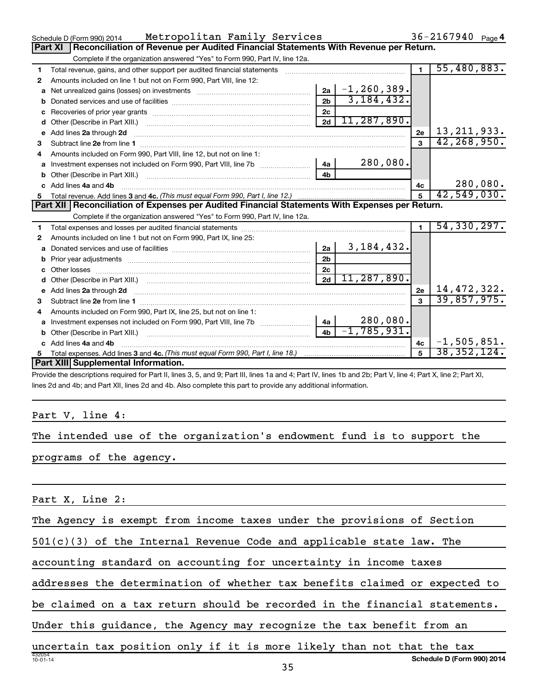|    | Metropolitan Family Services<br>Schedule D (Form 990) 2014                                                                                                                                                                          |                | 36-2167940 Page 4    |                |               |
|----|-------------------------------------------------------------------------------------------------------------------------------------------------------------------------------------------------------------------------------------|----------------|----------------------|----------------|---------------|
|    | Reconciliation of Revenue per Audited Financial Statements With Revenue per Return.<br><b>Part XI</b>                                                                                                                               |                |                      |                |               |
|    | Complete if the organization answered "Yes" to Form 990, Part IV, line 12a.                                                                                                                                                         |                |                      |                |               |
| 1  | Total revenue, gains, and other support per audited financial statements [[[[[[[[[[[[[[[[[[[[[[[[]]]]]]]]]]]]                                                                                                                       |                |                      | $\blacksquare$ | 55,480,883.   |
| 2  | Amounts included on line 1 but not on Form 990, Part VIII, line 12:                                                                                                                                                                 |                |                      |                |               |
| a  | Net unrealized gains (losses) on investments [11] matter contracts and the unrealized gains (losses) on investments                                                                                                                 |                | $ 2a $ -1, 260, 389. |                |               |
| b  |                                                                                                                                                                                                                                     | 2b             | 3, 184, 432.         |                |               |
| c  |                                                                                                                                                                                                                                     | 2c             |                      |                |               |
| d  |                                                                                                                                                                                                                                     | 2d             | 11, 287, 890.        |                |               |
| е  | Add lines 2a through 2d                                                                                                                                                                                                             |                |                      | 2e             | 13, 211, 933. |
| 3  |                                                                                                                                                                                                                                     |                |                      | $\mathbf{a}$   | 42, 268, 950. |
| 4  | Amounts included on Form 990, Part VIII, line 12, but not on line 1:                                                                                                                                                                |                |                      |                |               |
| a  | Investment expenses not included on Form 990, Part VIII, line 7b                                                                                                                                                                    | 4a             | 280,080.             |                |               |
| b  |                                                                                                                                                                                                                                     | 4 <sub>h</sub> |                      |                |               |
| C. | Add lines 4a and 4b                                                                                                                                                                                                                 |                |                      | 4c             | 280,080.      |
| 5  |                                                                                                                                                                                                                                     |                |                      | $\overline{5}$ | 42,549,030.   |
|    | Part XII   Reconciliation of Expenses per Audited Financial Statements With Expenses per Return.                                                                                                                                    |                |                      |                |               |
|    | Complete if the organization answered "Yes" to Form 990, Part IV, line 12a.                                                                                                                                                         |                |                      |                |               |
| 1  |                                                                                                                                                                                                                                     |                |                      | $\mathbf{1}$   | 54, 330, 297. |
| 2  | Amounts included on line 1 but not on Form 990, Part IX, line 25:                                                                                                                                                                   |                |                      |                |               |
| a  |                                                                                                                                                                                                                                     |                |                      |                |               |
|    |                                                                                                                                                                                                                                     | 2a             | 3, 184, 432.         |                |               |
| b  |                                                                                                                                                                                                                                     | 2 <sub>b</sub> |                      |                |               |
| c  |                                                                                                                                                                                                                                     | 2 <sub>c</sub> |                      |                |               |
|    |                                                                                                                                                                                                                                     | 2d             | 11, 287, 890.        |                |               |
|    | Add lines 2a through 2d <b>contained a contained a contained a contained a</b> contained a contact the set of the set of the set of the set of the set of the set of the set of the set of the set of the set of the set of the set |                |                      | 2e             | 14,472,322.   |
| з  |                                                                                                                                                                                                                                     |                |                      | $\mathbf{a}$   | 39,857,975.   |
| 4  | Amounts included on Form 990, Part IX, line 25, but not on line 1:                                                                                                                                                                  |                |                      |                |               |
|    | Investment expenses not included on Form 990, Part VIII, line 7b                                                                                                                                                                    | 4a             | 280,080.             |                |               |
|    |                                                                                                                                                                                                                                     | 4 <sub>h</sub> | $-1, 785, 931.$      |                |               |
| c  | Add lines 4a and 4b                                                                                                                                                                                                                 |                |                      | 4c             | $-1,505,851.$ |
|    | Part XIII Supplemental Information.                                                                                                                                                                                                 |                |                      |                | 38,352,124.   |

Provide the descriptions required for Part II, lines 3, 5, and 9; Part III, lines 1a and 4; Part IV, lines 1b and 2b; Part V, line 4; Part X, line 2; Part XI, lines 2d and 4b; and Part XII, lines 2d and 4b. Also complete this part to provide any additional information.

### Part V, line 4:

The intended use of the organization's endowment fund is to support the

programs of the agency.

### Part X, Line 2:

The Agency is exempt from income taxes under the provisions of Section

501(c)(3) of the Internal Revenue Code and applicable state law. The

accounting standard on accounting for uncertainty in income taxes

addresses the determination of whether tax benefits claimed or expected to

be claimed on a tax return should be recorded in the financial statements.

Under this guidance, the Agency may recognize the tax benefit from an

432054 10-01-14 **Schedule D (Form 990) 2014** uncertain tax position only if it is more likely than not that the tax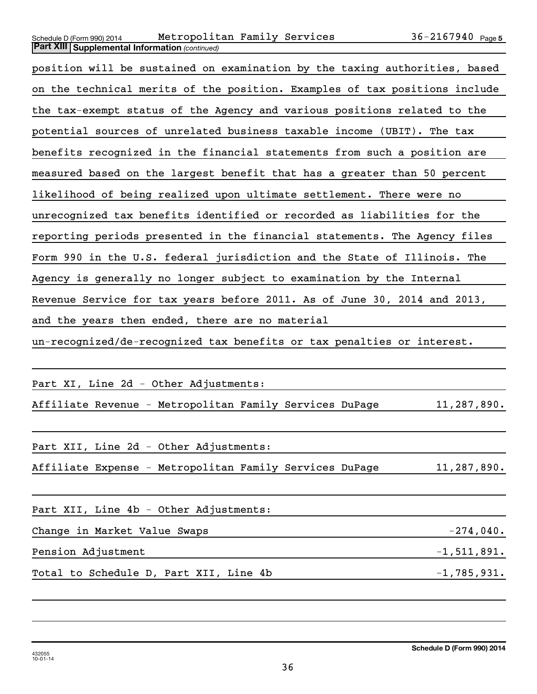| Schedule D (Form 990) 2014 |  |                                                       | Metropolit |
|----------------------------|--|-------------------------------------------------------|------------|
|                            |  | <b>Part XIII Supplemental Information (continued)</b> |            |

### Schedule D (Form 990) 2014 Metropolitan Family Services  $36-2167940$   $_{\rm Page}$

| position will be sustained on examination by the taxing authorities, based |
|----------------------------------------------------------------------------|
| on the technical merits of the position. Examples of tax positions include |
| the tax-exempt status of the Agency and various positions related to the   |
| potential sources of unrelated business taxable income (UBIT). The tax     |
| benefits recognized in the financial statements from such a position are   |
| measured based on the largest benefit that has a greater than 50 percent   |
| likelihood of being realized upon ultimate settlement. There were no       |
| unrecognized tax benefits identified or recorded as liabilities for the    |
| reporting periods presented in the financial statements. The Agency files  |
| Form 990 in the U.S. federal jurisdiction and the State of Illinois. The   |
| Agency is generally no longer subject to examination by the Internal       |
| Revenue Service for tax years before 2011. As of June 30, 2014 and 2013,   |
| and the years then ended, there are no material                            |
| un-recognized/de-recognized tax benefits or tax penalties or interest.     |

Part XI, Line 2d - Other Adjustments:

Affiliate Revenue - Metropolitan Family Services DuPage 11,287,890.

Part XII, Line 2d - Other Adjustments:

Affiliate Expense - Metropolitan Family Services DuPage 11,287,890.

| Part XII, Line 4b - Other Adjustments: |               |
|----------------------------------------|---------------|
| Change in Market Value Swaps           | $-274,040$ .  |
| Pension Adjustment                     | $-1,511,891.$ |
| Total to Schedule D, Part XII, Line 4b | $-1,785,931.$ |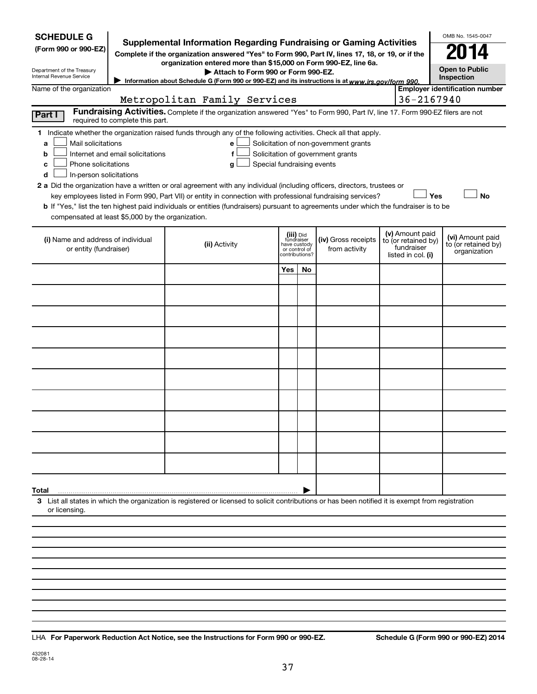| <b>SCHEDULE G</b><br><b>Supplemental Information Regarding Fundraising or Gaming Activities</b><br>(Form 990 or 990-EZ)<br>Complete if the organization answered "Yes" to Form 990, Part IV, lines 17, 18, or 19, or if the<br>organization entered more than \$15,000 on Form 990-EZ, line 6a.<br>Department of the Treasury<br>Attach to Form 990 or Form 990-EZ.<br>Internal Revenue Service<br>Information about Schedule G (Form 990 or 990-EZ) and its instructions is at www.irs.gov/form 990. |                                  |                                                                                                                                                                                                                                                                                                                                                                                                                                                                                                                                                    |     |                                                                            |                                                                            |  |                                                                            | OMB No. 1545-0047<br><b>Open to Public</b><br><b>Inspection</b> |  |  |
|-------------------------------------------------------------------------------------------------------------------------------------------------------------------------------------------------------------------------------------------------------------------------------------------------------------------------------------------------------------------------------------------------------------------------------------------------------------------------------------------------------|----------------------------------|----------------------------------------------------------------------------------------------------------------------------------------------------------------------------------------------------------------------------------------------------------------------------------------------------------------------------------------------------------------------------------------------------------------------------------------------------------------------------------------------------------------------------------------------------|-----|----------------------------------------------------------------------------|----------------------------------------------------------------------------|--|----------------------------------------------------------------------------|-----------------------------------------------------------------|--|--|
| Name of the organization                                                                                                                                                                                                                                                                                                                                                                                                                                                                              |                                  |                                                                                                                                                                                                                                                                                                                                                                                                                                                                                                                                                    |     |                                                                            |                                                                            |  |                                                                            | <b>Employer identification number</b>                           |  |  |
|                                                                                                                                                                                                                                                                                                                                                                                                                                                                                                       |                                  | Metropolitan Family Services                                                                                                                                                                                                                                                                                                                                                                                                                                                                                                                       |     |                                                                            |                                                                            |  | 36-2167940                                                                 |                                                                 |  |  |
| Fundraising Activities. Complete if the organization answered "Yes" to Form 990, Part IV, line 17. Form 990-EZ filers are not<br>Part I<br>required to complete this part.                                                                                                                                                                                                                                                                                                                            |                                  |                                                                                                                                                                                                                                                                                                                                                                                                                                                                                                                                                    |     |                                                                            |                                                                            |  |                                                                            |                                                                 |  |  |
| Mail solicitations<br>a<br>b<br>Phone solicitations<br>с<br>In-person solicitations<br>d<br>compensated at least \$5,000 by the organization.                                                                                                                                                                                                                                                                                                                                                         | Internet and email solicitations | 1 Indicate whether the organization raised funds through any of the following activities. Check all that apply.<br>е<br>f<br>Special fundraising events<br>g<br>2 a Did the organization have a written or oral agreement with any individual (including officers, directors, trustees or<br>key employees listed in Form 990, Part VII) or entity in connection with professional fundraising services?<br>b If "Yes," list the ten highest paid individuals or entities (fundraisers) pursuant to agreements under which the fundraiser is to be |     |                                                                            | Solicitation of non-government grants<br>Solicitation of government grants |  |                                                                            | Yes<br><b>No</b>                                                |  |  |
| (i) Name and address of individual<br>or entity (fundraiser)                                                                                                                                                                                                                                                                                                                                                                                                                                          |                                  | (ii) Activity                                                                                                                                                                                                                                                                                                                                                                                                                                                                                                                                      |     | (iii) Did<br>fundraiser<br>have custody<br>or control of<br>contributions? | (iv) Gross receipts<br>from activity                                       |  | (v) Amount paid<br>to (or retained by)<br>fundraiser<br>listed in col. (i) | (vi) Amount paid<br>to (or retained by)<br>organization         |  |  |
|                                                                                                                                                                                                                                                                                                                                                                                                                                                                                                       |                                  |                                                                                                                                                                                                                                                                                                                                                                                                                                                                                                                                                    | Yes | No.                                                                        |                                                                            |  |                                                                            |                                                                 |  |  |
|                                                                                                                                                                                                                                                                                                                                                                                                                                                                                                       |                                  |                                                                                                                                                                                                                                                                                                                                                                                                                                                                                                                                                    |     |                                                                            |                                                                            |  |                                                                            |                                                                 |  |  |
|                                                                                                                                                                                                                                                                                                                                                                                                                                                                                                       |                                  |                                                                                                                                                                                                                                                                                                                                                                                                                                                                                                                                                    |     |                                                                            |                                                                            |  |                                                                            |                                                                 |  |  |
|                                                                                                                                                                                                                                                                                                                                                                                                                                                                                                       |                                  |                                                                                                                                                                                                                                                                                                                                                                                                                                                                                                                                                    |     |                                                                            |                                                                            |  |                                                                            |                                                                 |  |  |
|                                                                                                                                                                                                                                                                                                                                                                                                                                                                                                       |                                  |                                                                                                                                                                                                                                                                                                                                                                                                                                                                                                                                                    |     |                                                                            |                                                                            |  |                                                                            |                                                                 |  |  |
|                                                                                                                                                                                                                                                                                                                                                                                                                                                                                                       |                                  |                                                                                                                                                                                                                                                                                                                                                                                                                                                                                                                                                    |     |                                                                            |                                                                            |  |                                                                            |                                                                 |  |  |
|                                                                                                                                                                                                                                                                                                                                                                                                                                                                                                       |                                  |                                                                                                                                                                                                                                                                                                                                                                                                                                                                                                                                                    |     |                                                                            |                                                                            |  |                                                                            |                                                                 |  |  |
|                                                                                                                                                                                                                                                                                                                                                                                                                                                                                                       |                                  |                                                                                                                                                                                                                                                                                                                                                                                                                                                                                                                                                    |     |                                                                            |                                                                            |  |                                                                            |                                                                 |  |  |
|                                                                                                                                                                                                                                                                                                                                                                                                                                                                                                       |                                  |                                                                                                                                                                                                                                                                                                                                                                                                                                                                                                                                                    |     |                                                                            |                                                                            |  |                                                                            |                                                                 |  |  |
|                                                                                                                                                                                                                                                                                                                                                                                                                                                                                                       |                                  |                                                                                                                                                                                                                                                                                                                                                                                                                                                                                                                                                    |     |                                                                            |                                                                            |  |                                                                            |                                                                 |  |  |
|                                                                                                                                                                                                                                                                                                                                                                                                                                                                                                       |                                  |                                                                                                                                                                                                                                                                                                                                                                                                                                                                                                                                                    |     |                                                                            |                                                                            |  |                                                                            |                                                                 |  |  |
|                                                                                                                                                                                                                                                                                                                                                                                                                                                                                                       |                                  |                                                                                                                                                                                                                                                                                                                                                                                                                                                                                                                                                    |     |                                                                            |                                                                            |  |                                                                            |                                                                 |  |  |
|                                                                                                                                                                                                                                                                                                                                                                                                                                                                                                       |                                  |                                                                                                                                                                                                                                                                                                                                                                                                                                                                                                                                                    |     |                                                                            |                                                                            |  |                                                                            |                                                                 |  |  |
|                                                                                                                                                                                                                                                                                                                                                                                                                                                                                                       |                                  |                                                                                                                                                                                                                                                                                                                                                                                                                                                                                                                                                    |     |                                                                            |                                                                            |  |                                                                            |                                                                 |  |  |
| Total                                                                                                                                                                                                                                                                                                                                                                                                                                                                                                 |                                  |                                                                                                                                                                                                                                                                                                                                                                                                                                                                                                                                                    |     |                                                                            |                                                                            |  |                                                                            |                                                                 |  |  |
| or licensing.                                                                                                                                                                                                                                                                                                                                                                                                                                                                                         |                                  | 3 List all states in which the organization is registered or licensed to solicit contributions or has been notified it is exempt from registration                                                                                                                                                                                                                                                                                                                                                                                                 |     |                                                                            |                                                                            |  |                                                                            |                                                                 |  |  |
|                                                                                                                                                                                                                                                                                                                                                                                                                                                                                                       |                                  |                                                                                                                                                                                                                                                                                                                                                                                                                                                                                                                                                    |     |                                                                            |                                                                            |  |                                                                            |                                                                 |  |  |
|                                                                                                                                                                                                                                                                                                                                                                                                                                                                                                       |                                  |                                                                                                                                                                                                                                                                                                                                                                                                                                                                                                                                                    |     |                                                                            |                                                                            |  |                                                                            |                                                                 |  |  |
|                                                                                                                                                                                                                                                                                                                                                                                                                                                                                                       |                                  |                                                                                                                                                                                                                                                                                                                                                                                                                                                                                                                                                    |     |                                                                            |                                                                            |  |                                                                            |                                                                 |  |  |
|                                                                                                                                                                                                                                                                                                                                                                                                                                                                                                       |                                  |                                                                                                                                                                                                                                                                                                                                                                                                                                                                                                                                                    |     |                                                                            |                                                                            |  |                                                                            |                                                                 |  |  |

**For Paperwork Reduction Act Notice, see the Instructions for Form 990 or 990-EZ. Schedule G (Form 990 or 990-EZ) 2014** LHA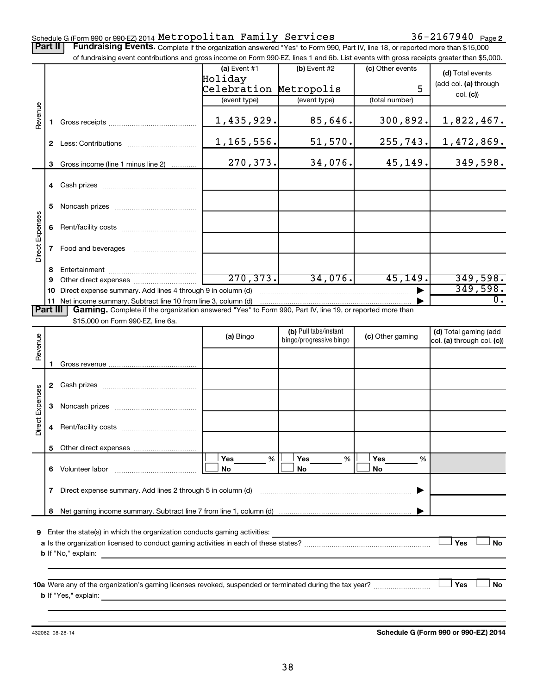### Schedule G (Form 990 or 990-EZ) 2014  ${\tt Metropolitan}$   ${\tt Family}$   ${\tt Services}$   $36-2167940$   ${\tt Page}$

Part II | Fundraising Events. Complete if the organization answered "Yes" to Form 990, Part IV, line 18, or reported more than \$15,000 of fundraising event contributions and gross income on Form 990-EZ, lines 1 and 6b. List events with gross receipts greater than \$5,000.

|                        |              | of fundraising event contributions and gross income on Form 990-EZ, lines T and 6D. List events with gross receipts greater than \$5,000.                                                                                                 |                |                         |                  |                            |
|------------------------|--------------|-------------------------------------------------------------------------------------------------------------------------------------------------------------------------------------------------------------------------------------------|----------------|-------------------------|------------------|----------------------------|
|                        |              |                                                                                                                                                                                                                                           | $(a)$ Event #1 | $(b)$ Event #2          | (c) Other events | (d) Total events           |
|                        |              |                                                                                                                                                                                                                                           | Holiday        |                         |                  | (add col. (a) through      |
|                        |              |                                                                                                                                                                                                                                           | Celebration    | Metropolis              | 5                | col. (c)                   |
|                        |              |                                                                                                                                                                                                                                           | (event type)   | (event type)            | (total number)   |                            |
| Revenue                |              |                                                                                                                                                                                                                                           | 1,435,929.     | 85,646.                 | 300,892.         | 1,822,467.                 |
|                        |              |                                                                                                                                                                                                                                           |                |                         |                  |                            |
|                        |              |                                                                                                                                                                                                                                           | 1,165,556.     | 51,570.                 | 255,743.         | 1,472,869.                 |
|                        |              |                                                                                                                                                                                                                                           |                |                         |                  |                            |
|                        | 3            | Gross income (line 1 minus line 2)                                                                                                                                                                                                        | 270,373.       | 34,076.                 | 45,149.          | 349,598.                   |
|                        |              |                                                                                                                                                                                                                                           |                |                         |                  |                            |
|                        |              |                                                                                                                                                                                                                                           |                |                         |                  |                            |
|                        | 5            |                                                                                                                                                                                                                                           |                |                         |                  |                            |
|                        |              |                                                                                                                                                                                                                                           |                |                         |                  |                            |
| Direct Expenses        |              |                                                                                                                                                                                                                                           |                |                         |                  |                            |
|                        |              |                                                                                                                                                                                                                                           |                |                         |                  |                            |
|                        | $\mathbf{7}$ | Food and beverages                                                                                                                                                                                                                        |                |                         |                  |                            |
|                        | 8            |                                                                                                                                                                                                                                           |                |                         |                  |                            |
|                        |              |                                                                                                                                                                                                                                           | 270, 373.      | 34,076.                 | 45, 149.         | 349,598.                   |
|                        |              | 10 Direct expense summary. Add lines 4 through 9 in column (d)                                                                                                                                                                            |                |                         |                  | 349,598.                   |
|                        |              | 11 Net income summary. Subtract line 10 from line 3, column (d)                                                                                                                                                                           |                |                         |                  | $0$ .                      |
| <b>Part III</b>        |              | Gaming. Complete if the organization answered "Yes" to Form 990, Part IV, line 19, or reported more than                                                                                                                                  |                |                         |                  |                            |
|                        |              | \$15,000 on Form 990-EZ, line 6a.                                                                                                                                                                                                         |                | (b) Pull tabs/instant   |                  | (d) Total gaming (add      |
|                        |              |                                                                                                                                                                                                                                           | (a) Bingo      | bingo/progressive bingo | (c) Other gaming | col. (a) through col. (c)) |
| Revenue                |              |                                                                                                                                                                                                                                           |                |                         |                  |                            |
|                        | 1.           |                                                                                                                                                                                                                                           |                |                         |                  |                            |
|                        |              |                                                                                                                                                                                                                                           |                |                         |                  |                            |
|                        |              |                                                                                                                                                                                                                                           |                |                         |                  |                            |
| <b>Direct Expenses</b> |              |                                                                                                                                                                                                                                           |                |                         |                  |                            |
|                        | 3            |                                                                                                                                                                                                                                           |                |                         |                  |                            |
|                        | 4            |                                                                                                                                                                                                                                           |                |                         |                  |                            |
|                        |              |                                                                                                                                                                                                                                           |                |                         |                  |                            |
|                        |              |                                                                                                                                                                                                                                           |                |                         |                  |                            |
|                        |              |                                                                                                                                                                                                                                           | Yes<br>%       | Yes<br>%                | Yes<br>%         |                            |
|                        |              | 6 Volunteer labor                                                                                                                                                                                                                         | No             | No                      | No               |                            |
|                        | 7            | Direct expense summary. Add lines 2 through 5 in column (d)                                                                                                                                                                               |                |                         |                  |                            |
|                        |              |                                                                                                                                                                                                                                           |                |                         |                  |                            |
|                        | 8            |                                                                                                                                                                                                                                           |                |                         |                  |                            |
|                        |              |                                                                                                                                                                                                                                           |                |                         |                  |                            |
|                        |              | 9 Enter the state(s) in which the organization conducts gaming activities:                                                                                                                                                                |                |                         |                  |                            |
|                        |              | <b>b</b> If "No," explain: <b>contract and the set of the set of the set of the set of the set of the set of the set of the set of the set of the set of the set of the set of the set of the set of the set of the set of the set of</b> |                |                         |                  | Yes<br>No                  |
|                        |              |                                                                                                                                                                                                                                           |                |                         |                  |                            |
|                        |              |                                                                                                                                                                                                                                           |                |                         |                  |                            |
|                        |              |                                                                                                                                                                                                                                           |                |                         |                  | Yes<br>No                  |
|                        |              | <b>b</b> If "Yes," explain: <u>All and the set of the set of the set of the set of the set of the set of the set of the set of the set of the set of the set of the set of the set of the set of the set of the set of the set of the</u> |                |                         |                  |                            |
|                        |              |                                                                                                                                                                                                                                           |                |                         |                  |                            |
|                        |              |                                                                                                                                                                                                                                           |                |                         |                  |                            |

432082 08-28-14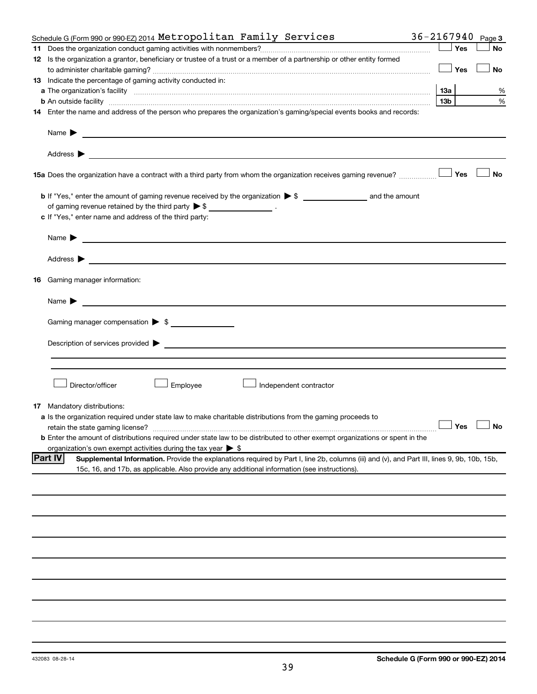|    | $36 - 2167940$<br>Schedule G (Form 990 or 990 EZ) 2014 Metropolitan Family Services                                                                                                                                                                                |                 |     | Page 3               |
|----|--------------------------------------------------------------------------------------------------------------------------------------------------------------------------------------------------------------------------------------------------------------------|-----------------|-----|----------------------|
|    |                                                                                                                                                                                                                                                                    |                 | Yes | No                   |
|    | 12 Is the organization a grantor, beneficiary or trustee of a trust or a member of a partnership or other entity formed                                                                                                                                            |                 |     |                      |
|    |                                                                                                                                                                                                                                                                    |                 | Yes | <b>No</b>            |
|    | 13 Indicate the percentage of gaming activity conducted in:                                                                                                                                                                                                        |                 |     |                      |
|    |                                                                                                                                                                                                                                                                    | 13а             |     | %                    |
|    | <b>b</b> An outside facility <i>www.communicality communicality communicality communicality communicality communicality communically communically communically communically communically communically communically communically commu</i>                          | 13 <sub>b</sub> |     | %                    |
|    | 14 Enter the name and address of the person who prepares the organization's gaming/special events books and records:                                                                                                                                               |                 |     |                      |
|    | Name $\blacktriangleright$<br><u>and the control of the control of the control of the control of the control of the control of the control of</u>                                                                                                                  |                 |     |                      |
|    |                                                                                                                                                                                                                                                                    |                 |     |                      |
|    | 15a Does the organization have a contract with a third party from whom the organization receives gaming revenue?                                                                                                                                                   |                 | Yes | <b>No</b>            |
|    |                                                                                                                                                                                                                                                                    |                 |     |                      |
|    | of gaming revenue retained by the third party $\triangleright$ \$ __________________.                                                                                                                                                                              |                 |     |                      |
|    | c If "Yes," enter name and address of the third party:                                                                                                                                                                                                             |                 |     |                      |
|    |                                                                                                                                                                                                                                                                    |                 |     |                      |
|    | Name $\blacktriangleright$<br><u>and the state of the state of the state of the state of the state of the state of the state of the state of the state of the state of the state of the state of the state of the state of the state of the state of the state</u> |                 |     |                      |
|    | Address ><br><u>and the control of the control of the control of the control of the control of the control of the control of</u>                                                                                                                                   |                 |     |                      |
| 16 | Gaming manager information:                                                                                                                                                                                                                                        |                 |     |                      |
|    | <u> 1989 - Johann Barbara, martin amerikan basal dan berasal dan berasal dalam basal dan berasal dan berasal dan</u><br>Name $\blacktriangleright$                                                                                                                 |                 |     |                      |
|    |                                                                                                                                                                                                                                                                    |                 |     |                      |
|    | Gaming manager compensation > \$                                                                                                                                                                                                                                   |                 |     |                      |
|    |                                                                                                                                                                                                                                                                    |                 |     |                      |
|    |                                                                                                                                                                                                                                                                    |                 |     |                      |
|    | Director/officer<br>Employee<br>Independent contractor                                                                                                                                                                                                             |                 |     |                      |
|    | <b>17</b> Mandatory distributions:                                                                                                                                                                                                                                 |                 |     |                      |
|    | a Is the organization required under state law to make charitable distributions from the gaming proceeds to                                                                                                                                                        |                 |     |                      |
|    | retain the state gaming license?                                                                                                                                                                                                                                   |                 |     | $\Box$ Yes $\Box$ No |
|    | <b>b</b> Enter the amount of distributions required under state law to be distributed to other exempt organizations or spent in the                                                                                                                                |                 |     |                      |
|    | organization's own exempt activities during the tax year $\triangleright$ \$                                                                                                                                                                                       |                 |     |                      |
|    | <b>Part IV</b><br>Supplemental Information. Provide the explanations required by Part I, line 2b, columns (iii) and (v), and Part III, lines 9, 9b, 10b, 15b,<br>15c, 16, and 17b, as applicable. Also provide any additional information (see instructions).      |                 |     |                      |
|    |                                                                                                                                                                                                                                                                    |                 |     |                      |
|    |                                                                                                                                                                                                                                                                    |                 |     |                      |
|    |                                                                                                                                                                                                                                                                    |                 |     |                      |
|    |                                                                                                                                                                                                                                                                    |                 |     |                      |
|    |                                                                                                                                                                                                                                                                    |                 |     |                      |
|    |                                                                                                                                                                                                                                                                    |                 |     |                      |
|    |                                                                                                                                                                                                                                                                    |                 |     |                      |
|    |                                                                                                                                                                                                                                                                    |                 |     |                      |
|    |                                                                                                                                                                                                                                                                    |                 |     |                      |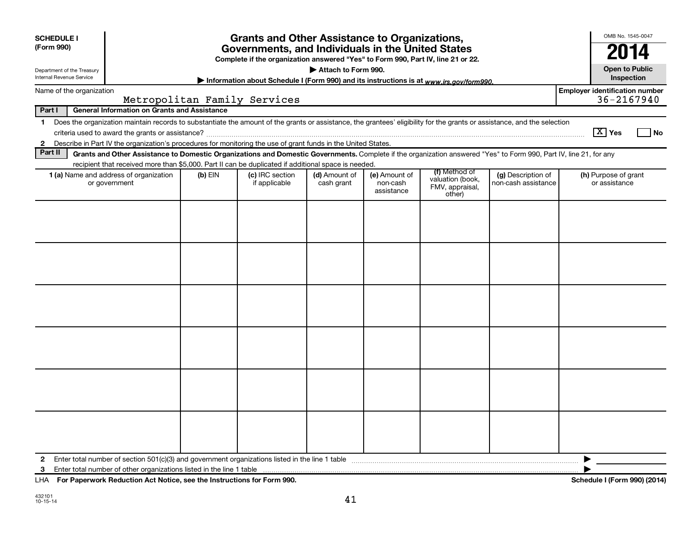| <b>SCHEDULE I</b><br>(Form 990)                        |                                                                                                                                                                                                                                                                                           |           | <b>Grants and Other Assistance to Organizations,</b>                                                                                  |                             |                                         |                                                                |                                           | OMB No. 1545-0047                                       |
|--------------------------------------------------------|-------------------------------------------------------------------------------------------------------------------------------------------------------------------------------------------------------------------------------------------------------------------------------------------|-----------|---------------------------------------------------------------------------------------------------------------------------------------|-----------------------------|-----------------------------------------|----------------------------------------------------------------|-------------------------------------------|---------------------------------------------------------|
|                                                        |                                                                                                                                                                                                                                                                                           |           | Governments, and Individuals in the United States<br>Complete if the organization answered "Yes" to Form 990, Part IV, line 21 or 22. |                             |                                         |                                                                |                                           | 20                                                      |
| Department of the Treasury<br>Internal Revenue Service |                                                                                                                                                                                                                                                                                           |           | Information about Schedule I (Form 990) and its instructions is at www.irs.gov/form990.                                               | Attach to Form 990.         |                                         |                                                                |                                           | <b>Open to Public</b><br>Inspection                     |
| Name of the organization                               |                                                                                                                                                                                                                                                                                           |           | Metropolitan Family Services                                                                                                          |                             |                                         |                                                                |                                           | <b>Employer identification number</b><br>$36 - 2167940$ |
| Part I                                                 | <b>General Information on Grants and Assistance</b>                                                                                                                                                                                                                                       |           |                                                                                                                                       |                             |                                         |                                                                |                                           |                                                         |
| $\mathbf 1$<br>$\mathbf{2}$                            | Does the organization maintain records to substantiate the amount of the grants or assistance, the grantees' eligibility for the grants or assistance, and the selection<br>Describe in Part IV the organization's procedures for monitoring the use of grant funds in the United States. |           |                                                                                                                                       |                             |                                         |                                                                |                                           | $\boxed{\text{X}}$ Yes<br>  No                          |
| Part II                                                | Grants and Other Assistance to Domestic Organizations and Domestic Governments. Complete if the organization answered "Yes" to Form 990, Part IV, line 21, for any                                                                                                                        |           |                                                                                                                                       |                             |                                         |                                                                |                                           |                                                         |
|                                                        | recipient that received more than \$5,000. Part II can be duplicated if additional space is needed.<br>1 (a) Name and address of organization<br>or government                                                                                                                            | $(b)$ EIN | (c) IRC section<br>if applicable                                                                                                      | (d) Amount of<br>cash grant | (e) Amount of<br>non-cash<br>assistance | (f) Method of<br>valuation (book,<br>FMV, appraisal,<br>other) | (g) Description of<br>non-cash assistance | (h) Purpose of grant<br>or assistance                   |
|                                                        |                                                                                                                                                                                                                                                                                           |           |                                                                                                                                       |                             |                                         |                                                                |                                           |                                                         |
|                                                        |                                                                                                                                                                                                                                                                                           |           |                                                                                                                                       |                             |                                         |                                                                |                                           |                                                         |
|                                                        |                                                                                                                                                                                                                                                                                           |           |                                                                                                                                       |                             |                                         |                                                                |                                           |                                                         |
|                                                        |                                                                                                                                                                                                                                                                                           |           |                                                                                                                                       |                             |                                         |                                                                |                                           |                                                         |
|                                                        |                                                                                                                                                                                                                                                                                           |           |                                                                                                                                       |                             |                                         |                                                                |                                           |                                                         |
|                                                        |                                                                                                                                                                                                                                                                                           |           |                                                                                                                                       |                             |                                         |                                                                |                                           |                                                         |
| $\mathbf{2}$<br>3                                      |                                                                                                                                                                                                                                                                                           |           |                                                                                                                                       |                             |                                         |                                                                |                                           | ▶                                                       |

**For Paperwork Reduction Act Notice, see the Instructions for Form 990. Schedule I (Form 990) (2014)** LHA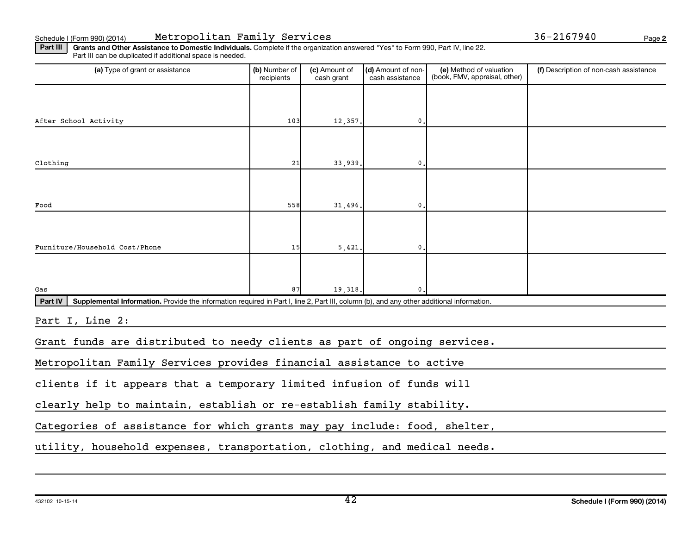**2**

Part III | Grants and Other Assistance to Domestic Individuals. Complete if the organization answered "Yes" to Form 990, Part IV, line 22. Part III can be duplicated if additional space is needed.

| (a) Type of grant or assistance                                                                                                                      | (b) Number of<br>recipients | (c) Amount of<br>cash grant | (d) Amount of non-<br>cash assistance | (e) Method of valuation<br>(book, FMV, appraisal, other) | (f) Description of non-cash assistance |  |  |  |
|------------------------------------------------------------------------------------------------------------------------------------------------------|-----------------------------|-----------------------------|---------------------------------------|----------------------------------------------------------|----------------------------------------|--|--|--|
|                                                                                                                                                      |                             |                             |                                       |                                                          |                                        |  |  |  |
| After School Activity                                                                                                                                | 103                         | 12,357.                     | $\mathbf{0}$ .                        |                                                          |                                        |  |  |  |
|                                                                                                                                                      |                             |                             |                                       |                                                          |                                        |  |  |  |
| Clothing                                                                                                                                             | 21                          | 33,939.                     | $\mathbf 0$ .                         |                                                          |                                        |  |  |  |
|                                                                                                                                                      |                             |                             |                                       |                                                          |                                        |  |  |  |
| Food                                                                                                                                                 | 558                         | 31,496.                     | $\mathbf{0}$                          |                                                          |                                        |  |  |  |
|                                                                                                                                                      |                             |                             |                                       |                                                          |                                        |  |  |  |
| Furniture/Household Cost/Phone                                                                                                                       | 15                          | 5,421.                      | $\mathbf 0$ .                         |                                                          |                                        |  |  |  |
|                                                                                                                                                      |                             |                             |                                       |                                                          |                                        |  |  |  |
| Gas                                                                                                                                                  | 87                          | 19,318.                     | <sup>0</sup>                          |                                                          |                                        |  |  |  |
| Part IV<br>Supplemental Information. Provide the information required in Part I, line 2, Part III, column (b), and any other additional information. |                             |                             |                                       |                                                          |                                        |  |  |  |
| Part I, Line 2:                                                                                                                                      |                             |                             |                                       |                                                          |                                        |  |  |  |
| Grant funds are distributed to needy clients as part of ongoing services.                                                                            |                             |                             |                                       |                                                          |                                        |  |  |  |
| Metropolitan Family Services provides financial assistance to active                                                                                 |                             |                             |                                       |                                                          |                                        |  |  |  |
| clients if it appears that a temporary limited infusion of funds will                                                                                |                             |                             |                                       |                                                          |                                        |  |  |  |
| clearly help to maintain, establish or re-establish family stability.                                                                                |                             |                             |                                       |                                                          |                                        |  |  |  |
| Categories of assistance for which grants may pay include: food, shelter,                                                                            |                             |                             |                                       |                                                          |                                        |  |  |  |
| utility, household expenses, transportation, clothing, and medical needs.                                                                            |                             |                             |                                       |                                                          |                                        |  |  |  |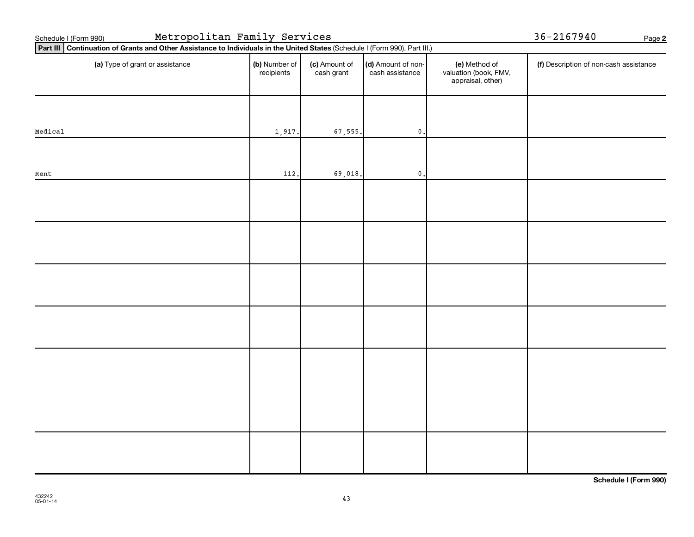| Metropolitan Family Services<br>Schedule I (Form 990)                                                                       | $36 - 2167940$              |                             |                                       |                                                             |                                        |  |
|-----------------------------------------------------------------------------------------------------------------------------|-----------------------------|-----------------------------|---------------------------------------|-------------------------------------------------------------|----------------------------------------|--|
| Part III Continuation of Grants and Other Assistance to Individuals in the United States (Schedule I (Form 990), Part III.) |                             | Page 2                      |                                       |                                                             |                                        |  |
| (a) Type of grant or assistance                                                                                             | (b) Number of<br>recipients | (c) Amount of<br>cash grant | (d) Amount of non-<br>cash assistance | (e) Method of<br>valuation (book, FMV,<br>appraisal, other) | (f) Description of non-cash assistance |  |
|                                                                                                                             |                             |                             |                                       |                                                             |                                        |  |
| Medical                                                                                                                     | 1,917.                      | 67,555.                     | $\mathbf{0}$                          |                                                             |                                        |  |
|                                                                                                                             |                             |                             |                                       |                                                             |                                        |  |
| Rent                                                                                                                        | 112.                        | 69,018.                     | $\mathbf 0$ .                         |                                                             |                                        |  |
|                                                                                                                             |                             |                             |                                       |                                                             |                                        |  |
|                                                                                                                             |                             |                             |                                       |                                                             |                                        |  |
|                                                                                                                             |                             |                             |                                       |                                                             |                                        |  |
|                                                                                                                             |                             |                             |                                       |                                                             |                                        |  |
|                                                                                                                             |                             |                             |                                       |                                                             |                                        |  |
|                                                                                                                             |                             |                             |                                       |                                                             |                                        |  |
|                                                                                                                             |                             |                             |                                       |                                                             |                                        |  |
|                                                                                                                             |                             |                             |                                       |                                                             |                                        |  |
|                                                                                                                             |                             |                             |                                       |                                                             |                                        |  |
|                                                                                                                             |                             |                             |                                       |                                                             |                                        |  |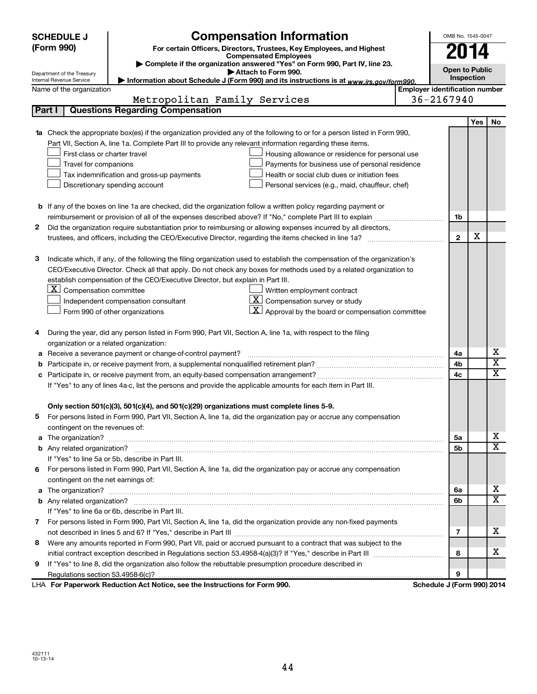| <b>SCHEDULE J</b>        | <b>Compensation Information</b>                                                                                                 |  | OMB No. 1545-0047                     |     |                         |  |  |  |
|--------------------------|---------------------------------------------------------------------------------------------------------------------------------|--|---------------------------------------|-----|-------------------------|--|--|--|
| (Form 990)               | For certain Officers, Directors, Trustees, Key Employees, and Highest                                                           |  |                                       |     |                         |  |  |  |
|                          | <b>Compensated Employees</b>                                                                                                    |  | 2014                                  |     |                         |  |  |  |
|                          | Complete if the organization answered "Yes" on Form 990, Part IV, line 23.<br>Attach to Form 990.<br>Department of the Treasury |  |                                       |     |                         |  |  |  |
|                          | Information about Schedule J (Form 990) and its instructions is at www.irs.gov/form990.<br>Internal Revenue Service             |  |                                       |     |                         |  |  |  |
| Name of the organization |                                                                                                                                 |  | <b>Employer identification number</b> |     |                         |  |  |  |
|                          | Metropolitan Family Services                                                                                                    |  | 36-2167940                            |     |                         |  |  |  |
| Part I                   | <b>Questions Regarding Compensation</b>                                                                                         |  |                                       |     |                         |  |  |  |
|                          |                                                                                                                                 |  |                                       | Yes | No                      |  |  |  |
| 1a                       | Check the appropriate box(es) if the organization provided any of the following to or for a person listed in Form 990,          |  |                                       |     |                         |  |  |  |
|                          | Part VII, Section A, line 1a. Complete Part III to provide any relevant information regarding these items.                      |  |                                       |     |                         |  |  |  |
|                          | First-class or charter travel<br>Housing allowance or residence for personal use                                                |  |                                       |     |                         |  |  |  |
|                          | Travel for companions<br>Payments for business use of personal residence                                                        |  |                                       |     |                         |  |  |  |
|                          | Health or social club dues or initiation fees<br>Tax indemnification and gross-up payments                                      |  |                                       |     |                         |  |  |  |
|                          | Discretionary spending account<br>Personal services (e.g., maid, chauffeur, chef)                                               |  |                                       |     |                         |  |  |  |
|                          |                                                                                                                                 |  |                                       |     |                         |  |  |  |
|                          | <b>b</b> If any of the boxes on line 1a are checked, did the organization follow a written policy regarding payment or          |  |                                       |     |                         |  |  |  |
|                          |                                                                                                                                 |  | 1b                                    |     |                         |  |  |  |
| 2                        | Did the organization require substantiation prior to reimbursing or allowing expenses incurred by all directors,                |  |                                       |     |                         |  |  |  |
|                          | trustees, and officers, including the CEO/Executive Director, regarding the items checked in line 1a?                           |  | $\mathbf{2}$                          | х   |                         |  |  |  |
|                          |                                                                                                                                 |  |                                       |     |                         |  |  |  |
| з                        | Indicate which, if any, of the following the filing organization used to establish the compensation of the organization's       |  |                                       |     |                         |  |  |  |
|                          | CEO/Executive Director. Check all that apply. Do not check any boxes for methods used by a related organization to              |  |                                       |     |                         |  |  |  |
|                          | establish compensation of the CEO/Executive Director, but explain in Part III.                                                  |  |                                       |     |                         |  |  |  |
|                          | $ \mathbf{X} $ Compensation committee<br>Written employment contract                                                            |  |                                       |     |                         |  |  |  |
|                          | $ \mathbf{X} $ Compensation survey or study<br>Independent compensation consultant                                              |  |                                       |     |                         |  |  |  |
|                          | $\lfloor \underline{X} \rfloor$ Approval by the board or compensation committee<br>Form 990 of other organizations              |  |                                       |     |                         |  |  |  |
|                          |                                                                                                                                 |  |                                       |     |                         |  |  |  |
| 4                        | During the year, did any person listed in Form 990, Part VII, Section A, line 1a, with respect to the filing                    |  |                                       |     |                         |  |  |  |
|                          | organization or a related organization:                                                                                         |  |                                       |     |                         |  |  |  |
| а                        | Receive a severance payment or change-of-control payment?                                                                       |  | 4a                                    |     | х                       |  |  |  |
| b                        |                                                                                                                                 |  | 4b                                    |     | $\overline{\textbf{x}}$ |  |  |  |
| c                        |                                                                                                                                 |  | 4c                                    |     | $\overline{\textbf{x}}$ |  |  |  |
|                          | If "Yes" to any of lines 4a-c, list the persons and provide the applicable amounts for each item in Part III.                   |  |                                       |     |                         |  |  |  |
|                          |                                                                                                                                 |  |                                       |     |                         |  |  |  |
|                          | Only section 501(c)(3), 501(c)(4), and 501(c)(29) organizations must complete lines 5-9.                                        |  |                                       |     |                         |  |  |  |
|                          | For persons listed in Form 990, Part VII, Section A, line 1a, did the organization pay or accrue any compensation               |  |                                       |     |                         |  |  |  |
|                          | contingent on the revenues of:                                                                                                  |  |                                       |     |                         |  |  |  |
|                          |                                                                                                                                 |  | 5а                                    |     | х                       |  |  |  |
|                          |                                                                                                                                 |  | 5b                                    |     | х                       |  |  |  |
|                          | If "Yes" to line 5a or 5b, describe in Part III.                                                                                |  |                                       |     |                         |  |  |  |
|                          | 6 For persons listed in Form 990, Part VII, Section A, line 1a, did the organization pay or accrue any compensation             |  |                                       |     |                         |  |  |  |
|                          | contingent on the net earnings of:                                                                                              |  |                                       |     |                         |  |  |  |
|                          |                                                                                                                                 |  | 6a                                    |     | х                       |  |  |  |
|                          |                                                                                                                                 |  | 6b                                    |     | х                       |  |  |  |
|                          | If "Yes" to line 6a or 6b, describe in Part III.                                                                                |  |                                       |     |                         |  |  |  |
|                          | 7 For persons listed in Form 990, Part VII, Section A, line 1a, did the organization provide any non-fixed payments             |  |                                       |     |                         |  |  |  |
|                          |                                                                                                                                 |  | 7                                     |     | х                       |  |  |  |
| 8.                       | Were any amounts reported in Form 990, Part VII, paid or accrued pursuant to a contract that was subject to the                 |  |                                       |     |                         |  |  |  |
|                          |                                                                                                                                 |  | 8                                     |     | х                       |  |  |  |
| 9                        | If "Yes" to line 8, did the organization also follow the rebuttable presumption procedure described in                          |  |                                       |     |                         |  |  |  |
|                          |                                                                                                                                 |  | 9                                     |     |                         |  |  |  |
|                          | LHA For Paperwork Reduction Act Notice, see the Instructions for Form 990.                                                      |  | Schedule J (Form 990) 2014            |     |                         |  |  |  |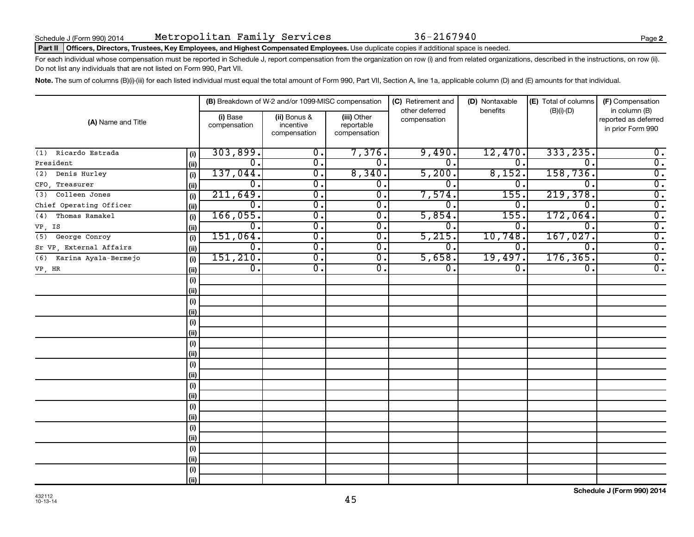### Part II | Officers, Directors, Trustees, Key Employees, and Highest Compensated Employees. Use duplicate copies if additional space is needed.

For each individual whose compensation must be reported in Schedule J, report compensation from the organization on row (i) and from related organizations, described in the instructions, on row (ii). Do not list any individuals that are not listed on Form 990, Part VII.

Note. The sum of columns (B)(i)-(iii) for each listed individual must equal the total amount of Form 990, Part VII, Section A, line 1a, applicable column (D) and (E) amounts for that individual.

| (A) Name and Title       |      |                          | (B) Breakdown of W-2 and/or 1099-MISC compensation |                                           | (C) Retirement and             | (D) Nontaxable   | (E) Total of columns | (F) Compensation                                           |  |
|--------------------------|------|--------------------------|----------------------------------------------------|-------------------------------------------|--------------------------------|------------------|----------------------|------------------------------------------------------------|--|
|                          |      | (i) Base<br>compensation | (ii) Bonus &<br>incentive<br>compensation          | (iii) Other<br>reportable<br>compensation | other deferred<br>compensation | benefits         | $(B)(i)-(D)$         | in column (B)<br>reported as deferred<br>in prior Form 990 |  |
| Ricardo Estrada<br>(1)   | (i)  | 303,899.                 | 0.                                                 | 7,376.                                    | 9,490.                         | 12,470.          | 333, 235.            | $0$ .                                                      |  |
| President                | (ii) | 0.                       | $\overline{0}$ .                                   | 0.                                        | 0                              | $\Omega$ .       | $\Omega$             | $\overline{0}$ .                                           |  |
| Denis Hurley<br>(2)      | (i)  | 137,044.                 | $\overline{0}$ .                                   | 8,340.                                    | 5,200.                         | 8,152.           | 158,736.             | $\overline{0}$ .                                           |  |
| CFO, Treasurer           | (i)  | 0.                       | $\overline{0}$ .                                   | $\overline{0}$ .                          | 0                              | 0.               | $\Omega$             | $\overline{0}$ .                                           |  |
| Colleen Jones<br>(3)     | (i)  | 211,649.                 | $\overline{0}$ .                                   | $\overline{0}$ .                          | 7,574.                         | 155              | 219,378.             | $\overline{0}$ .                                           |  |
| Chief Operating Officer  | (i)  | 0.                       | $\overline{0}$ .                                   | $\overline{0}$ .                          | 0                              | 0,               | $\Omega$ .           | $\overline{0}$ .                                           |  |
| Thomas Ramakel<br>(4)    | (i)  | 166,055.                 | $\overline{0}$ .                                   | $\overline{0}$ .                          | 5,854.                         | 155.             | 172,064.             | $\overline{0}$ .                                           |  |
| VP, IS                   | (ii) | 0.                       | 0.                                                 | 0.                                        | 0                              | 0.               | $\Omega$ .           | $\overline{0}$ .                                           |  |
| George Conroy<br>(5)     | (i)  | 151,064.                 | $\overline{0}$ .                                   | σ.                                        | 5,215.                         | 10,748.          | 167,027.             | $\overline{0}$ .                                           |  |
| Sr VP, External Affairs  | (ii) | $\overline{0}$ .         | $\overline{0}$ .                                   | σ.                                        | $\mathbf{0}$ .                 | $\overline{0}$ . | $\overline{0}$ .     | $\overline{0}$ .                                           |  |
| (6) Karina Ayala-Bermejo | (i)  | 151, 210.                | σ.                                                 | σ.                                        | 5,658.                         | 19,497.          | 176, 365.            | $\overline{0}$ .                                           |  |
| VP, HR                   | (ii) | $\overline{0}$ .         | $\overline{0}$ .                                   | $\overline{0}$ .                          | $\overline{0}$ .               | 0.               | σ.                   | $\overline{0}$ .                                           |  |
|                          | (i)  |                          |                                                    |                                           |                                |                  |                      |                                                            |  |
|                          | (ii) |                          |                                                    |                                           |                                |                  |                      |                                                            |  |
|                          | (i)  |                          |                                                    |                                           |                                |                  |                      |                                                            |  |
|                          | (i)  |                          |                                                    |                                           |                                |                  |                      |                                                            |  |
|                          | (i)  |                          |                                                    |                                           |                                |                  |                      |                                                            |  |
|                          | (ii) |                          |                                                    |                                           |                                |                  |                      |                                                            |  |
|                          | (i)  |                          |                                                    |                                           |                                |                  |                      |                                                            |  |
|                          | (ii) |                          |                                                    |                                           |                                |                  |                      |                                                            |  |
|                          | (i)  |                          |                                                    |                                           |                                |                  |                      |                                                            |  |
|                          | (ii) |                          |                                                    |                                           |                                |                  |                      |                                                            |  |
|                          | (i)  |                          |                                                    |                                           |                                |                  |                      |                                                            |  |
|                          | (ii) |                          |                                                    |                                           |                                |                  |                      |                                                            |  |
|                          | (i)  |                          |                                                    |                                           |                                |                  |                      |                                                            |  |
|                          | (ii) |                          |                                                    |                                           |                                |                  |                      |                                                            |  |
|                          | (i)  |                          |                                                    |                                           |                                |                  |                      |                                                            |  |
|                          | (ii) |                          |                                                    |                                           |                                |                  |                      |                                                            |  |
|                          | (i)  |                          |                                                    |                                           |                                |                  |                      |                                                            |  |
|                          | (ii) |                          |                                                    |                                           |                                |                  |                      |                                                            |  |
|                          | (i)  |                          |                                                    |                                           |                                |                  |                      |                                                            |  |
|                          | (ii) |                          |                                                    |                                           |                                |                  |                      |                                                            |  |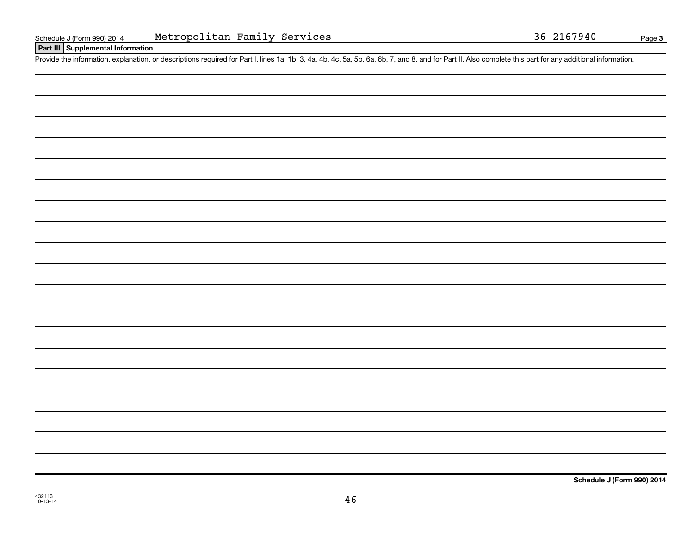### **Part III Supplemental Information**

Provide the information, explanation, or descriptions required for Part I, lines 1a, 1b, 3, 4a, 4b, 4c, 5a, 5b, 6a, 6b, 7, and 8, and for Part II. Also complete this part for any additional information.

**Schedule J (Form 990) 2014**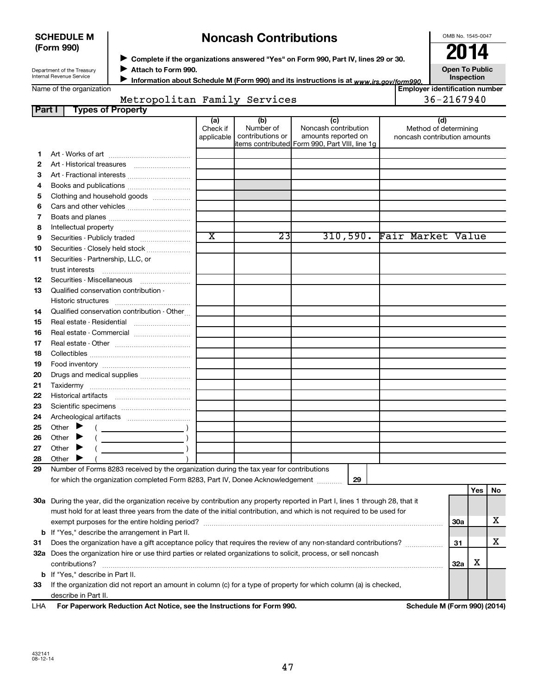| <b>SCHEDULE M</b> |  |
|-------------------|--|
| (Form 990)        |  |

### **Noncash Contributions**

OMB No. 1545-0047

Department of the Treasury Internal Revenue Service

◆ Complete if the organizations answered "Yes" on Form 990, Part IV, lines 29 or 30.<br>▶ Complete if the organizations answered "Yes" on Form 990, Part IV, lines 29 or 30. **Attach to Form 990.**  $\blacktriangleright$ 

**Open To Public**

Information about Schedule M (Form 990) and its instructions is at <sub>www.irs.gov/form990.</sub> Inspection ■ Information about Schedule M (Form 990) and its instructions is at <sub>www.irs.*gov/form990.*<br>Employer identification number |<br>Figure identification number |</sub>

### **Part I Types of Property** Metropolitan Family Services 1988-2167940

|    |                                                                                                                                | (a)<br>Check if<br>applicable | (b)<br>Number of<br>contributions or | (c)<br>Noncash contribution<br>amounts reported on | (d)<br>Method of determining<br>noncash contribution amounts |            |     |    |
|----|--------------------------------------------------------------------------------------------------------------------------------|-------------------------------|--------------------------------------|----------------------------------------------------|--------------------------------------------------------------|------------|-----|----|
| 1. |                                                                                                                                |                               |                                      | items contributed Form 990, Part VIII, line 1g     |                                                              |            |     |    |
| 2  |                                                                                                                                |                               |                                      |                                                    |                                                              |            |     |    |
| З  |                                                                                                                                |                               |                                      |                                                    |                                                              |            |     |    |
| 4  |                                                                                                                                |                               |                                      |                                                    |                                                              |            |     |    |
| 5  | Clothing and household goods                                                                                                   |                               |                                      |                                                    |                                                              |            |     |    |
| 6  |                                                                                                                                |                               |                                      |                                                    |                                                              |            |     |    |
| 7  |                                                                                                                                |                               |                                      |                                                    |                                                              |            |     |    |
| 8  |                                                                                                                                |                               |                                      |                                                    |                                                              |            |     |    |
| 9  | Securities - Publicly traded                                                                                                   | $\overline{\text{x}}$         | $\overline{23}$                      |                                                    | 310,590. Fair Market Value                                   |            |     |    |
| 10 | Securities - Closely held stock                                                                                                |                               |                                      |                                                    |                                                              |            |     |    |
| 11 | Securities - Partnership, LLC, or                                                                                              |                               |                                      |                                                    |                                                              |            |     |    |
|    | trust interests                                                                                                                |                               |                                      |                                                    |                                                              |            |     |    |
| 12 |                                                                                                                                |                               |                                      |                                                    |                                                              |            |     |    |
| 13 | Qualified conservation contribution -                                                                                          |                               |                                      |                                                    |                                                              |            |     |    |
|    |                                                                                                                                |                               |                                      |                                                    |                                                              |            |     |    |
| 14 | Qualified conservation contribution - Other                                                                                    |                               |                                      |                                                    |                                                              |            |     |    |
| 15 |                                                                                                                                |                               |                                      |                                                    |                                                              |            |     |    |
| 16 | Real estate - Commercial                                                                                                       |                               |                                      |                                                    |                                                              |            |     |    |
| 17 |                                                                                                                                |                               |                                      |                                                    |                                                              |            |     |    |
| 18 |                                                                                                                                |                               |                                      |                                                    |                                                              |            |     |    |
| 19 |                                                                                                                                |                               |                                      |                                                    |                                                              |            |     |    |
| 20 | Drugs and medical supplies                                                                                                     |                               |                                      |                                                    |                                                              |            |     |    |
| 21 |                                                                                                                                |                               |                                      |                                                    |                                                              |            |     |    |
| 22 |                                                                                                                                |                               |                                      |                                                    |                                                              |            |     |    |
| 23 |                                                                                                                                |                               |                                      |                                                    |                                                              |            |     |    |
| 24 |                                                                                                                                |                               |                                      |                                                    |                                                              |            |     |    |
| 25 | Other $\blacktriangleright$                                                                                                    |                               |                                      |                                                    |                                                              |            |     |    |
| 26 | Other $\blacktriangleright$                                                                                                    |                               |                                      |                                                    |                                                              |            |     |    |
| 27 | Other $\blacktriangleright$                                                                                                    |                               |                                      |                                                    |                                                              |            |     |    |
| 28 | Other $\blacktriangleright$                                                                                                    |                               |                                      |                                                    |                                                              |            |     |    |
| 29 | Number of Forms 8283 received by the organization during the tax year for contributions                                        |                               |                                      |                                                    |                                                              |            |     |    |
|    | for which the organization completed Form 8283, Part IV, Donee Acknowledgement                                                 |                               |                                      | 29                                                 |                                                              |            |     |    |
|    |                                                                                                                                |                               |                                      |                                                    |                                                              |            | Yes | No |
|    | 30a During the year, did the organization receive by contribution any property reported in Part I, lines 1 through 28, that it |                               |                                      |                                                    |                                                              |            |     |    |
|    | must hold for at least three years from the date of the initial contribution, and which is not required to be used for         |                               |                                      |                                                    |                                                              |            |     |    |
|    |                                                                                                                                |                               |                                      |                                                    |                                                              | <b>30a</b> |     | x  |
|    | <b>b</b> If "Yes," describe the arrangement in Part II.                                                                        |                               |                                      |                                                    |                                                              |            |     |    |
| 31 | Does the organization have a gift acceptance policy that requires the review of any non-standard contributions?                |                               |                                      |                                                    |                                                              | 31         |     | x  |
|    | 32a Does the organization hire or use third parties or related organizations to solicit, process, or sell noncash              |                               |                                      |                                                    |                                                              |            |     |    |
|    |                                                                                                                                |                               |                                      |                                                    |                                                              | 32a        | х   |    |
|    | <b>b</b> If "Yes," describe in Part II.                                                                                        |                               |                                      |                                                    |                                                              |            |     |    |
| 33 | If the organization did not report an amount in column (c) for a type of property for which column (a) is checked,             |                               |                                      |                                                    |                                                              |            |     |    |
|    | describe in Part II.                                                                                                           |                               |                                      |                                                    |                                                              |            |     |    |

**For Paperwork Reduction Act Notice, see the Instructions for Form 990. Schedule M (Form 990) (2014)** LHA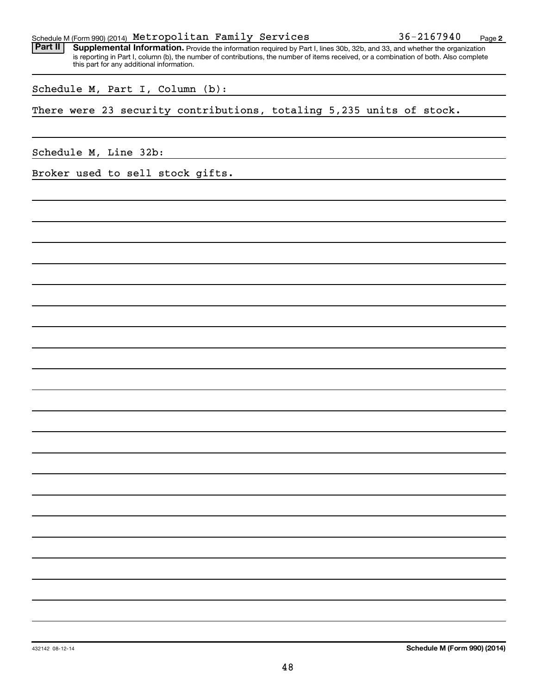|  |  | Schedule M (Form 990) (2014) Metropolitan Family Services |  |  | 36-2167940 | Page |  |
|--|--|-----------------------------------------------------------|--|--|------------|------|--|
|--|--|-----------------------------------------------------------|--|--|------------|------|--|

Part II | Supplemental Information. Provide the information required by Part I, lines 30b, 32b, and 33, and whether the organization is reporting in Part I, column (b), the number of contributions, the number of items received, or a combination of both. Also complete this part for any additional information.

Schedule M, Part I, Column (b):

There were 23 security contributions, totaling 5,235 units of stock.

Schedule M, Line 32b:

Broker used to sell stock gifts.

432142 08-12-14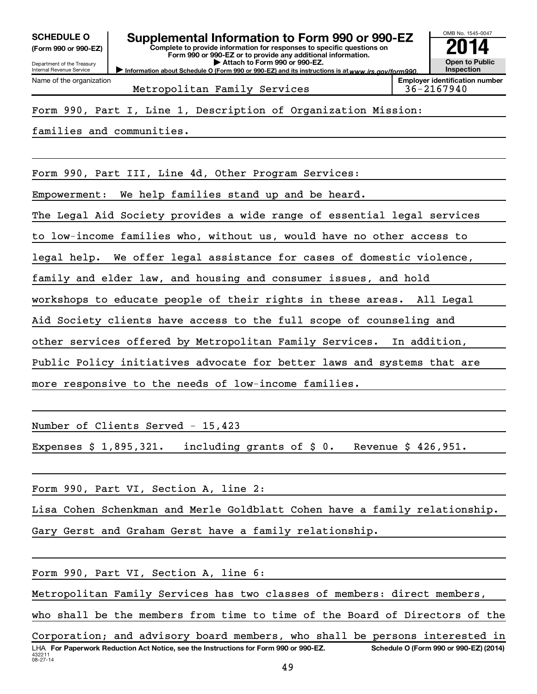**(Form 990 or 990-EZ)**

Department of the Treasury Internal Revenue Service Name of the organization

## **SCHEDULE O Supplemental Information to Form 990 or 990-EZ 2014**

**Complete to provide information for responses to specific questions on Form 990 or 990-EZ or to provide any additional information. | Attach to Form 990 or 990-EZ.**

Information about Schedule O (Form 990 or 990-EZ) and its instructions is at www.irs.gov/form990.

**Inspection Employer identification number**

OMB No. 1545-0047

**Open to Public**

Metropolitan Family Services 1986-2167940

### Form 990, Part I, Line 1, Description of Organization Mission:

families and communities.

Form 990, Part III, Line 4d, Other Program Services:

Empowerment: We help families stand up and be heard.

The Legal Aid Society provides a wide range of essential legal services

to low-income families who, without us, would have no other access to

legal help. We offer legal assistance for cases of domestic violence,

family and elder law, and housing and consumer issues, and hold

workshops to educate people of their rights in these areas. All Legal

Aid Society clients have access to the full scope of counseling and

other services offered by Metropolitan Family Services. In addition,

Public Policy initiatives advocate for better laws and systems that are

more responsive to the needs of low-income families.

Number of Clients Served - 15,423

Expenses  $$ 1,895,321.$  including grants of  $$ 0.$  Revenue  $$ 426,951.$ 

Form 990, Part VI, Section A, line 2:

Lisa Cohen Schenkman and Merle Goldblatt Cohen have a family relationship.

Gary Gerst and Graham Gerst have a family relationship.

Form 990, Part VI, Section A, line 6:

Metropolitan Family Services has two classes of members: direct members,

who shall be the members from time to time of the Board of Directors of the

432211 08-27-14 LHA For Paperwork Reduction Act Notice, see the Instructions for Form 990 or 990-EZ. Schedule O (Form 990 or 990-EZ) (2014) Corporation; and advisory board members, who shall be persons interested in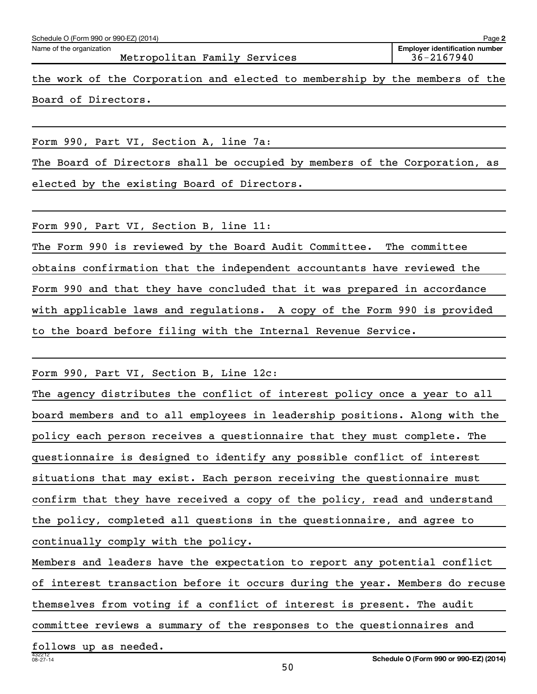|                                                          | Schedule O (Form 990 or 990-EZ) (2014)<br>Page 2 |  |  |                     |                                                                             |                                                     |  |  |  |  |  |  |  |  |
|----------------------------------------------------------|--------------------------------------------------|--|--|---------------------|-----------------------------------------------------------------------------|-----------------------------------------------------|--|--|--|--|--|--|--|--|
| Name of the organization<br>Metropolitan Family Services |                                                  |  |  |                     |                                                                             | <b>Employer identification number</b><br>36-2167940 |  |  |  |  |  |  |  |  |
|                                                          |                                                  |  |  |                     | the work of the Corporation and elected to membership by the members of the |                                                     |  |  |  |  |  |  |  |  |
|                                                          |                                                  |  |  | Board of Directors. |                                                                             |                                                     |  |  |  |  |  |  |  |  |

Form 990, Part VI, Section A, line 7a:

The Board of Directors shall be occupied by members of the Corporation, as elected by the existing Board of Directors.

Form 990, Part VI, Section B, line 11:

The Form 990 is reviewed by the Board Audit Committee. The committee obtains confirmation that the independent accountants have reviewed the Form 990 and that they have concluded that it was prepared in accordance with applicable laws and regulations. A copy of the Form 990 is provided to the board before filing with the Internal Revenue Service.

Form 990, Part VI, Section B, Line 12c:

The agency distributes the conflict of interest policy once a year to all board members and to all employees in leadership positions. Along with the policy each person receives a questionnaire that they must complete. The questionnaire is designed to identify any possible conflict of interest situations that may exist. Each person receiving the questionnaire must confirm that they have received a copy of the policy, read and understand the policy, completed all questions in the questionnaire, and agree to continually comply with the policy. Members and leaders have the expectation to report any potential conflict of interest transaction before it occurs during the year. Members do recuse themselves from voting if a conflict of interest is present. The audit

committee reviews a summary of the responses to the questionnaires and

follows up as needed.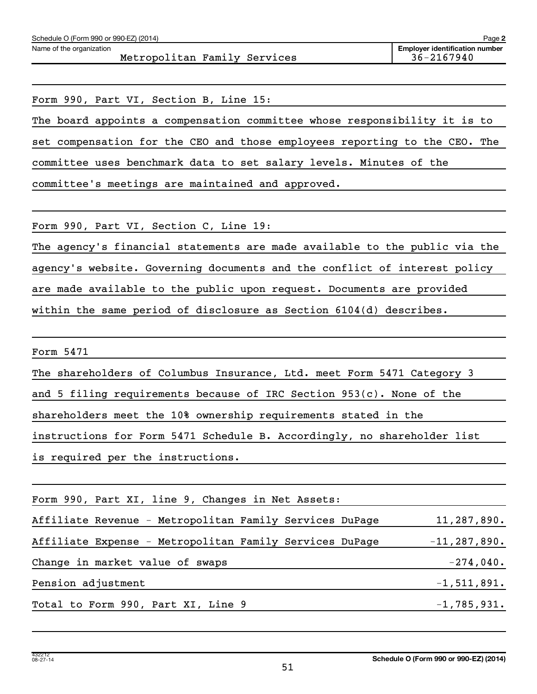| Schedule O (Form 990 or 990-EZ) (2014)<br>Page 2         |                                                     |  |  |  |  |  |  |
|----------------------------------------------------------|-----------------------------------------------------|--|--|--|--|--|--|
| Name of the organization<br>Metropolitan Family Services | <b>Employer identification number</b><br>36-2167940 |  |  |  |  |  |  |
|                                                          |                                                     |  |  |  |  |  |  |

Form 990, Part VI, Section B, Line 15:

The board appoints a compensation committee whose responsibility it is to set compensation for the CEO and those employees reporting to the CEO. The committee uses benchmark data to set salary levels. Minutes of the committee's meetings are maintained and approved.

Form 990, Part VI, Section C, Line 19:

The agency's financial statements are made available to the public via the agency's website. Governing documents and the conflict of interest policy are made available to the public upon request. Documents are provided within the same period of disclosure as Section 6104(d) describes.

Form 5471

The shareholders of Columbus Insurance, Ltd. meet Form 5471 Category 3

and 5 filing requirements because of IRC Section 953(c). None of the

shareholders meet the 10% ownership requirements stated in the

instructions for Form 5471 Schedule B. Accordingly, no shareholder list

is required per the instructions.

| Form 990, Part XI, line 9, Changes in Net Assets:       |                  |
|---------------------------------------------------------|------------------|
| Affiliate Revenue - Metropolitan Family Services DuPage | 11, 287, 890.    |
| Affiliate Expense - Metropolitan Family Services DuPage | $-11, 287, 890.$ |
| Change in market value of swaps                         | $-274,040.$      |
| Pension adjustment                                      | $-1,511,891.$    |
| Total to Form 990, Part XI, Line 9                      | $-1,785,931.$    |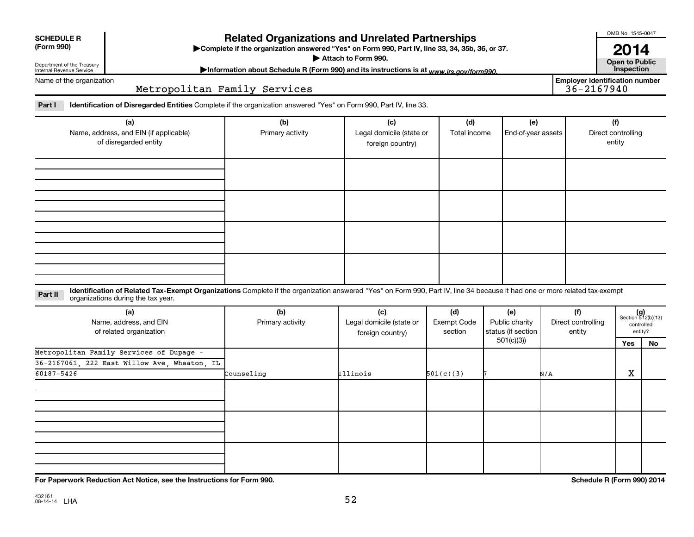| <b>SCHEDULE R</b> |  |
|-------------------|--|
| (Form 990)        |  |

### **Related Organizations and Unrelated Partnerships**

**(Form 990) Complete if the organization answered "Yes" on Form 990, Part IV, line 33, 34, 35b, 36, or 37.** |

▶ Attach to Form 990. **Open to Public** 

Department of the Treasury Internal Revenue Service

Information about Schedule R (Form 990) and its instructions is at www.irs.gov/form990.

Name of the organization

### Metropolitan Family Services

Part I ldentification of Disregarded Entities Complete if the organization answered "Yes" on Form 990, Part IV, line 33.

| (a)<br>Name, address, and EIN (if applicable)<br>of disregarded entity | (b)<br>Primary activity | (c)<br>Legal domicile (state or<br>foreign country) | (d)<br>Total income | (e)<br>End-of-year assets | (f)<br>Direct controlling<br>entity |
|------------------------------------------------------------------------|-------------------------|-----------------------------------------------------|---------------------|---------------------------|-------------------------------------|
|                                                                        |                         |                                                     |                     |                           |                                     |
|                                                                        |                         |                                                     |                     |                           |                                     |
|                                                                        |                         |                                                     |                     |                           |                                     |
|                                                                        |                         |                                                     |                     |                           |                                     |
|                                                                        |                         |                                                     |                     |                           |                                     |

### **Part II** Identification of Related Tax-Exempt Organizations Complete if the organization answered "Yes" on Form 990, Part IV, line 34 because it had one or more related tax-exempt<br>Complete it is a seriest of the two wears organizations during the tax year.

| (a)<br>Name, address, and EIN<br>of related organization | (b)<br>Primary activity | (c)<br>Legal domicile (state or<br>foreign country) | (d)<br>Exempt Code<br>section | (e)<br>Public charity<br>status (if section | (f)<br>Direct controlling<br>entity |     | $(g)$<br>Section 512(b)(13)<br>controlled<br>entity? |
|----------------------------------------------------------|-------------------------|-----------------------------------------------------|-------------------------------|---------------------------------------------|-------------------------------------|-----|------------------------------------------------------|
|                                                          |                         |                                                     |                               | 501(c)(3))                                  |                                     | Yes | No                                                   |
| Metropolitan Family Services of Dupage -                 |                         |                                                     |                               |                                             |                                     |     |                                                      |
| 36-2167061, 222 East Willow Ave, Wheaton, IL             |                         |                                                     |                               |                                             |                                     |     |                                                      |
| 60187-5426                                               | Counseling              | Illinois                                            | 501(c)(3)                     |                                             | N/A                                 | X   |                                                      |
|                                                          |                         |                                                     |                               |                                             |                                     |     |                                                      |
|                                                          |                         |                                                     |                               |                                             |                                     |     |                                                      |
|                                                          |                         |                                                     |                               |                                             |                                     |     |                                                      |

**For Paperwork Reduction Act Notice, see the Instructions for Form 990. Schedule R (Form 990) 2014**

OMB No. 1545-0047

**2014**<br>Open to Public

**Employer identification number**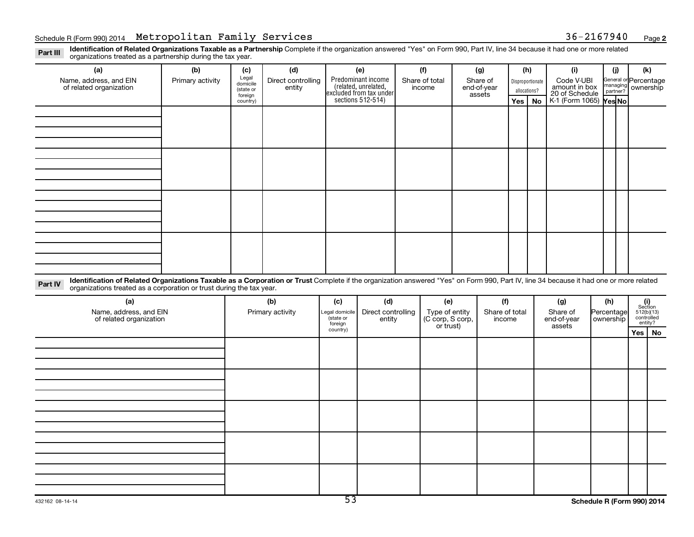Part III Identification of Related Organizations Taxable as a Partnership Complete if the organization answered "Yes" on Form 990, Part IV, line 34 because it had one or more related<br>Read to the organizations tracted as a organizations treated as a partnership during the tax year.

| (a)<br>Name, address, and EIN                                                                                                                                                                                                                                             | (b)<br>Primary activity | (c)<br>Legal                     | (d)<br>Direct controlling | (e)<br>Predominant income                       | (f)<br>Share of total | (g)<br>Share of       |     | (h)                              | (i)<br>Code V-UBI               | (i) | (k)<br>General or Percentage |
|---------------------------------------------------------------------------------------------------------------------------------------------------------------------------------------------------------------------------------------------------------------------------|-------------------------|----------------------------------|---------------------------|-------------------------------------------------|-----------------------|-----------------------|-----|----------------------------------|---------------------------------|-----|------------------------------|
| of related organization                                                                                                                                                                                                                                                   |                         | domicile<br>(state or<br>foreign | entity                    | (related, unrelated,<br>excluded from tax under | income                | end-of-year<br>assets |     | Disproportionate<br>allocations? | amount in box<br>20 of Schedule |     | managing ownership           |
|                                                                                                                                                                                                                                                                           |                         | country)                         |                           | sections 512-514)                               |                       |                       | Yes | No                               | K-1 (Form 1065) Yes No          |     |                              |
|                                                                                                                                                                                                                                                                           |                         |                                  |                           |                                                 |                       |                       |     |                                  |                                 |     |                              |
|                                                                                                                                                                                                                                                                           |                         |                                  |                           |                                                 |                       |                       |     |                                  |                                 |     |                              |
|                                                                                                                                                                                                                                                                           |                         |                                  |                           |                                                 |                       |                       |     |                                  |                                 |     |                              |
|                                                                                                                                                                                                                                                                           |                         |                                  |                           |                                                 |                       |                       |     |                                  |                                 |     |                              |
|                                                                                                                                                                                                                                                                           |                         |                                  |                           |                                                 |                       |                       |     |                                  |                                 |     |                              |
|                                                                                                                                                                                                                                                                           |                         |                                  |                           |                                                 |                       |                       |     |                                  |                                 |     |                              |
|                                                                                                                                                                                                                                                                           |                         |                                  |                           |                                                 |                       |                       |     |                                  |                                 |     |                              |
|                                                                                                                                                                                                                                                                           |                         |                                  |                           |                                                 |                       |                       |     |                                  |                                 |     |                              |
|                                                                                                                                                                                                                                                                           |                         |                                  |                           |                                                 |                       |                       |     |                                  |                                 |     |                              |
|                                                                                                                                                                                                                                                                           |                         |                                  |                           |                                                 |                       |                       |     |                                  |                                 |     |                              |
|                                                                                                                                                                                                                                                                           |                         |                                  |                           |                                                 |                       |                       |     |                                  |                                 |     |                              |
|                                                                                                                                                                                                                                                                           |                         |                                  |                           |                                                 |                       |                       |     |                                  |                                 |     |                              |
|                                                                                                                                                                                                                                                                           |                         |                                  |                           |                                                 |                       |                       |     |                                  |                                 |     |                              |
|                                                                                                                                                                                                                                                                           |                         |                                  |                           |                                                 |                       |                       |     |                                  |                                 |     |                              |
|                                                                                                                                                                                                                                                                           |                         |                                  |                           |                                                 |                       |                       |     |                                  |                                 |     |                              |
|                                                                                                                                                                                                                                                                           |                         |                                  |                           |                                                 |                       |                       |     |                                  |                                 |     |                              |
| Identification of Related Organizations Taxable as a Corporation or Trust Complete if the organization answered "Yes" on Form 990, Part IV, line 34 because it had one or more related<br>Part IV<br>organizations treated as a corporation or trust during the tax year. |                         |                                  |                           |                                                 |                       |                       |     |                                  |                                 |     |                              |

| (a)<br>Name, address, and EIN<br>of related organization | (b)<br>Primary activity | (c)<br>Legal domicile<br>(state or | (d)<br>Direct controlling<br>entity | (e)<br>Type of entity<br>(C corp, S corp,<br>or trust) | (f)<br>Share of total<br>income | (g)<br>Share of<br>end-of-year | (h)<br>Percentage<br>  ownership | $\begin{array}{c} \textbf{(i)}\\ \text{Section}\\ 512 \text{(b)} \text{(13)}\\ \text{controlled} \\ \text{entity?} \end{array}$ |          |
|----------------------------------------------------------|-------------------------|------------------------------------|-------------------------------------|--------------------------------------------------------|---------------------------------|--------------------------------|----------------------------------|---------------------------------------------------------------------------------------------------------------------------------|----------|
|                                                          |                         | foreign<br>country)                |                                     |                                                        |                                 | assets                         |                                  |                                                                                                                                 | Yes   No |
|                                                          |                         |                                    |                                     |                                                        |                                 |                                |                                  |                                                                                                                                 |          |
|                                                          |                         |                                    |                                     |                                                        |                                 |                                |                                  |                                                                                                                                 |          |
|                                                          |                         |                                    |                                     |                                                        |                                 |                                |                                  |                                                                                                                                 |          |
|                                                          |                         |                                    |                                     |                                                        |                                 |                                |                                  |                                                                                                                                 |          |
|                                                          |                         |                                    |                                     |                                                        |                                 |                                |                                  |                                                                                                                                 |          |
|                                                          |                         |                                    |                                     |                                                        |                                 |                                |                                  |                                                                                                                                 |          |
|                                                          |                         |                                    |                                     |                                                        |                                 |                                |                                  |                                                                                                                                 |          |
|                                                          |                         |                                    |                                     |                                                        |                                 |                                |                                  |                                                                                                                                 |          |
|                                                          |                         |                                    |                                     |                                                        |                                 |                                |                                  |                                                                                                                                 |          |
|                                                          |                         |                                    |                                     |                                                        |                                 |                                |                                  |                                                                                                                                 |          |
|                                                          |                         |                                    |                                     |                                                        |                                 |                                |                                  |                                                                                                                                 |          |
|                                                          |                         |                                    |                                     |                                                        |                                 |                                |                                  |                                                                                                                                 |          |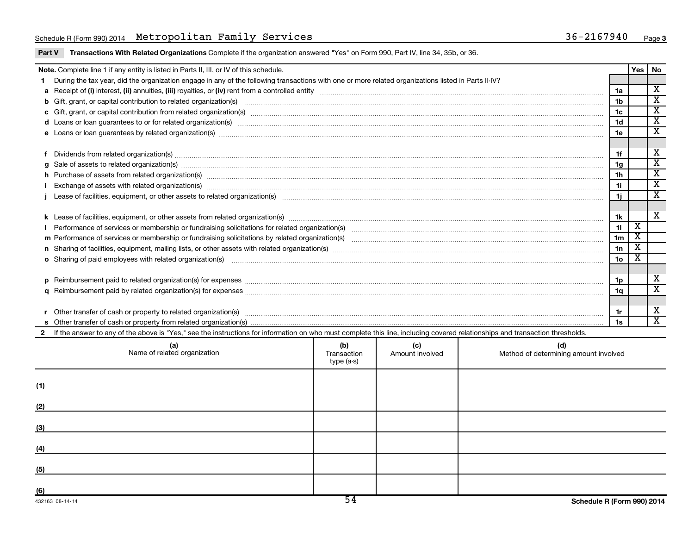### Schedule R(Form 990) 2014 Metropolitan Family Services (1988) 36-2167940 Page 36-2167940 Page

| Part V Transactions With Related Organizations Complete if the organization answered "Yes" on Form 990, Part IV, line 34, 35b, or 36. |  |  |  |
|---------------------------------------------------------------------------------------------------------------------------------------|--|--|--|
|                                                                                                                                       |  |  |  |

|              | Note. Complete line 1 if any entity is listed in Parts II, III, or IV of this schedule.                                                                                                                                        |  |  |  |                | Yes                     | No                                                 |  |  |
|--------------|--------------------------------------------------------------------------------------------------------------------------------------------------------------------------------------------------------------------------------|--|--|--|----------------|-------------------------|----------------------------------------------------|--|--|
|              | During the tax year, did the organization engage in any of the following transactions with one or more related organizations listed in Parts II-IV?                                                                            |  |  |  |                |                         |                                                    |  |  |
|              | 1a                                                                                                                                                                                                                             |  |  |  |                |                         |                                                    |  |  |
|              |                                                                                                                                                                                                                                |  |  |  | 1 <sub>b</sub> |                         | $\overline{\mathtt{x}}$                            |  |  |
|              |                                                                                                                                                                                                                                |  |  |  | 1c             |                         | $\overline{\texttt{x}}$                            |  |  |
|              | d Loans or loan guarantees to or for related organization(s) www.communities.com/www.communities.com/www.communities.com/www.communities.com/www.communities.com/www.communities.com/www.communities.com/www.communities.com/w |  |  |  | 1 <sub>d</sub> |                         | $\overline{\texttt{x}}$<br>$\overline{\texttt{x}}$ |  |  |
|              |                                                                                                                                                                                                                                |  |  |  |                |                         |                                                    |  |  |
|              |                                                                                                                                                                                                                                |  |  |  |                |                         |                                                    |  |  |
|              | Dividends from related organization(s) Manual Communication and the contract of the contract of the contract of the contract of the contract of the contract of the contract of the contract of the contract of the contract o |  |  |  |                |                         |                                                    |  |  |
|              | g Sale of assets to related organization(s) measurements are constructed as a set of assets to related organization(s) measurements are constructed assets to related organization(s) measurements are constructed as a set of |  |  |  | 1g             |                         | $\overline{\mathtt{x}}$                            |  |  |
|              | h Purchase of assets from related organization(s) manufactured and content to content and content and content and content and content and content and content and content and content and content and content and content and  |  |  |  | 1 <sub>h</sub> |                         | $\overline{\texttt{x}}$                            |  |  |
|              |                                                                                                                                                                                                                                |  |  |  | 1i.            |                         | $\overline{\texttt{x}}$                            |  |  |
|              |                                                                                                                                                                                                                                |  |  |  | 1i.            |                         | $\overline{\textbf{x}}$                            |  |  |
|              |                                                                                                                                                                                                                                |  |  |  |                |                         |                                                    |  |  |
|              |                                                                                                                                                                                                                                |  |  |  |                |                         |                                                    |  |  |
|              |                                                                                                                                                                                                                                |  |  |  | 11             | х                       |                                                    |  |  |
|              |                                                                                                                                                                                                                                |  |  |  | 1 <sub>m</sub> | $\overline{\mathbf{X}}$ |                                                    |  |  |
|              |                                                                                                                                                                                                                                |  |  |  | 1n             | х                       |                                                    |  |  |
|              | o Sharing of paid employees with related organization(s) manufaction(s) and contain an examination of the state or state or state or state or state or state or state or state or state or state or state or state or state or |  |  |  | 10             | х                       |                                                    |  |  |
|              |                                                                                                                                                                                                                                |  |  |  |                |                         |                                                    |  |  |
|              |                                                                                                                                                                                                                                |  |  |  | 1p             |                         | х                                                  |  |  |
|              |                                                                                                                                                                                                                                |  |  |  | 1a             |                         | $\overline{\texttt{x}}$                            |  |  |
|              |                                                                                                                                                                                                                                |  |  |  |                |                         |                                                    |  |  |
|              |                                                                                                                                                                                                                                |  |  |  | 1r             |                         | X                                                  |  |  |
|              |                                                                                                                                                                                                                                |  |  |  | 1s             |                         | $\overline{\mathbf{x}}$                            |  |  |
| $\mathbf{2}$ | If the answer to any of the above is "Yes," see the instructions for information on who must complete this line, including covered relationships and transaction thresholds.                                                   |  |  |  |                |                         |                                                    |  |  |
|              | (b)<br>(c)<br>(a)<br>(d)<br>Name of related organization<br>Transaction<br>Amount involved<br>Method of determining amount involved<br>type (a-s)                                                                              |  |  |  |                |                         |                                                    |  |  |
| (1)          |                                                                                                                                                                                                                                |  |  |  |                |                         |                                                    |  |  |

| (T) |  |  |
|-----|--|--|
| (2) |  |  |
| (3) |  |  |
| (4) |  |  |
|     |  |  |
| (5) |  |  |
| (6) |  |  |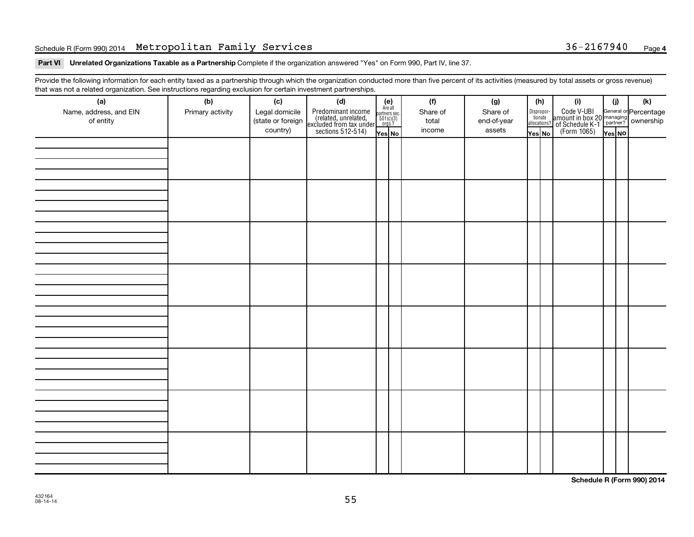### Schedule R(Form 990) 2014 Metropolitan Family Services (1988) 36-2167940 Page 36-2167940 Page

Part VI Unrelated Organizations Taxable as a Partnership Complete if the organization answered "Yes" on Form 990, Part IV, line 37.

Provide the following information for each entity taxed as a partnership through which the organization conducted more than five percent of its activities (measured by total assets or gross revenue) that was not a related organization. See instructions regarding exclusion for certain investment partnerships.

| (a)<br>Name, address, and EIN<br>of entity | - -<br>(b)<br>Primary activity | (c)<br>Legal domicile<br>(state or foreign<br>country) | . . <b>. .</b> .<br>(d)<br>Predominant income<br>(related, unrelated,<br>excluded from tax under<br>sections 512-514) | $(e)$<br>Are all<br>partners sec.<br>$501(c)(3)$<br>orgs.?<br>Yes No | (f)<br>Share of<br>total<br>income | (g)<br>Share of<br>end-of-year<br>assets | (h)<br>Disproportionate<br>allocations?<br>Yes No | (i)<br>Code V-UBI<br>amount in box 20 managing<br>of Schedule K-1 partner?<br>(Form 1065)<br>ves No | (i)<br>Yes NO | (k) |
|--------------------------------------------|--------------------------------|--------------------------------------------------------|-----------------------------------------------------------------------------------------------------------------------|----------------------------------------------------------------------|------------------------------------|------------------------------------------|---------------------------------------------------|-----------------------------------------------------------------------------------------------------|---------------|-----|
|                                            |                                |                                                        |                                                                                                                       |                                                                      |                                    |                                          |                                                   |                                                                                                     |               |     |
|                                            |                                |                                                        |                                                                                                                       |                                                                      |                                    |                                          |                                                   |                                                                                                     |               |     |
|                                            |                                |                                                        |                                                                                                                       |                                                                      |                                    |                                          |                                                   |                                                                                                     |               |     |
|                                            |                                |                                                        |                                                                                                                       |                                                                      |                                    |                                          |                                                   |                                                                                                     |               |     |
|                                            |                                |                                                        |                                                                                                                       |                                                                      |                                    |                                          |                                                   |                                                                                                     |               |     |
|                                            |                                |                                                        |                                                                                                                       |                                                                      |                                    |                                          |                                                   |                                                                                                     |               |     |
|                                            |                                |                                                        |                                                                                                                       |                                                                      |                                    |                                          |                                                   |                                                                                                     |               |     |
|                                            |                                |                                                        |                                                                                                                       |                                                                      |                                    |                                          |                                                   |                                                                                                     |               |     |

**Schedule R (Form 990) 2014**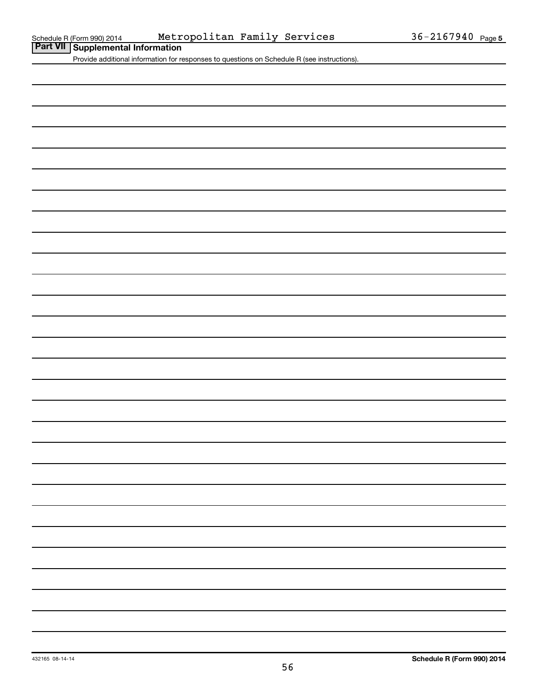**Part VII Schedule R (Form 990) 2014** Metr<br>**Part VII Supplemental Information** 

Provide additional information for responses to questions on Schedule R (see instructions).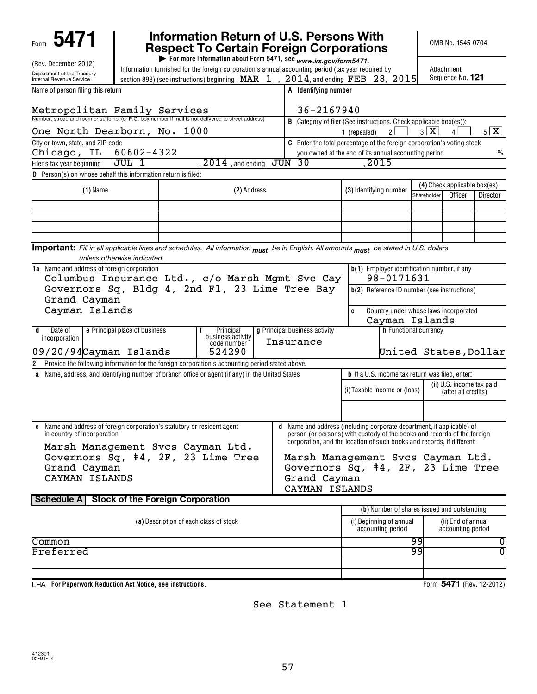| 5471                                                                                                                                  |                               |                                            | Information Return of U.S. Persons With<br><b>Respect To Certain Foreign Corporations</b>                                                                                                  |                                                                                                                                                   |                       | OMB No. 1545-0704              |                     |                          |
|---------------------------------------------------------------------------------------------------------------------------------------|-------------------------------|--------------------------------------------|--------------------------------------------------------------------------------------------------------------------------------------------------------------------------------------------|---------------------------------------------------------------------------------------------------------------------------------------------------|-----------------------|--------------------------------|---------------------|--------------------------|
| (Rev. December 2012)                                                                                                                  |                               |                                            | For more information about Form 5471, see www.irs.gov/form5471.                                                                                                                            |                                                                                                                                                   |                       |                                |                     |                          |
| Department of the Treasury<br>Internal Revenue Service                                                                                |                               |                                            | Information furnished for the foreign corporation's annual accounting period (tax year required by<br>section 898) (see instructions) beginning MAR $1$ , $2014$ , and ending FEB 28, 2015 |                                                                                                                                                   |                       | Attachment<br>Sequence No. 121 |                     |                          |
| Name of person filing this return                                                                                                     |                               |                                            | A Identifying number                                                                                                                                                                       |                                                                                                                                                   |                       |                                |                     |                          |
| Metropolitan Family Services                                                                                                          |                               |                                            | 36-2167940                                                                                                                                                                                 |                                                                                                                                                   |                       |                                |                     |                          |
| Number, street, and room or suite no. (or P.O. box number if mail is not delivered to street address)                                 |                               |                                            |                                                                                                                                                                                            | <b>B</b> Category of filer (See instructions. Check applicable box(es)):                                                                          |                       |                                |                     |                          |
| One North Dearborn, No. 1000                                                                                                          |                               |                                            |                                                                                                                                                                                            | 2 <sup>1</sup><br>1 (repealed)                                                                                                                    | $3 \times$            | 4                              |                     | $5 \mathbf{X} $          |
| City or town, state, and ZIP code                                                                                                     |                               |                                            |                                                                                                                                                                                            | <b>C</b> Enter the total percentage of the foreign corporation's voting stock                                                                     |                       |                                |                     |                          |
| Chicago, IL                                                                                                                           | 60602-4322                    |                                            |                                                                                                                                                                                            | you owned at the end of its annual accounting period                                                                                              |                       |                                |                     | %                        |
| Filer's tax year beginning                                                                                                            | $JUL$ 1                       | $\overline{2014}$ , and ending             | JUN<br>-30                                                                                                                                                                                 | 2015                                                                                                                                              |                       |                                |                     |                          |
| D Person(s) on whose behalf this information return is filed:                                                                         |                               |                                            |                                                                                                                                                                                            |                                                                                                                                                   |                       |                                |                     |                          |
| $(1)$ Name                                                                                                                            |                               | (2) Address                                |                                                                                                                                                                                            | (3) Identifying number                                                                                                                            |                       | (4) Check applicable box(es)   |                     |                          |
|                                                                                                                                       |                               |                                            |                                                                                                                                                                                            |                                                                                                                                                   | Shareholder           |                                | Officer             | Director                 |
|                                                                                                                                       |                               |                                            |                                                                                                                                                                                            |                                                                                                                                                   |                       |                                |                     |                          |
|                                                                                                                                       |                               |                                            |                                                                                                                                                                                            |                                                                                                                                                   |                       |                                |                     |                          |
|                                                                                                                                       |                               |                                            |                                                                                                                                                                                            |                                                                                                                                                   |                       |                                |                     |                          |
| Important: Fill in all applicable lines and schedules. All information must be in English. All amounts must be stated in U.S. dollars |                               |                                            |                                                                                                                                                                                            |                                                                                                                                                   |                       |                                |                     |                          |
|                                                                                                                                       | unless otherwise indicated.   |                                            |                                                                                                                                                                                            |                                                                                                                                                   |                       |                                |                     |                          |
| 1a Name and address of foreign corporation<br>Columbus Insurance Ltd., c/o Marsh Mgmt Svc Cay                                         |                               |                                            |                                                                                                                                                                                            | b(1) Employer identification number, if any<br>98-0171631                                                                                         |                       |                                |                     |                          |
| Governors Sq, Bldg 4, 2nd Fl, 23 Lime Tree Bay<br>Grand Cayman                                                                        |                               |                                            |                                                                                                                                                                                            | b(2) Reference ID number (see instructions)                                                                                                       |                       |                                |                     |                          |
| Cayman Islands                                                                                                                        |                               |                                            |                                                                                                                                                                                            | C<br>Country under whose laws incorporated<br>Cayman Islands                                                                                      |                       |                                |                     |                          |
| Date of<br>d.                                                                                                                         | e Principal place of business | Principal                                  | g Principal business activity                                                                                                                                                              |                                                                                                                                                   | h Functional currency |                                |                     |                          |
| incorporation<br>09/20/94 Cayman Islands                                                                                              |                               | business activity<br>code number<br>524290 | Insurance                                                                                                                                                                                  |                                                                                                                                                   |                       |                                |                     | United States, Dollar    |
| 2 Provide the following information for the foreign corporation's accounting period stated above.                                     |                               |                                            |                                                                                                                                                                                            |                                                                                                                                                   |                       |                                |                     |                          |
| a Name, address, and identifying number of branch office or agent (if any) in the United States                                       |                               |                                            |                                                                                                                                                                                            | <b>b</b> If a U.S. income tax return was filed, enter:                                                                                            |                       |                                |                     |                          |
|                                                                                                                                       |                               |                                            |                                                                                                                                                                                            | (i) Taxable income or (loss)                                                                                                                      |                       | (ii) U.S. income tax paid      | (after all credits) |                          |
|                                                                                                                                       |                               |                                            |                                                                                                                                                                                            |                                                                                                                                                   |                       |                                |                     |                          |
| c Name and address of foreign corporation's statutory or resident agent<br>in country of incorporation                                |                               |                                            | <b>d</b> Name and address (including corporate department, if applicable) of                                                                                                               | person (or persons) with custody of the books and records of the foreign<br>corporation, and the location of such books and records, if different |                       |                                |                     |                          |
| Marsh Management Svcs Cayman Ltd.                                                                                                     |                               |                                            |                                                                                                                                                                                            |                                                                                                                                                   |                       |                                |                     |                          |
| Governors $Sq$ , #4, $2F$ , $23$ Lime Tree<br>Grand Cayman                                                                            |                               |                                            |                                                                                                                                                                                            | Marsh Management Svcs Cayman Ltd.<br>Governors $Sq$ , #4, $2F$ , 23 Lime Tree                                                                     |                       |                                |                     |                          |
| CAYMAN ISLANDS                                                                                                                        |                               |                                            | Grand Cayman                                                                                                                                                                               |                                                                                                                                                   |                       |                                |                     |                          |
|                                                                                                                                       |                               |                                            | CAYMAN ISLANDS                                                                                                                                                                             |                                                                                                                                                   |                       |                                |                     |                          |
| Schedule A Stock of the Foreign Corporation                                                                                           |                               |                                            |                                                                                                                                                                                            |                                                                                                                                                   |                       |                                |                     |                          |
|                                                                                                                                       |                               |                                            |                                                                                                                                                                                            | (b) Number of shares issued and outstanding                                                                                                       |                       |                                |                     |                          |
|                                                                                                                                       |                               | (a) Description of each class of stock     |                                                                                                                                                                                            | (i) Beginning of annual<br>accounting period                                                                                                      |                       | accounting period              | (ii) End of annual  |                          |
| Common                                                                                                                                |                               |                                            |                                                                                                                                                                                            |                                                                                                                                                   | 99                    |                                |                     | $\overline{0}$           |
| Preferred                                                                                                                             |                               |                                            |                                                                                                                                                                                            |                                                                                                                                                   | 99                    |                                |                     | $\overline{0}$           |
|                                                                                                                                       |                               |                                            |                                                                                                                                                                                            |                                                                                                                                                   |                       |                                |                     |                          |
|                                                                                                                                       |                               |                                            |                                                                                                                                                                                            |                                                                                                                                                   |                       |                                |                     |                          |
| LHA For Paperwork Reduction Act Notice, see instructions.                                                                             |                               |                                            |                                                                                                                                                                                            |                                                                                                                                                   |                       |                                |                     | Form 5471 (Rev. 12-2012) |

See Statement 1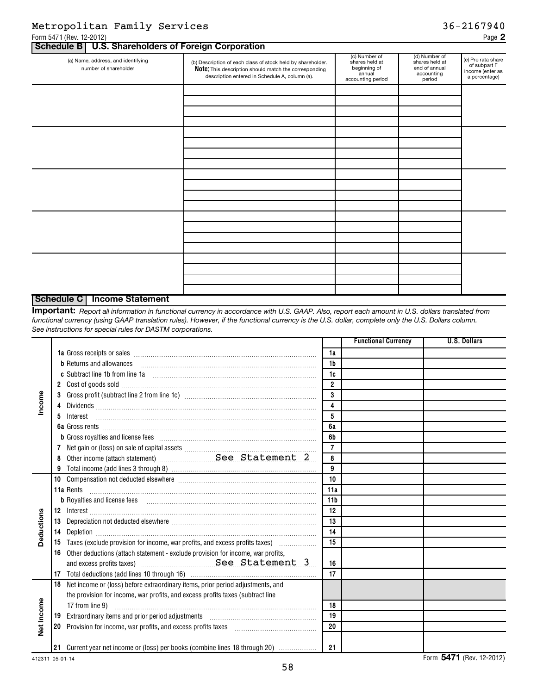### Metropolitan Family Services 36-2167940

### (a) Name, address, and identifying number of shareholder (c) Number of shares held at beginning of annual accounting period (d) Number of shares held at end of annual accounting period (e) Pro rata share of subpart F income (enter as a percentage) (b) Description of each class of stock held by shareholder. Note: This description should match the corresponding description entered in Schedule A, column (a). **Schedule B U.S. Shareholders of Foreign Corporation**

### **Schedule C Income Statement**

*Report all information in functional currency in accordance with U.S. GAAP. Also, report each amount in U.S. dollars translated from* **Important:** *functional currency (using GAAP translation rules). However, if the functional currency is the U.S. dollar, complete only the U.S. Dollars column. See instructions for special rules for DASTM corporations.*

|            |                                                                                                                                                                                                                                                                                            |                 | <b>Functional Currency</b> | <b>U.S. Dollars</b>           |
|------------|--------------------------------------------------------------------------------------------------------------------------------------------------------------------------------------------------------------------------------------------------------------------------------------------|-----------------|----------------------------|-------------------------------|
|            |                                                                                                                                                                                                                                                                                            | 1a              |                            |                               |
|            | <b>b</b> Returns and allowances <b>constructed</b> and allowances <b>b</b> Returns and allowances <b>b</b> construction <b>b</b> construction <b>b</b> construction <b>b</b> construction <b>b</b> construction <b>b</b> construction <b>c</b> construction <b>c</b> construction <b>c</b> | 1 <sub>b</sub>  |                            |                               |
|            |                                                                                                                                                                                                                                                                                            | 1c              |                            |                               |
| Income     |                                                                                                                                                                                                                                                                                            | $\overline{2}$  |                            |                               |
|            | 3                                                                                                                                                                                                                                                                                          | 3               |                            |                               |
|            |                                                                                                                                                                                                                                                                                            | 4               |                            |                               |
|            | 5.<br>Interest                                                                                                                                                                                                                                                                             | 5               |                            |                               |
|            |                                                                                                                                                                                                                                                                                            | 6a              |                            |                               |
|            | <b>b</b> Gross royalties and license fees <b>manually constructed</b> and a construction of the set of the set of the set of the set of the set of the set of the set of the set of the set of the set of the set of the set of the set                                                    | 6b              |                            |                               |
|            |                                                                                                                                                                                                                                                                                            | $\overline{7}$  |                            |                               |
|            |                                                                                                                                                                                                                                                                                            | 8               |                            |                               |
|            |                                                                                                                                                                                                                                                                                            | 9               |                            |                               |
|            |                                                                                                                                                                                                                                                                                            | 10              |                            |                               |
|            | 11a Rents                                                                                                                                                                                                                                                                                  | 11a             |                            |                               |
|            | <b>b</b> Royalties and license fees                                                                                                                                                                                                                                                        | 11 <sub>b</sub> |                            |                               |
|            |                                                                                                                                                                                                                                                                                            | 12              |                            |                               |
| Deductions | 13 Depreciation not deducted elsewhere [[11, 11] Depreciation not deducted elsewhere [[11, 11] Depreciation not deducted elsewhere [[11, 11] Depreciation not deducted elsewhere [[11] Depreciation not deducted elsewhere [[1                                                             | 13              |                            |                               |
|            |                                                                                                                                                                                                                                                                                            | 14              |                            |                               |
|            | 15 Taxes (exclude provision for income, war profits, and excess profits taxes) [10011100110011101111111111111                                                                                                                                                                              | 15              |                            |                               |
|            | Other deductions (attach statement - exclude provision for income, war profits,<br>16                                                                                                                                                                                                      |                 |                            |                               |
|            |                                                                                                                                                                                                                                                                                            | 16              |                            |                               |
|            | 17 <sup>2</sup>                                                                                                                                                                                                                                                                            | 17              |                            |                               |
|            | 18 Net income or (loss) before extraordinary items, prior period adjustments, and                                                                                                                                                                                                          |                 |                            |                               |
|            | the provision for income, war profits, and excess profits taxes (subtract line                                                                                                                                                                                                             |                 |                            |                               |
|            | 17 from line 9)                                                                                                                                                                                                                                                                            | 18              |                            |                               |
| Net Income | 19                                                                                                                                                                                                                                                                                         | 19              |                            |                               |
|            | 20                                                                                                                                                                                                                                                                                         | 20              |                            |                               |
|            |                                                                                                                                                                                                                                                                                            |                 |                            |                               |
|            | 21 Current year net income or (loss) per books (combine lines 18 through 20)                                                                                                                                                                                                               | 21              |                            |                               |
|            |                                                                                                                                                                                                                                                                                            |                 |                            | $Form$ $EAY4$ (Dev. 19, 9019) |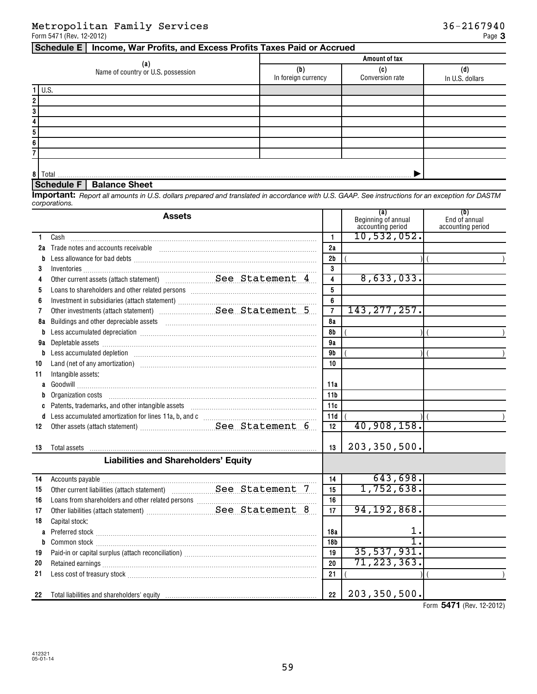### **Schedule E Income, War Profits, and Excess Profits Taxes Paid or Accrued**

|   |                                           | Amount of tax              |                 |                      |  |  |  |  |  |
|---|-------------------------------------------|----------------------------|-----------------|----------------------|--|--|--|--|--|
|   | (a)<br>Name of country or U.S. possession | (b)<br>In foreign currency | Conversion rate | ď<br>In U.S. dollars |  |  |  |  |  |
|   | $1$ U.S.                                  |                            |                 |                      |  |  |  |  |  |
| 2 |                                           |                            |                 |                      |  |  |  |  |  |
| 3 |                                           |                            |                 |                      |  |  |  |  |  |
| 4 |                                           |                            |                 |                      |  |  |  |  |  |
| 5 |                                           |                            |                 |                      |  |  |  |  |  |
| 6 |                                           |                            |                 |                      |  |  |  |  |  |
|   |                                           |                            |                 |                      |  |  |  |  |  |
|   |                                           |                            |                 |                      |  |  |  |  |  |
|   | 8 Total                                   |                            |                 |                      |  |  |  |  |  |

### **Schedule F Balance Sheet**

*Report all amounts in U.S. dollars prepared and translated in accordance with U.S. GAAP. See instructions for an exception for DASTM* **Important:** *corporations.*

|    | <b>Assets</b>                                                                                                                                                                                                                  |                 | (a)<br>Beginning of annual<br>accounting period | (b)<br>End of annual<br>accounting period |
|----|--------------------------------------------------------------------------------------------------------------------------------------------------------------------------------------------------------------------------------|-----------------|-------------------------------------------------|-------------------------------------------|
| 1. | Cash                                                                                                                                                                                                                           | $\mathbf{1}$    | 10,532,052.                                     |                                           |
| 2a | Trade notes and accounts receivable informational contracts and accounts receivable information and accounts receivable                                                                                                        | 2a              |                                                 |                                           |
| b  |                                                                                                                                                                                                                                | 2 <sub>b</sub>  |                                                 |                                           |
| 3  |                                                                                                                                                                                                                                | 3               |                                                 |                                           |
| 4  |                                                                                                                                                                                                                                | 4               | 8,633,033.                                      |                                           |
| 5  |                                                                                                                                                                                                                                | 5               |                                                 |                                           |
| 6  |                                                                                                                                                                                                                                | 6               |                                                 |                                           |
| 7  |                                                                                                                                                                                                                                | $\overline{7}$  | 143, 277, 257.                                  |                                           |
| 8a |                                                                                                                                                                                                                                | 8a              |                                                 |                                           |
|    | Less accumulated depreciation [111] [12] matter contracts accumulated depreciation [11] matter contracts accumulated depreciation [11] matter contracts and accumulated depreciation [11] matter contracts and accumulated dep | 8b              |                                                 |                                           |
| 9a |                                                                                                                                                                                                                                | 9a              |                                                 |                                           |
| b  | Less accumulated depletion information and account of the set of the set of the set of the set of the set of the set of the set of the set of the set of the set of the set of the set of the set of the set of the set of the | 9b              |                                                 |                                           |
| 10 | Land (net of any amortization) manufactured and contact the control of the control of the control of the control of the control of the control of the control of the control of the control of the control of the control of t | 10              |                                                 |                                           |
| 11 | Intangible assets:                                                                                                                                                                                                             |                 |                                                 |                                           |
|    |                                                                                                                                                                                                                                | 11a             |                                                 |                                           |
|    |                                                                                                                                                                                                                                | 11 <sub>b</sub> |                                                 |                                           |
|    |                                                                                                                                                                                                                                | 11c             |                                                 |                                           |
|    |                                                                                                                                                                                                                                | 11d             |                                                 |                                           |
| 12 |                                                                                                                                                                                                                                | 12              | 40,908,158.                                     |                                           |
| 13 |                                                                                                                                                                                                                                | 13              | 203, 350, 500.                                  |                                           |
|    | <b>Liabilities and Shareholders' Equity</b>                                                                                                                                                                                    |                 |                                                 |                                           |
| 14 |                                                                                                                                                                                                                                | 14              | 643,698.                                        |                                           |
| 15 |                                                                                                                                                                                                                                | 15              | 1,752,638.                                      |                                           |
| 16 |                                                                                                                                                                                                                                | 16              |                                                 |                                           |
| 17 |                                                                                                                                                                                                                                | 17              | 94, 192, 868.                                   |                                           |
| 18 | Capital stock:                                                                                                                                                                                                                 |                 |                                                 |                                           |
|    |                                                                                                                                                                                                                                | 18a             | 1.                                              |                                           |
| b  |                                                                                                                                                                                                                                | 18b             |                                                 |                                           |
| 19 |                                                                                                                                                                                                                                | 19              | 35,537,931.                                     |                                           |
| 20 |                                                                                                                                                                                                                                | 20              | 71, 223, 363.                                   |                                           |
| 21 |                                                                                                                                                                                                                                | 21              |                                                 |                                           |
| 22 |                                                                                                                                                                                                                                | 22              | 203, 350, 500.                                  |                                           |

Form 5471 (Rev. 12-2012)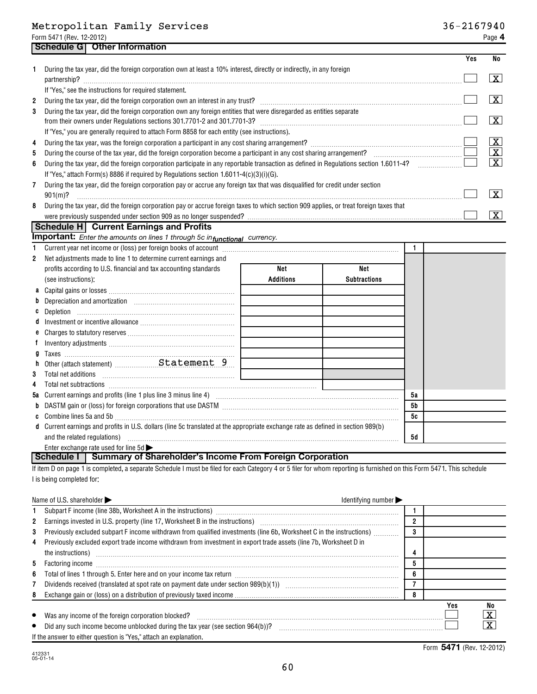|              |                                                                                                                                                                                                                          |                  |                     | Yes | No                      |
|--------------|--------------------------------------------------------------------------------------------------------------------------------------------------------------------------------------------------------------------------|------------------|---------------------|-----|-------------------------|
|              | During the tax year, did the foreign corporation own at least a 10% interest, directly or indirectly, in any foreign<br>partnership?                                                                                     |                  |                     |     | X                       |
|              | If "Yes," see the instructions for required statement.                                                                                                                                                                   |                  |                     |     |                         |
| $\mathbf{2}$ | During the tax year, did the foreign corporation own an interest in any trust? [11] contains a contained the tax year, did the foreign corporation own an interest in any trust? [11] contains a contained the tax year. |                  |                     |     | x                       |
| 3            | During the tax year, did the foreign corporation own any foreign entities that were disregarded as entities separate<br>from their owners under Regulations sections 301.7701-2 and 301.7701-3?                          |                  |                     |     | X                       |
|              | If "Yes," you are generally required to attach Form 8858 for each entity (see instructions).                                                                                                                             |                  |                     |     |                         |
| 4            |                                                                                                                                                                                                                          |                  |                     |     | х                       |
| 5.           | During the course of the tax year, did the foreign corporation become a participant in any cost sharing arrangement?                                                                                                     |                  |                     |     | $\overline{\mathbf{X}}$ |
| 6            | During the tax year, did the foreign corporation participate in any reportable transaction as defined in Regulations section 1.6011-4?                                                                                   |                  |                     |     | $\overline{\mathbf{x}}$ |
|              | If "Yes," attach Form(s) 8886 if required by Regulations section $1.6011 - 4(c)(3)(i)(G)$ .                                                                                                                              |                  |                     |     |                         |
| 7            | During the tax year, did the foreign corporation pay or accrue any foreign tax that was disqualified for credit under section<br>$901(m)$ ?                                                                              |                  |                     |     | X                       |
| 8            | During the tax year, did the foreign corporation pay or accrue foreign taxes to which section 909 applies, or treat foreign taxes that                                                                                   |                  |                     |     |                         |
|              |                                                                                                                                                                                                                          |                  |                     |     | x                       |
|              | Schedule H Current Earnings and Profits                                                                                                                                                                                  |                  |                     |     |                         |
|              | <b>Important:</b> Enter the amounts on lines 1 through 5c in functional currency.                                                                                                                                        |                  |                     |     |                         |
| $\mathbf{1}$ |                                                                                                                                                                                                                          |                  |                     |     |                         |
| 2            | Net adjustments made to line 1 to determine current earnings and                                                                                                                                                         |                  |                     |     |                         |
|              | profits according to U.S. financial and tax accounting standards                                                                                                                                                         | Net              | Net                 |     |                         |
|              | (see instructions);                                                                                                                                                                                                      | <b>Additions</b> | <b>Subtractions</b> |     |                         |

| $1000$ 1110a 110a 1101a 11                                                                                                       |  |           |  |
|----------------------------------------------------------------------------------------------------------------------------------|--|-----------|--|
|                                                                                                                                  |  |           |  |
|                                                                                                                                  |  |           |  |
|                                                                                                                                  |  |           |  |
|                                                                                                                                  |  |           |  |
|                                                                                                                                  |  |           |  |
|                                                                                                                                  |  |           |  |
|                                                                                                                                  |  |           |  |
|                                                                                                                                  |  |           |  |
| <b>3</b> Total net additions                                                                                                     |  |           |  |
|                                                                                                                                  |  |           |  |
|                                                                                                                                  |  | 5a        |  |
| b DASTM gain or (loss) for foreign corporations that use DASTM [11] [11] DASTM [11] [12] DASTM gain or (loss)                    |  | <b>5b</b> |  |
| c Combine lines 5a and 5b                                                                                                        |  | 5c        |  |
| d Current earnings and profits in U.S. dollars (line 5c translated at the appropriate exchange rate as defined in section 989(b) |  |           |  |
| and the related regulations)                                                                                                     |  | 5d        |  |
| Enter exchange rate used for line $5d \blacktriangleright$                                                                       |  |           |  |

### **Schedule I Summary of Shareholder's Income From Foreign Corporation**

If item D on page 1 is completed, a separate Schedule I must be filed for each Category 4 or 5 filer for whom reporting is furnished on this Form 5471. This schedule I is being completed for:

|              | Name of U.S. shareholder $\blacktriangleright$<br>Identifying number $\blacktriangleright$                                                                                                                                                                                                                                                                                                                                                    |        |     |                         |
|--------------|-----------------------------------------------------------------------------------------------------------------------------------------------------------------------------------------------------------------------------------------------------------------------------------------------------------------------------------------------------------------------------------------------------------------------------------------------|--------|-----|-------------------------|
|              | Subpart F income (line 38b, Worksheet A in the instructions) [11] matter incommutation and the instruction of the instructions of the instructions of the instructions of the instructions of the instruction of the instructi                                                                                                                                                                                                                |        |     |                         |
| $\mathbf{2}$ | Earnings invested in U.S. property (line 17, Worksheet B in the instructions) [1001] [1001] [1001] [1001] [1001] [1001] [1001] [1001] [1001] [1001] [1001] [1001] [1001] [1001] [1001] [1001] [1001] [1001] [1001] [1001] [100                                                                                                                                                                                                                | n      |     |                         |
| 3            | Previously excluded subpart F income withdrawn from qualified investments (line 6b, Worksheet C in the instructions)                                                                                                                                                                                                                                                                                                                          | 3      |     |                         |
| 4            | Previously excluded export trade income withdrawn from investment in export trade assets (line 7b, Worksheet D in                                                                                                                                                                                                                                                                                                                             |        |     |                         |
|              | the instructions) in the instructions of the instructions of the instructions of the instructions of the instructions of the instructions of the instructions of the instructions of the instructions of the instructions of t                                                                                                                                                                                                                |        |     |                         |
| 5            | Factoring income<br>$\begin{equation*} \begin{bmatrix} \mathbf{1}_{11} & \mathbf{1}_{22} & \mathbf{1}_{23} & \mathbf{1}_{24} & \mathbf{1}_{25} & \mathbf{1}_{26} & \mathbf{1}_{27} & \mathbf{1}_{28} & \mathbf{1}_{29} & \mathbf{1}_{20} & \mathbf{1}_{20} & \mathbf{1}_{20} & \mathbf{1}_{20} & \mathbf{1}_{20} & \mathbf{1}_{20} & \mathbf{1}_{20} & \mathbf{1}_{20} & \mathbf{1}_{20} & \mathbf{1}_{20} & \mathbf{1}_{20} & \mathbf{1}_{2$ |        |     |                         |
| 6            | Total of lines 1 through 5. Enter here and on your income tax return [11, 11] manuscription of lines 1 through 5. Enter here and on your income tax return [11] manuscription manuscription of lines in the set of lines in th                                                                                                                                                                                                                | ◠<br>O |     |                         |
|              |                                                                                                                                                                                                                                                                                                                                                                                                                                               |        |     |                         |
|              |                                                                                                                                                                                                                                                                                                                                                                                                                                               | 8      |     |                         |
|              |                                                                                                                                                                                                                                                                                                                                                                                                                                               |        | Yes | No                      |
| $\bullet$    | Was any income of the foreign corporation blocked?                                                                                                                                                                                                                                                                                                                                                                                            |        |     | $\overline{\mathbf{X}}$ |
| $\bullet$    | Did any such income become unblocked during the tax year (see section 964(b))?                                                                                                                                                                                                                                                                                                                                                                |        |     | $\overline{\texttt{x}}$ |
|              | If the answer to either question is "Yes," attach an explanation.                                                                                                                                                                                                                                                                                                                                                                             |        |     |                         |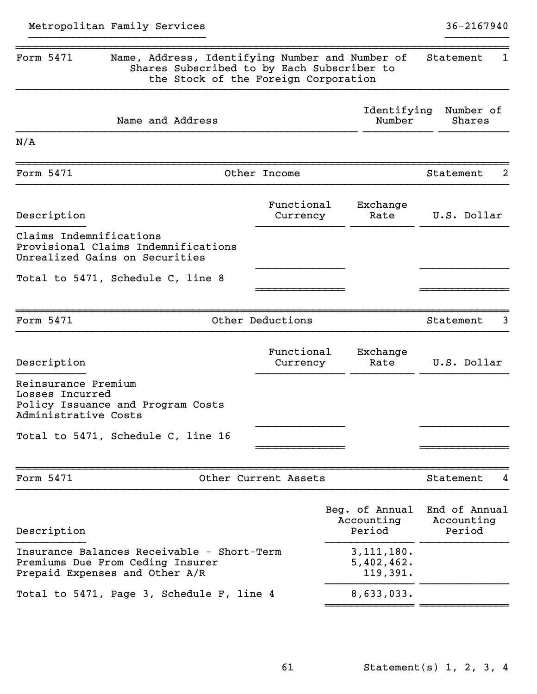~~~~~~~~~~~~~~ ~~~~~~~~~~~~~~

| Shares Subscribed to by Each Subscriber to                                                                       | the Stock of the Foreign Corporation |                                        |                                       |
|------------------------------------------------------------------------------------------------------------------|--------------------------------------|----------------------------------------|---------------------------------------|
| Name and Address                                                                                                 |                                      | Identifying<br>Number                  | Number of<br>Shares                   |
| N/A                                                                                                              |                                      |                                        |                                       |
| Form 5471                                                                                                        | Other Income                         |                                        | 2<br>Statement                        |
| Description                                                                                                      | Functional<br>Currency               | Exchange<br>Rate                       | U.S. Dollar                           |
| Claims Indemnifications<br>Provisional Claims Indemnifications<br>Unrealized Gains on Securities                 |                                      |                                        |                                       |
| Total to 5471, Schedule C, line 8                                                                                |                                      |                                        |                                       |
| Form 5471                                                                                                        | Other Deductions                     |                                        | Statement<br>3                        |
| Description                                                                                                      | Functional<br>Currency               | Exchange<br>Rate                       | U.S. Dollar                           |
| Reinsurance Premium<br>Losses Incurred<br>Policy Issuance and Program Costs<br>Administrative Costs              |                                      |                                        |                                       |
| Total to 5471, Schedule C, line 16                                                                               |                                      |                                        |                                       |
| Form 5471                                                                                                        | Other Current Assets                 |                                        | Statement<br>4                        |
| Description                                                                                                      |                                      | Beg. of Annual<br>Accounting<br>Period | End of Annual<br>Accounting<br>Period |
| Insurance Balances Receivable - Short-Term<br>Premiums Due From Ceding Insurer<br>Prepaid Expenses and Other A/R |                                      | 3, 111, 180.<br>5,402,462.<br>119,391. |                                       |
| Total to 5471, Page 3, Schedule F, line 4                                                                        |                                      | 8,633,033.                             |                                       |

~~~~~~~~~~~~~~~~~~~~~~~~~~~~~~~~~~~~~~~~~~~~~~~~~~~~~~~~~~~~~~~~~~~~~~~~~~~~~~ Form 5471 Name, Address, Identifying Number and Number of Statement 1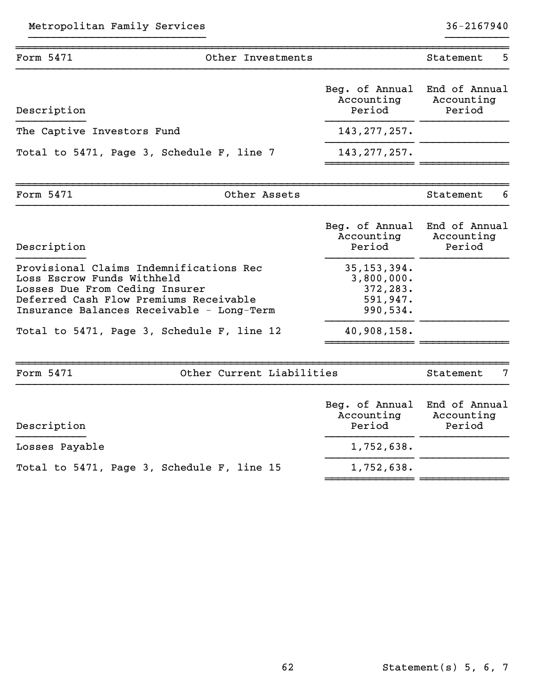| - 62 | Statement $(s)$ 5, 6, 7 |  |  |
|------|-------------------------|--|--|

| Form 5471                                                                                                                                                                                      | Other Investments                          |                                                                 | Statement<br>5                        |
|------------------------------------------------------------------------------------------------------------------------------------------------------------------------------------------------|--------------------------------------------|-----------------------------------------------------------------|---------------------------------------|
| Description                                                                                                                                                                                    |                                            | Beg. of Annual<br>Accounting<br>Period                          | End of Annual<br>Accounting<br>Period |
| The Captive Investors Fund                                                                                                                                                                     |                                            | 143, 277, 257.                                                  |                                       |
| Total to 5471, Page 3, Schedule F, line 7                                                                                                                                                      |                                            | 143, 277, 257.                                                  |                                       |
| Form 5471                                                                                                                                                                                      | Other Assets                               |                                                                 | Statement                             |
| Description                                                                                                                                                                                    |                                            | Beg. of Annual<br>Accounting<br>Period                          | End of Annual<br>Accounting<br>Period |
| Provisional Claims Indemnifications Rec<br>Loss Escrow Funds Withheld<br>Losses Due From Ceding Insurer<br>Deferred Cash Flow Premiums Receivable<br>Insurance Balances Receivable - Long-Term |                                            | 35, 153, 394.<br>3,800,000.<br>372,283.<br>591,947.<br>990,534. |                                       |
|                                                                                                                                                                                                | Total to 5471, Page 3, Schedule F, line 12 | 40,908,158.                                                     |                                       |
| Form 5471                                                                                                                                                                                      | Other Current Liabilities                  |                                                                 | 7<br>Statement                        |
| Description                                                                                                                                                                                    |                                            | Beg. of Annual<br>Accounting<br>Period                          | End of Annual<br>Accounting<br>Period |
| Losses Payable                                                                                                                                                                                 |                                            | 1,752,638.                                                      |                                       |
|                                                                                                                                                                                                |                                            |                                                                 |                                       |

}}}}}}}}}}}}}}}}}}}}}}}}}}}} }}}}}}}}}}

Total to 5471, Page 3, Schedule F, line 15

1,752,638.

~~~~~~~~~~~~~~ ~~~~~~~~~~~~~~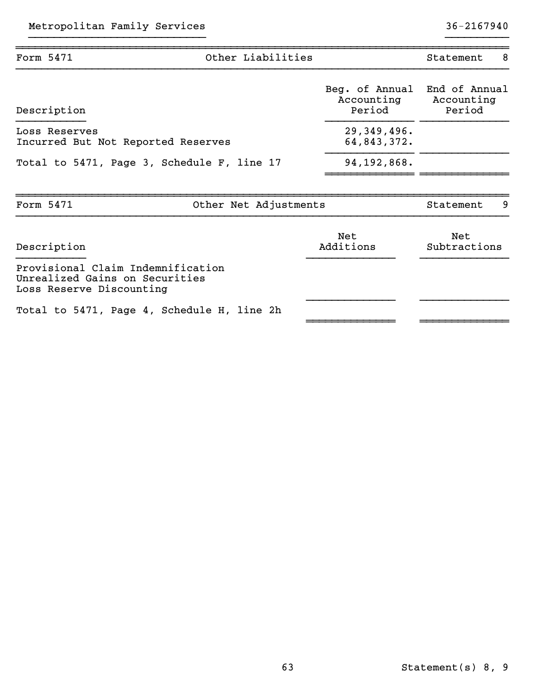| Form 5471                                                                                       | Other Liabilities                          |                                        | - 8<br>Statement                      |
|-------------------------------------------------------------------------------------------------|--------------------------------------------|----------------------------------------|---------------------------------------|
| Description                                                                                     |                                            | Beg. of Annual<br>Accounting<br>Period | End of Annual<br>Accounting<br>Period |
| Loss Reserves<br>Incurred But Not Reported Reserves                                             |                                            | 29,349,496.<br>64,843,372.             |                                       |
|                                                                                                 | Total to 5471, Page 3, Schedule F, line 17 | 94,192,868.                            |                                       |
| Form 5471                                                                                       | Other Net Adjustments                      |                                        | 9<br>Statement                        |
| Description                                                                                     |                                            | Net<br>Additions                       | Net<br>Subtractions                   |
| Provisional Claim Indemnification<br>Unrealized Gains on Securities<br>Loss Reserve Discounting |                                            |                                        |                                       |
|                                                                                                 | Total to 5471, Page 4, Schedule H, line 2h |                                        |                                       |

}}}}}}}}}}}}}}}}}}}}}}}}}}}} }}}}}}}}}}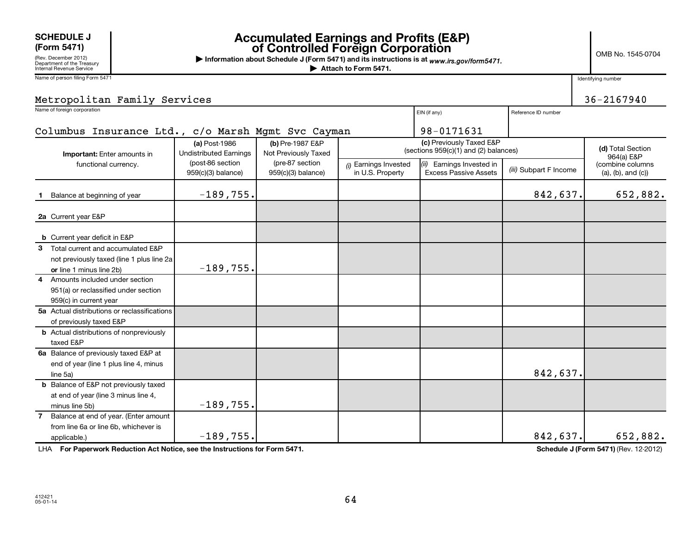### **SCHEDULE J**<br>(Form 5471)

# **(Form 5471) Accumulated Earnings and Profits (E&P) of Controlled Foreign Corporation**

OMB No. 1545-0704

(Rev. December 2012) Department of the Treasury Internal Revenue Service

Name of person filing Form 5471

**| Information about Schedule J (Form 5471) and its instructions is at**  *www.irs.gov/form5471.*

**| Attach to Form 5471.**

Identifying number

| Metropolitan Family Services                                                                                  |                                                |                                          |                                           |                                                           |                                                            | $36 - 2167940$                                                |
|---------------------------------------------------------------------------------------------------------------|------------------------------------------------|------------------------------------------|-------------------------------------------|-----------------------------------------------------------|------------------------------------------------------------|---------------------------------------------------------------|
| Name of foreign corporation                                                                                   |                                                |                                          |                                           | EIN (if any)                                              | Reference ID number                                        |                                                               |
| Columbus Insurance Ltd., c/o Marsh Mgmt Svc Cayman                                                            |                                                |                                          |                                           | 98-0171631                                                |                                                            |                                                               |
| Important: Enter amounts in                                                                                   | (a) Post-1986<br><b>Undistributed Earnings</b> | (b) Pre-1987 E&P<br>Not Previously Taxed |                                           | (c) Previously Taxed E&P                                  | (d) Total Section<br>(sections 959(c)(1) and (2) balances) |                                                               |
| functional currency.                                                                                          | (post-86 section<br>959(c)(3) balance)         | (pre-87 section<br>$959(c)(3)$ balance)  | (i) Earnings Invested<br>in U.S. Property | (ii) Earnings Invested in<br><b>Excess Passive Assets</b> | (iii) Subpart F Income                                     | 964(a) E&P<br>(combine columns<br>$(a)$ , $(b)$ , and $(c)$ ) |
| Balance at beginning of year                                                                                  | $-189,755.$                                    |                                          |                                           |                                                           | 842,637.                                                   | 652,882.                                                      |
| 2a Current year E&P                                                                                           |                                                |                                          |                                           |                                                           |                                                            |                                                               |
| <b>b</b> Current year deficit in E&P                                                                          |                                                |                                          |                                           |                                                           |                                                            |                                                               |
| 3 Total current and accumulated E&P<br>not previously taxed (line 1 plus line 2a)<br>or line 1 minus line 2b) | $-189,755.$                                    |                                          |                                           |                                                           |                                                            |                                                               |
| 4 Amounts included under section<br>951(a) or reclassified under section<br>959(c) in current year            |                                                |                                          |                                           |                                                           |                                                            |                                                               |
| 5a Actual distributions or reclassifications<br>of previously taxed E&P                                       |                                                |                                          |                                           |                                                           |                                                            |                                                               |
| <b>b</b> Actual distributions of nonpreviously<br>taxed E&P                                                   |                                                |                                          |                                           |                                                           |                                                            |                                                               |
| 6a Balance of previously taxed E&P at<br>end of year (line 1 plus line 4, minus<br>line 5a)                   |                                                |                                          |                                           |                                                           | 842,637.                                                   |                                                               |
| <b>b</b> Balance of E&P not previously taxed<br>at end of year (line 3 minus line 4,<br>minus line 5b)        | $-189,755.$                                    |                                          |                                           |                                                           |                                                            |                                                               |
| Balance at end of year. (Enter amount<br>7<br>from line 6a or line 6b, whichever is<br>applicable.)           | $-189,755.$                                    |                                          |                                           |                                                           | 842,637.                                                   | 652,882.                                                      |

LHA For Paperwork Reduction Act Notice, see the Instructions for Form 5471. **In the set of the Schedule J (Form 5471)** (Rev. 12-2012)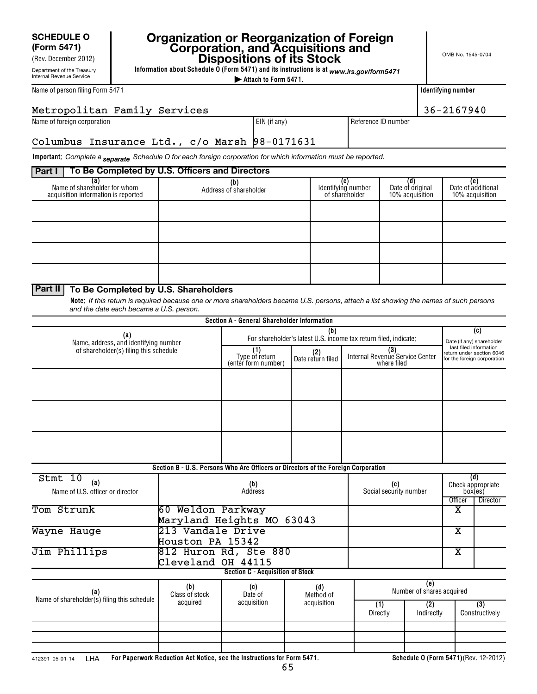### **SCHEDULE O (Form 5471)**

Department of the Treasury Internal Revenue Service (Rev. December 2012)

# **Organization or Reorganization of Foreign Corporation, and Acquisitions and Dispositions of its Stock**

**Information about Schedule O (Form 5471) and its instructions is at**  *www.irs.gov/form5471*

**| Attach to Form 5471.**

| Name of person filing Form 5471 |  |  |
|---------------------------------|--|--|
|---------------------------------|--|--|

| ldentifying number |  |
|--------------------|--|
|--------------------|--|

| 6-2167940 |  |
|-----------|--|

| 36-2167940<br>Metropolitan Family Services    |              |                     |  |  |  |
|-----------------------------------------------|--------------|---------------------|--|--|--|
| Name of foreign corporation                   | EIN (if anv) | Reference ID number |  |  |  |
| Columbus Insurance Ltd., c/o Marsh 98-0171631 |              |                     |  |  |  |

**Important:** Complete a <sub>Separate</sub> Schedule O for each foreign corporation for which information must be reported.

### **Part I To Be Completed by U.S. Officers and Directors**

| <u>. a.c.</u>                                                       | TO Be completed by G.O. Omocro and Bircotors |                                                   |                                            |                                              |
|---------------------------------------------------------------------|----------------------------------------------|---------------------------------------------------|--------------------------------------------|----------------------------------------------|
| Name of shareholder for whom<br>acquisition information is reported | (b)<br>Address of shareholder                | <b>c)</b><br>Identifying number<br>of shareholder | (d)<br>Date of original<br>10% acquisition | (e)<br>Date of additional<br>10% acquisition |
|                                                                     |                                              |                                                   |                                            |                                              |
|                                                                     |                                              |                                                   |                                            |                                              |
|                                                                     |                                              |                                                   |                                            |                                              |
|                                                                     |                                              |                                                   |                                            |                                              |

### **Part II To Be Completed by U.S. Shareholders**

**Note:** *If this return is required because one or more shareholders became U.S. persons, attach a list showing the names of such persons and the date each became a U.S. person.*

|                                                                                 |                                                 | Section A - General Shareholder Information                                       |                                                       |                                                                  |                                                                                                                 |                         |                                       |
|---------------------------------------------------------------------------------|-------------------------------------------------|-----------------------------------------------------------------------------------|-------------------------------------------------------|------------------------------------------------------------------|-----------------------------------------------------------------------------------------------------------------|-------------------------|---------------------------------------|
| (a)                                                                             |                                                 |                                                                                   | (b)                                                   | For shareholder's latest U.S. income tax return filed, indicate: |                                                                                                                 | (c)                     |                                       |
| Name, address, and identifying number<br>of shareholder(s) filing this schedule | (1)<br>Type of return<br>(enter form number)    | (2)<br>Date return filed                                                          | (3)<br>Internal Revenue Service Center<br>where filed |                                                                  | Date (if any) shareholder<br>last filed information<br>return under section 6046<br>for the foreign corporation |                         |                                       |
|                                                                                 |                                                 |                                                                                   |                                                       |                                                                  |                                                                                                                 |                         |                                       |
|                                                                                 |                                                 |                                                                                   |                                                       |                                                                  |                                                                                                                 |                         |                                       |
|                                                                                 |                                                 |                                                                                   |                                                       |                                                                  |                                                                                                                 |                         |                                       |
|                                                                                 |                                                 | Section B - U.S. Persons Who Are Officers or Directors of the Foreign Corporation |                                                       |                                                                  |                                                                                                                 |                         |                                       |
| Stmt 10<br>(a)<br>Name of U.S. officer or director                              | (b)<br>(c)<br>Address<br>Social security number |                                                                                   |                                                       | (d)<br>Check appropriate<br>box(es)<br>Officer<br>Director       |                                                                                                                 |                         |                                       |
| Tom Strunk                                                                      | 60 Weldon Parkway                               | Maryland Heights MO 63043                                                         |                                                       |                                                                  |                                                                                                                 | $\overline{\textbf{x}}$ |                                       |
| Wayne Hauge                                                                     | 213 Vandale Drive<br>Houston PA 15342           |                                                                                   |                                                       |                                                                  |                                                                                                                 | X                       |                                       |
| Jim Phillips                                                                    | Cleveland OH 44115                              | 812 Huron Rd, Ste 880                                                             |                                                       |                                                                  |                                                                                                                 | $\overline{\text{x}}$   |                                       |
|                                                                                 |                                                 | <b>Section C - Acquisition of Stock</b>                                           |                                                       |                                                                  |                                                                                                                 |                         |                                       |
| (b)<br>(a)<br>Class of stock<br>Name of shareholder(s) filing this schedule     |                                                 | (c)<br>Date of                                                                    | (d)<br>Method of                                      |                                                                  | (e)<br>Number of shares acquired                                                                                |                         |                                       |
|                                                                                 | acquired                                        | acquisition                                                                       | acquisition                                           | (1)<br>Directly                                                  | (2)<br>Indirectly                                                                                               |                         | $\overline{(3)}$<br>Constructively    |
|                                                                                 |                                                 |                                                                                   |                                                       |                                                                  |                                                                                                                 |                         |                                       |
| <b>LHA</b><br>412391 05-01-14                                                   |                                                 | For Paperwork Reduction Act Notice, see the Instructions for Form 5471.           |                                                       |                                                                  |                                                                                                                 |                         | Schedule 0 (Form 5471) (Rev. 12-2012) |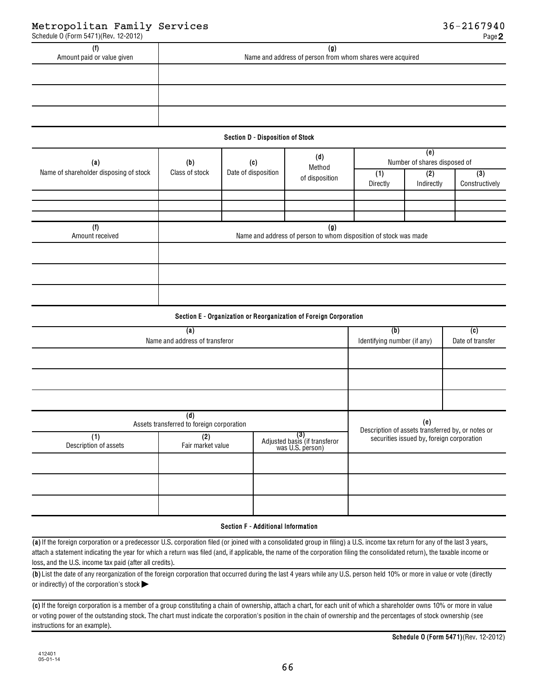| Amount paid or value given | (g)<br>Name and address of person from whom shares were acquired |
|----------------------------|------------------------------------------------------------------|
|                            |                                                                  |
|                            |                                                                  |
|                            |                                                                  |

### **Section D - Disposition of Stock**

| (a)                                    | (b)            | (c)                 | (d)<br>Method<br>of disposition | (e)<br>Number of shares disposed of                              |                   |                       |  |
|----------------------------------------|----------------|---------------------|---------------------------------|------------------------------------------------------------------|-------------------|-----------------------|--|
| Name of shareholder disposing of stock | Class of stock | Date of disposition |                                 | (1)<br>Directly                                                  | (2)<br>Indirectly | (3)<br>Constructively |  |
|                                        |                |                     |                                 |                                                                  |                   |                       |  |
|                                        |                |                     |                                 |                                                                  |                   |                       |  |
| (f)<br>Amount received                 |                |                     | $\left( 9\right)$               | Name and address of person to whom disposition of stock was made |                   |                       |  |
|                                        |                |                     |                                 |                                                                  |                   |                       |  |
|                                        |                |                     |                                 |                                                                  |                   |                       |  |
|                                        |                |                     |                                 |                                                                  |                   |                       |  |

### **Section E - Organization or Reorganization of Foreign Corporation**

|                              | (b)                                              | (c)                                                      |                                                          |  |  |  |
|------------------------------|--------------------------------------------------|----------------------------------------------------------|----------------------------------------------------------|--|--|--|
|                              | Name and address of transferor                   |                                                          |                                                          |  |  |  |
|                              |                                                  |                                                          |                                                          |  |  |  |
|                              |                                                  |                                                          |                                                          |  |  |  |
|                              |                                                  |                                                          |                                                          |  |  |  |
|                              | (d)<br>Assets transferred to foreign corporation |                                                          | (e)<br>Description of assets transferred by, or notes or |  |  |  |
| (1)<br>Description of assets | (2)<br>Fair market value                         | (3)<br>Adjusted basis (if transferor<br>was U.S. person) | securities issued by, foreign corporation                |  |  |  |
|                              |                                                  |                                                          |                                                          |  |  |  |
|                              |                                                  |                                                          |                                                          |  |  |  |
|                              |                                                  |                                                          |                                                          |  |  |  |

### **Section F - Additional Information**

**(a)**  If the foreign corporation or a predecessor U.S. corporation filed (or joined with a consolidated group in filing) a U.S. income tax return for any of the last 3 years, attach a statement indicating the year for which a return was filed (and, if applicable, the name of the corporation filing the consolidated return), the taxable income or loss, and the U.S. income tax paid (after all credits).

**(b)**  List the date of any reorganization of the foreign corporation that occurred during the last 4 years while any U.S. person held 10% or more in value or vote (directly or indirectly) of the corporation's stock  $\blacktriangleright$ 

**(c)**  If the foreign corporation is a member of a group constituting a chain of ownership, attach a chart, for each unit of which a shareholder owns 10% or more in value or voting power of the outstanding stock. The chart must indicate the corporation's position in the chain of ownership and the percentages of stock ownership (see instructions for an example).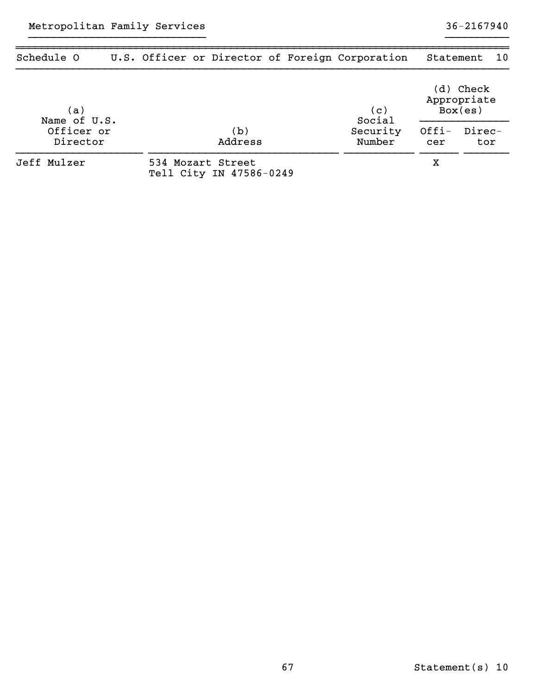| Schedule O             |  |                                              |  | U.S. Officer or Director of Foreign Corporation | Statement                           |               | 10 |  |
|------------------------|--|----------------------------------------------|--|-------------------------------------------------|-------------------------------------|---------------|----|--|
| (a)<br>Name of U.S.    |  |                                              |  | (c)<br>Social                                   | (d) Check<br>Appropriate<br>Box(es) |               |    |  |
| Officer or<br>Director |  | (b)<br>Address                               |  | Security<br>Number                              | $Offi-$<br>cer                      | Direc-<br>tor |    |  |
| Jeff Mulzer            |  | 534 Mozart Street<br>Tell City IN 47586-0249 |  |                                                 | х                                   |               |    |  |

}}}}}}}}}}}}}}}}}}}}}}}}}}}} }}}}}}}}}}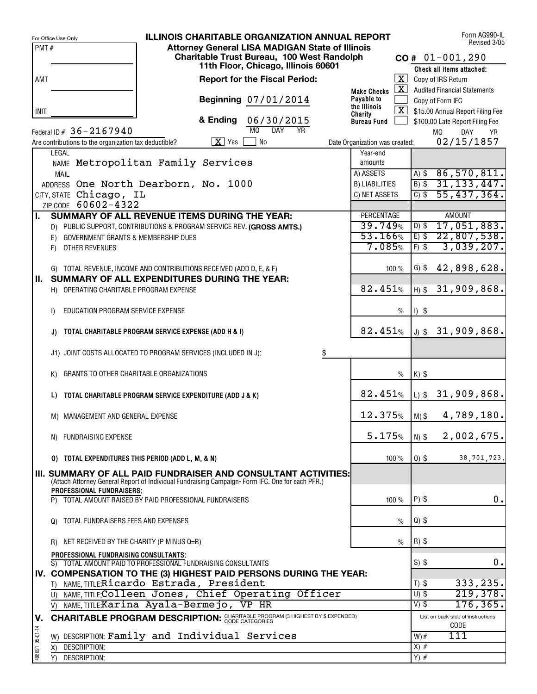|                 | <b>ILLINOIS CHARITABLE ORGANIZATION ANNUAL REPORT</b><br>For Office Use Only                                           |                                |                      |         | Form AG990-IL<br>Revised 3/05                            |
|-----------------|------------------------------------------------------------------------------------------------------------------------|--------------------------------|----------------------|---------|----------------------------------------------------------|
| PMT#            | <b>Attorney General LISA MADIGAN State of Illinois</b>                                                                 |                                |                      |         |                                                          |
|                 | Charitable Trust Bureau, 100 West Randolph<br>11th Floor, Chicago, Illinois 60601                                      |                                |                      |         | $CO# 01-001,290$                                         |
|                 | <b>Report for the Fiscal Period:</b>                                                                                   |                                | $\boxed{\mathbf{X}}$ |         | Check all items attached;<br>Copy of IRS Return          |
| AMT             |                                                                                                                        | <b>Make Checks</b>             | $\mathbf{X}$         |         | <b>Audited Financial Statements</b>                      |
|                 | Beginning 07/01/2014                                                                                                   | Payable to                     |                      |         | Copy of Form IFC                                         |
| INIT            |                                                                                                                        | the Illinois<br>Charity        |                      |         | $\overline{\mathbf{X}}$ \$15.00 Annual Report Filing Fee |
|                 | & Ending<br>06/30/2015                                                                                                 | <b>Bureau Fund</b>             |                      |         | \$100.00 Late Report Filing Fee                          |
|                 | MO<br>$\overline{DAY}$<br><b>YR</b><br>Federal ID $# 36 - 2167940$                                                     |                                |                      |         | M <sub>0</sub><br>DAY<br><b>YR</b>                       |
|                 | $X$ Yes<br>No<br>Are contributions to the organization tax deductible?                                                 | Date Organization was created: |                      |         | 02/15/1857                                               |
|                 | LEGAL<br>NAME Metropolitan Family Services                                                                             | Year-end<br>amounts            |                      |         |                                                          |
|                 | <b>MAIL</b>                                                                                                            | A) ASSETS                      |                      | $A)$ \$ | 86,570,811.                                              |
|                 | ADDRESS One North Dearborn, No. 1000                                                                                   | <b>B) LIABILITIES</b>          |                      | $B)$ \$ | 31, 133, 447.                                            |
|                 | CITY, STATE Chicago, IL                                                                                                | C) NET ASSETS                  |                      | $C)$ \$ | 55,437,364.                                              |
|                 | ZIP CODE 60602-4322                                                                                                    |                                |                      |         |                                                          |
| Π.              | SUMMARY OF ALL REVENUE ITEMS DURING THE YEAR:<br>D) PUBLIC SUPPORT, CONTRIBUTIONS & PROGRAM SERVICE REV. (GROSS AMTS.) | PERCENTAGE<br>39.749%          |                      | $D)$ \$ | <b>AMOUNT</b><br>17,051,883.                             |
|                 | <b>GOVERNMENT GRANTS &amp; MEMBERSHIP DUES</b><br>E)                                                                   | 53.166%                        |                      | $E)$ \$ | 22,807,538.                                              |
|                 | OTHER REVENUES<br>F)                                                                                                   | 7.085%                         |                      | $F)$ \$ | 3,039,207.                                               |
|                 |                                                                                                                        |                                |                      |         |                                                          |
|                 | G) TOTAL REVENUE, INCOME AND CONTRIBUTIONS RECEIVED (ADD D, E, & F)                                                    |                                | 100%                 | $G)$ \$ | 42,898,628.                                              |
| Ш.              | SUMMARY OF ALL EXPENDITURES DURING THE YEAR:                                                                           |                                |                      |         |                                                          |
|                 | H) OPERATING CHARITABLE PROGRAM EXPENSE                                                                                | 82.451%                        |                      | $H)$ \$ | 31,909,868.                                              |
|                 | EDUCATION PROGRAM SERVICE EXPENSE<br>I)                                                                                |                                | $\%$                 | $1)$ \$ |                                                          |
|                 |                                                                                                                        |                                |                      |         |                                                          |
|                 | TOTAL CHARITABLE PROGRAM SERVICE EXPENSE (ADD H & I)<br>J)                                                             | 82.451%                        |                      |         | $J)$ \$ 31,909,868.                                      |
|                 |                                                                                                                        |                                |                      |         |                                                          |
|                 | J1) JOINT COSTS ALLOCATED TO PROGRAM SERVICES (INCLUDED IN J):<br>\$                                                   |                                |                      |         |                                                          |
|                 | GRANTS TO OTHER CHARITABLE ORGANIZATIONS<br>K)                                                                         |                                | $\%$                 | $K)$ \$ |                                                          |
|                 |                                                                                                                        |                                |                      |         |                                                          |
|                 | TOTAL CHARITABLE PROGRAM SERVICE EXPENDITURE (ADD J & K)<br>L)                                                         | 82.451%                        |                      |         | $L$ ) \$31,909,868.                                      |
|                 |                                                                                                                        | 12.375%                        |                      |         |                                                          |
|                 | M) MANAGEMENT AND GENERAL EXPENSE                                                                                      |                                |                      | $M)$ \$ | 4,789,180.                                               |
|                 | N) FUNDRAISING EXPENSE                                                                                                 | 5.175%                         |                      | $N)$ \$ | 2,002,675.                                               |
|                 |                                                                                                                        |                                |                      |         |                                                          |
|                 | 0) TOTAL EXPENDITURES THIS PERIOD (ADD L, M, & N)                                                                      |                                | 100 %                | $0)$ \$ | 38,701,723.                                              |
|                 | III. SUMMARY OF ALL PAID FUNDRAISER AND CONSULTANT ACTIVITIES:                                                         |                                |                      |         |                                                          |
|                 | (Attach Attorney General Report of Individual Fundraising Campaign-Form IFC. One for each PFR.)                        |                                |                      |         |                                                          |
|                 | <b>PROFESSIONAL FUNDRAISERS:</b><br>TOTAL AMOUNT RAISED BY PAID PROFESSIONAL FUNDRAISERS<br>P)                         |                                | 100 $%$              | $P)$ \$ | 0.                                                       |
|                 |                                                                                                                        |                                |                      |         |                                                          |
|                 | TOTAL FUNDRAISERS FEES AND EXPENSES<br>Q)                                                                              |                                | $\%$                 | $Q)$ \$ |                                                          |
|                 |                                                                                                                        |                                |                      |         |                                                          |
|                 | R) NET RECEIVED BY THE CHARITY (P MINUS Q=R)                                                                           |                                | $\frac{0}{0}$        | $R)$ \$ |                                                          |
|                 | PROFESSIONAL FUNDRAISING CONSULTANTS;<br>S) TOTAL AMOUNT PAID TO PROFESSIONAL FUNDRAISING CONSULTANTS                  |                                |                      | $S)$ \$ | 0.                                                       |
|                 | IV. COMPENSATION TO THE (3) HIGHEST PAID PERSONS DURING THE YEAR:                                                      |                                |                      |         |                                                          |
|                 | T) NAME, TITLE: Ricardo Estrada, President                                                                             |                                |                      | $T)$ \$ | 333,235.                                                 |
|                 | U) NAME, TITLE: Colleen Jones, Chief Operating Officer                                                                 |                                |                      | $U)$ \$ | 219,378.                                                 |
|                 | NAME, TITLE: Karina Ayala-Bermejo, VP HR<br>V)                                                                         |                                |                      | $V)$ \$ | 176, 365.                                                |
| V.              | <b>CHARITABLE PROGRAM DESCRIPTION: CHARITABLE PROGRAM (3 HIGHEST BY \$ EXPENDED)</b>                                   |                                |                      |         | List on back side of instructions<br>CODE                |
| 498091 05-01-14 | DESCRIPTION: Family and Individual Services<br>W)                                                                      |                                |                      | $W)$ #  | $\overline{1}\overline{1}\overline{1}$                   |
|                 | DESCRIPTION:<br>X)                                                                                                     |                                |                      | $X)$ #  |                                                          |
|                 | <b>DESCRIPTION:</b><br>Y)                                                                                              |                                |                      | $Y)$ #  |                                                          |